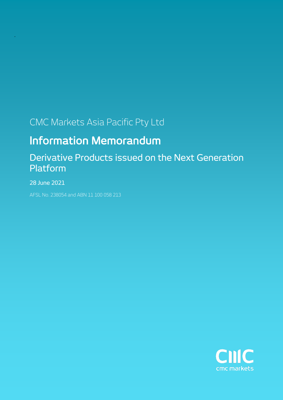# CMC Markets Asia Pacific Pty Ltd

# Information Memorandum

# Derivative Products issued on the Next Generation Platform

28 June 2021

AFSL No. 238054 and ABN 11 100 058 213

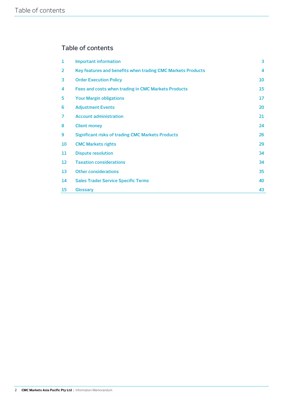# Table of contents

| 1                 | <b>Important information</b>                                | 3                |
|-------------------|-------------------------------------------------------------|------------------|
| 2                 | Key features and benefits when trading CMC Markets Products | $\boldsymbol{4}$ |
| 3                 | <b>Order Execution Policy</b>                               | 10               |
| 4                 | Fees and costs when trading in CMC Markets Products         | 15               |
| 5                 | <b>Your Margin obligations</b>                              | 17               |
| 6                 | <b>Adjustment Events</b>                                    | 20               |
| 7                 | <b>Account administration</b>                               | 21               |
| 8                 | <b>Client money</b>                                         | 24               |
| 9                 | <b>Significant risks of trading CMC Markets Products</b>    | 26               |
| 10                | <b>CMC Markets rights</b>                                   | 29               |
| 11                | <b>Dispute resolution</b>                                   | 34               |
| $12 \overline{ }$ | <b>Taxation considerations</b>                              | 34               |
| 13                | <b>Other considerations</b>                                 | 35               |
| 14                | <b>Sales Trader Service Specific Terms</b>                  | 40               |
| 15                | <b>Glossary</b>                                             | 43               |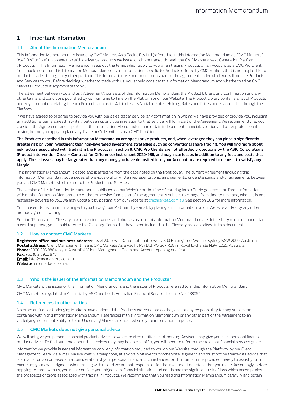# **1 Important information**

# **1.1 About this Information Memorandum**

This Information Memorandum is issued by CMC Markets Asia Pacific Pty Ltd (referred to in this Information Memorandum as "CMC Markets", "we", "us" or "our") in connection with derivative products we issue which are traded through the CMC Markets Next Generation Platform ("Products"). This Information Memorandum sets out the terms which apply to you when trading Products on an Account as a CMC Pro Client. You should note that this Information Memorandum contains information specific to Products offered by CMC Markets that is not applicable to products traded through any other platform. This Information Memorandum forms part of the agreement under which we will provide Products and Services to you. Before deciding whether to trade with us, you should consider this Information Memorandum and whether trading CMC Markets Products is appropriate for you.

The agreement between you and us ("Agreement") consists of this Information Memorandum, the Product Library, any Confirmation and any other terms and conditions published by us from time to time on the Platform or on our Website. The Product Library contains a list of Products and key information relating to each Product such as its Attributes, its Variable Rates, Holding Rates and Prices and is accessible through the Platform.

If we have agreed to or agree to provide you with our sales trader service, any confirmation in writing we have provided or provide you, including any additional terms agreed in writing between us and you in relation to that service, will form part of the Agreement. We recommend that you consider the Agreement and in particular this Information Memorandum and obtain independent financial, taxation and other professional advice, before you apply to place any Trade or Order with us as a CMC Pro Client.

**The Products described in this Information Memorandum are speculative products, and, when leveraged they can place a significantly greater risk on your investment than non-leveraged investment strategies such as conventional share trading. You will find more about risk factors associated with trading in the Products in section 9. CMC Pro Clients are not afforded protections by the ASIC Corporations (Product Intervention Order – Contract for Difference) Instrument 2020/986, and may incur losses in addition to any fees and costs that apply. These losses may be far greater than any money you have deposited into your Account or are required to deposit to satisfy any Margin.**

This Information Memorandum is dated and is effective from the date noted on the front cover. The current Agreement (including this Information Memorandum) supersedes all previous oral or written representations, arrangements, understandings and/or agreements between you and CMC Markets which relate to the Products and Services.

The version of this Information Memorandum published on our Website at the time of entering into a Trade governs that Trade. Information within this Information Memorandum or that otherwise forms part of the Agreement is subject to change from time to time and, where it is not materially adverse to you, we may update it by posting it on our Website at cmcmarkets.com.au. See sectio[n 10.2](#page-29-0) for more information.

You consent to us communicating with you through our Platform, by e-mail, by placing such information on our Website and/or by any other method agreed in writing.

Sectio[n 15](#page-42-0) contains a Glossary in which various words and phrases used in this Information Memorandum are defined. If you do not understand a word or phrase, you should refer to the Glossary. Terms that have been included in the Glossary are capitalised in this document.

# <span id="page-2-0"></span>**1.2 How to contact CMC Markets**

**Registered office and business address**: Level 20, Tower 3, International Towers, 300 Barangaroo Avenue, Sydney NSW 2000, Australia. **Postal address**: Client Management Team, CMC Markets Asia Pacific Pty Ltd, PO Box R1879, Royal Exchange NSW 1225, Australia. **Phone:** 1300 303 888 (only in Australia) (Client Management Team and Account opening queries). **Fax**: +61 (0)2 8915 9484 **Email**: info@cmcmarkets.com.au **Website**: cmcmarkets.com.au

# **1.3 Who is the issuer of the Information Memorandum and the Products?**

CMC Markets is the issuer of this Information Memorandum, and the issuer of Products referred to in this Information Memorandum.

CMC Markets is regulated in Australia by ASIC and holds Australian Financial Services Licence No. 238054.

# **1.4 References to other parties**

No other entities or Underlying Markets have endorsed the Products we issue nor do they accept any responsibility for any statements contained within this Information Memorandum. References in this Information Memorandum or any other part of the Agreement to an Underlying Instrument Entity or to an Underlying Market are included solely for information purposes.

# **1.5 CMC Markets does not give personal advice**

We will not give you personal financial product advice. However, related entities or Introducing Advisers may give you such personal financial product advice. To find out more about the services they may be able to offer, you will need to refer to their relevant financial services guide.

Information we provide is general information only. Any information provided to you on our Website, through the Platform, by our Client Management Team, via e-mail, via live chat, via telephone, at any training events or otherwise is generic and must not be treated as advice that is suitable for you or based on a consideration of your personal financial circumstances. Such information is provided merely to assist you in exercising your own judgment when trading with us and we are not responsible for the investment decisions that you make. Accordingly, before applying to trade with us, you must consider your objectives, financial situation and needs and the significant risk of loss which accompanies the prospects of profit associated with trading in Products. We recommend that you read this Information Memorandum carefully and obtain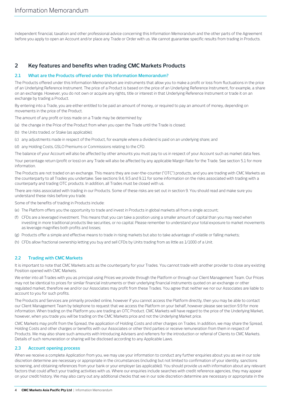independent financial, taxation and other professional advice concerning this Information Memorandum and the other parts of the Agreement before you apply to open an Account and/or place any Trade or Order with us. We cannot guarantee specific results from trading in Products.

# **2 Key features and benefits when trading CMC Markets Products**

# <span id="page-3-0"></span>**2.1 What are the Products offered under this Information Memorandum?**

The Products offered under this Information Memorandum are instruments that allow you to make a profit or loss from fluctuations in the price of an Underlying Reference Instrument. The price of a Product is based on the price of an Underlying Reference Instrument, for example, a share on an exchange. However, you do not own or acquire any rights, title or interest in that Underlying Reference Instrument or trade it on an exchange by trading a Product.

By entering into a Trade, you are either entitled to be paid an amount of money, or required to pay an amount of money, depending on movements in the price of the Product.

The amount of any profit or loss made on a Trade may be determined by:

- (a) the change in the Price of the Product from when you open the Trade until the Trade is closed;
- (b) the Units traded, or Stake (as applicable);
- (c) any adjustments made in respect of the Product, for example where a dividend is paid on an underlying share; and

(d) any Holding Costs, GSLO Premiums or Commissions relating to the CFD.

The balance of your Account will also be affected by other amounts you must pay to us in respect of your Account such as market data fees.

Your percentage return (profit or loss) on any Trade will also be affected by any applicable Margin Rate for the Trade. See sectio[n 5.1](#page-16-0) for more information.

The Products are not traded on an exchange. This means they are over-the-counter ("OTC") products, and you are trading with CMC Markets as the counterparty to all Trades you undertake. See section[s 9.4,](#page-25-0) [9.5](#page-26-0) an[d 9.11](#page-28-0) for some information on the risks associated with trading with a counterparty and trading OTC products. In addition, all Trades must be closed with us.

There are risks associated with trading in our Products. Some of these risks are set out in sectio[n 9.](#page-25-1) You should read and make sure you understand these risks before you trade.

Some of the benefits of trading in Products include:

- (e) The Platform offers you the opportunity to trade and invest in Products in global markets all from a single account;
- (f) CFDs are a leveraged investment. This means that you can take a position using a smaller amount of capital than you may need when investing in more traditional products like securities, or no capital. Please remember to understand your total exposure to market movements as leverage magnifies both profits and losses;
- (g) Products offer a simple and effective means to trade in rising markets but also to take advantage of volatile or falling markets;
- (h) CFDs allow fractional ownership letting you buy and sell CFDs by Units trading from as little as 1/1000 of a Unit.

# **2.2 Trading with CMC Markets**

It is important to note that CMC Markets acts as the counterparty for your Trades. You cannot trade with another provider to close any existing Position opened with CMC Markets.

We enter into all Trades with you as principal using Prices we provide through the Platform or through our Client Management Team. Our Prices may not be identical to prices for similar financial instruments or their underlying financial instruments quoted on an exchange or other regulated market, therefore we and/or our Associates may profit from these Trades. You agree that neither we nor our Associates are liable to account to you for such profits.

The Products and Services are primarily provided online, however if you cannot access the Platform directly, then you may be able to contact our Client Management Team by telephone to request that we access the Platform on your behalf, however please see sectio[n 9.9](#page-26-1) for more information. When trading on the Platform you are trading an OTC Product. CMC Markets will have regard to the price of the Underlying Market, however, when you trade you will be trading on the CMC Markets price and not the Underlying Market price.

CMC Markets may profit from the Spread, the application of Holding Costs and other charges on Trades. In addition, we may share the Spread, Holding Costs and other charges or benefits with our Associates or other third parties or receive remuneration from them in respect of Products. We may also share such amounts with Introducing Advisers and referrers for the introduction or referral of Clients to CMC Markets. Details of such remuneration or sharing will be disclosed according to any Applicable Laws.

# **2.3 Account opening process**

When we receive a complete Application from you, we may use your information to conduct any further enquiries about you as we in our sole discretion determine are necessary or appropriate in the circumstances (including but not limited to confirmation of your identity, sanctions screening, and obtaining references from your bank or your employer (as applicable)). You should provide us with information about any relevant factors that could affect your trading activities with us. Where our enquiries include searches with credit reference agencies, they may appear on your credit history. We may also carry out any additional checks that we in our sole discretion determine are necessary or appropriate in the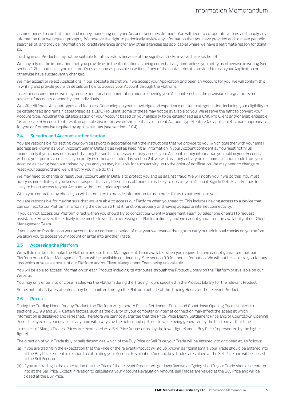circumstances to combat fraud and money laundering or if your Account becomes dormant. You will need to co-operate with us and supply any information that we request promptly. We reserve the right to periodically review any information that you have provided and to make periodic searches of, and provide information to, credit reference and/or any other agencies (as applicable) where we have a legitimate reason for doing so.

Trading in our Products may not be suitable for all investors because of the significant risks involved, see sectio[n 9.](#page-25-1)

We may rely on the information that you provide us in the Application as being correct at any time, unless you notify us otherwise in writing (see sectio[n 1.2\).](#page-2-0) In particular, you must notify us as soon as possible in writing if any of the contact details provided to us in your Application or otherwise have subsequently changed.

We may accept or reject Applications in our absolute discretion. If we accept your Application and open an Account for you, we will confirm this in writing and provide you with details on how to access your Account through the Platform.

In certain circumstances we may require additional documentation prior to opening your Account, such as the provision of a guarantee in respect of Accounts opened by non-individuals.

We offer different Account types and features. Depending on your knowledge and experience or client categorisation, including your eligibility to be categorised and remain categorised as a CMC Pro Client, some of these may not be available to you. We reserve the right to convert your Account type, including the categorisation of your Account based on your eligibility to be categorised as a CMC Pro Client and/or enable/disable (as applicable) Account features if, in our sole discretion, we determine that a different Account type/feature (as applicable) is more appropriate for you or if otherwise required by Applicable Law (see section [10.4\).](#page-31-0)

# <span id="page-4-0"></span>**2.4 Security and Account authentication**

You are responsible for setting your own password in accordance with the instructions that we provide to you (which together with your email address are known as your "Account Sign In Details") as well as keeping all information in your Account confidential. You must notify us immediately if you know or suspect that any Person has accessed or may access your Account, or any information you hold in your Account, without your permission. Unless you notify us otherwise under this sectio[n 2.4,](#page-4-0) we will treat any activity on or communication made from your Account as having been authorised by you and you may be liable for such activity up to the point of notification. We may need to change or reset your password and we will notify you if we do this.

We may need to change or reset your Account Sign In Details to protect you and us against fraud. We will notify you if we do this. You must notify us immediately if you know or suspect that any Person has obtained (or is likely to obtain) your Account Sign In Details and/or has (or is likely to have) access to your Account without our prior approval.

When you contact us by phone, you will be required to provide information to us in order for us to authenticate you.

You are responsible for making sure that you are able to access our Platform when you need to. This includes having access to a device that can connect to our Platform, maintaining the device so that it functions properly and having adequate internet connectivity.

If you cannot access our Platform directly, then you should try to contact our Client Management Team by telephone or email to request assistance. However, this is likely to be much slower than accessing our Platform directly and we cannot guarantee the availability of our Client Management Team.

If you have no Positions on your Account for a continuous period of one year we reserve the right to carry out additional checks on you before we allow you to access your Account or enter into another Trade.

# **2.5 Accessing the Platform**

We will do our best to make the Platform and our Client Management Team available when you require, but we cannot guarantee that our Platform or our Client Management Team will be available continuously. See section [9.9](#page-26-1) for more information. We will not be liable to you for any loss which arises as a result of our Platform and/or Client Management Team being unavailable.

You will be able to access information on each Product including its Attributes through the Product Library on the Platform or available on our Website.

You may only enter into or close Trades via the Platform during the Trading Hours specified in the Product Library for the relevant Product.

Some, but not all, types of orders may be submitted through the Platform outside of the Trading Hours for the relevant Product.

# <span id="page-4-1"></span>**2.6 Prices**

During the Trading Hours for any Product, the Platform will generate Prices, Settlement Prices and Countdown Opening Prices subject to sections [6.1,](#page-19-0) [9.9](#page-26-1) and [10.7.](#page-32-0) Certain factors, such as the quality of your computer or internet connection may affect the speed at which information is displayed and refreshed. Therefore we cannot guarantee that the Price, Price Depth, Settlement Price and/or Countdown Opening Price displayed on your device at any time will always be the actual and up-to-date value being generated by the Platform at that time.

In respect of Margin Trades, Prices are expressed as a Sell Price (represented by the lower figure) and a Buy Price (represented by the higher figure).

The direction of your Trade (buy or sell) determines which of the Buy Price or Sell Price your Trade will be entered into or closed at, as follows:

- (a) if you are trading in the expectation that the Price of the relevant Product will go up (known as "going long"), your Trade should be entered into at the Buy Price. Except in relation to calculating your Account Revaluation Amount, buy Trades are valued at the Sell Price and will be closed at the Sell Price; or
- (b) if you are trading in the expectation that the Price of the relevant Product will go down (known as "going short"), your Trade should be entered into at the Sell Price. Except in relation to calculating your Account Revaluation Amount, sell Trades are valued at the Buy Price and will be closed at the Buy Price.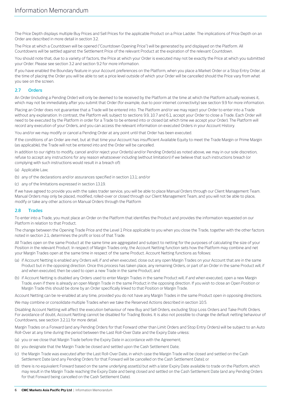The Price Depth displays multiple Buy Prices and Sell Prices for the applicable Product on a Price Ladder. The implications of Price Depth on an Order are described in more detail in section [3.2.](#page-9-0)

The Price at which a Countdown will be opened ("Countdown Opening Price") will be generated by and displayed on the Platform. All Countdowns will be settled against the Settlement Price of the relevant Product at the expiration of the relevant Countdown.

You should note that, due to a variety of factors, the Price at which your Order is executed may not be exactly the Price at which you submitted your Order. Please see sectio[n 3.2](#page-9-0) and section [9.2](#page-25-2) for more information.

If you have enabled the Boundary feature in your Account preferences on the Platform, when you place a Market Order or a Stop Entry Order, at the time of placing the Order you will be able to set a price level outside of which your Order will be cancelled should the Price vary from what you see on the screen.

# **2.7 Orders**

An Order (including a Pending Order) will only be deemed to be received by the Platform at the time at which the Platform actually receives it, which may not be immediately after you submit that Order (for example, due to poor internet connectivity) see sectio[n 9.9](#page-26-1) for more information.

Placing an Order does not guarantee that a Trade will be entered into. The Platform and/or we may reject your Order to enter into a Trade without any explanation. In contrast, the Platform will, subject to section[s 9.9,](#page-26-1) [10.7](#page-32-0) and [6.1,](#page-19-0) accept your Order to close a Trade. Each Order will need to be executed by the Platform in order for a Trade to be entered into or closed (at which time we accept your Order). The Platform will record any execution of your Orders, and you can access the relevant information on executed Orders in your Account History.

You and/or we may modify or cancel a Pending Order at any point until that Order has been executed.

If the conditions of an Order are met, but at that time your Account has insufficient Available Equity to meet the Trade Margin or Prime Margin (as applicable), the Trade will not be entered into and the Order will be cancelled.

In addition to our rights to modify, cancel and/or reject your Order(s) and/or Pending Order(s) as noted above, we may in our sole discretion, refuse to accept any instructions for any reason whatsoever including (without limitation) if we believe that such instructions breach (or complying with such instructions would result in a breach of):

(a) Applicable Law;

- (b) any of the declarations and/or assurances specified in sectio[n 13.1;](#page-34-0) and/or
- (c) any of the limitations expressed in sectio[n 13.19.](#page-38-0)

If we have agreed to provide you with the sales trader service, you will be able to place Manual Orders through our Client Management Team. Manual Orders may only be placed, modified, rolled-over or closed through our Client Management Team, and you will not be able to place, modify or take any other actions on Manual Orders through the Platform

# **2.8 Trades**

To enter into a Trade, you must place an Order on the Platform that identifies the Product and provides the information requested on our Platform in relation to that Product.

The change between the Opening Trade Price and the Level 1 Price applicable to you when you close the Trade, together with the other factors noted in sectio[n 2.1,](#page-3-0) determines the profit or loss of that Trade.

All Trades open on the same Product at the same time are aggregated and subject to netting for the purposes of calculating the size of your Position in the relevant Product. In respect of Margin Trades only, the Account Netting function sets how the Platform may combine and net your Margin Trades open at the same time in respect of the same Product. Account Netting functions as follows:

- (a) if Account Netting is enabled any Orders will, if and when executed, close out any open Margin Trades on your Account that are in the same Product but in the opposing direction. Once this process has taken place, any remaining Orders, or part of an Order in the same Product will, if and when executed, then be used to open a new Trade in the same Product; and
- (b) if Account Netting is disabled any Orders used to enter Margin Trades in the same Product will, if and when executed, open a new Margin Trade, even if there is already an open Margin Trade in the same Product in the opposing direction. If you wish to close an Open Position or Margin Trade this should be done by an Order specifically linked to that Position or Margin Trade.

Account Netting can be re-enabled at any time, provided you do not have any Margin Trades in the same Product open in opposing directions.

We may combine or consolidate multiple Trades when we take the Reserved Actions described in section [10.5.](#page-32-1)

Disabling Account Netting will affect the execution behaviour of new Buy and Sell Orders, excluding Stop Loss Orders and Take Profit Orders. For avoidance of doubt, Account Netting cannot be disabled for Trading Books. It is also not possible to change the default netting behaviour of Countdowns, see sectio[n 3.2.11](#page-12-0) for more detail.

Margin Trades on a Forward (and any Pending Orders for that Forward other than Limit Orders and Stop Entry Orders) will be subject to an Auto Roll-Over at any time during the period between the Last Roll-Over Date and the Expiry Date unless:

- (a) you or we close that Margin Trade before the Expiry Date in accordance with the Agreement;
- (b) you designate that the Margin Trade be closed and settled upon the Cash Settlement Date;
- (c) the Margin Trade was executed after the Last Roll-Over Date, in which case the Margin Trade will be closed and settled on the Cash Settlement Date (and any Pending Orders for that Forward will be cancelled on the Cash Settlement Date); or
- (d) there is no equivalent Forward based on the same underlying asset(s) but with a later Expiry Date available to trade on the Platform, which may result in the Margin Trade reaching the Expiry Date and being closed and settled on the Cash Settlement Date (and any Pending Orders for that Forward being cancelled on the Cash Settlement Date).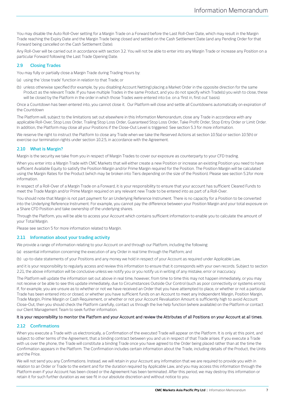You may disable the Auto Roll-Over setting for a Margin Trade on a Forward before the Last Roll-Over Date, which may result in the Margin Trade reaching the Expiry Date and the Margin Trade being closed and settled on the Cash Settlement Date (and any Pending Order for that Forward being cancelled on the Cash Settlement Date).

Any Roll-Over will be carried out in accordance with section [3.2.](#page-9-0) You will not be able to enter into any Margin Trade or increase any Position on a particular Forward following the Last Trade Opening Date.

# **2.9 Closing Trades**

You may fully or partially close a Margin Trade during Trading Hours by:

(a) using the 'close trade' function in relation to that Trade; or

(b) unless otherwise specified (for example, by you disabling Account Netting) placing a Market Order in the opposite direction for the same Product as the relevant Trade. If you have multiple Trades in the same Product, and you do not specify which Trade(s) you wish to close, these will be closed by the Platform in the order in which those Trades were entered into (i.e. on a 'first in, first out' basis).

Once a Countdown has been entered into, you cannot close it. Our Platform will close and settle all Countdowns automatically on expiration of the Countdown

The Platform will, subject to the limitations set out elsewhere in this Information Memorandum, close any Trade in accordance with any applicable Roll-Over, Stop Loss Order, Trailing Stop Loss Order, Guaranteed Stop Loss Order, Take Profit Order, Stop Entry Order or Limit Order. In addition, the Platform may close all your Positions if the Close-Out Level is triggered. See sectio[n 5.3](#page-17-0) for more information.

We reserve the right to instruct the Platform to close any Trade when we take the Reserved Actions at sectio[n 10.5\(a](#page-32-1)) or sectio[n 10.5\(h](#page-32-1)) or exercise our termination rights under sectio[n 10.2.5,](#page-30-0) in accordance with the Agreement.

# **2.10 What is Margin?**

Margin is the security we take from you in respect of Margin Trades to cover our exposure as counterparty to your CFD trading.

When you enter into a Margin Trade with CMC Markets that will either create a new Position or increase an existing Position you need to have sufficient Available Equity to satisfy the Position Margin and/or Prime Margin required for the Position. The Position Margin will be calculated using the Margin Rates for the Product (which may be broken into Tiers depending on the size of the Position). Please see sectio[n 5.1f](#page-16-0)or more information.

In respect of a Roll-Over of a Margin Trade on a Forward, it is your responsibility to ensure that your account has sufficient Cleared Funds to meet the Trade Margin and/or Prime Margin required on any relevant new Trade to be entered into as part of a Roll-Over.

You should note that Margin is not part payment for an Underlying Reference Instrument. There is no capacity for a Position to be converted into the Underlying Reference Instrument. For example, you cannot pay the difference between your Position Margin and your total exposure on a Share CFD Position and take ownership of the underlying shares.

Through the Platform, you will be able to access your Account which contains sufficient information to enable you to calculate the amount of your Total Margin.

Please see sectio[n 5](#page-16-1) for more information related to Margin.

# **2.11 Information about your trading activity**

We provide a range of information relating to your Account on and through our Platform, including the following:

(a) essential information concerning the execution of any Order in real time through the Platform; and

(b) up-to-date statements of your Positions and any money we hold in respect of your Account as required under Applicable Law,

and it is your responsibility to regularly access and review this information to ensure that it corresponds with your own records. Subject to section [2.21,](#page-8-0) the above information will be conclusive unless we notify you or you notify us in writing of any mistake, error or inaccuracy.

The Platform will update the information set out above in real time, however, from time to time this may not happen immediately, or you may not receive or be able to see this update immediately, due to Circumstances Outside Our Control (such as poor connectivity or systems errors). If, for example, you are unsure as to whether or not we have received an Order that you have attempted to place, or whether or not a particular Trade has been entered into or closed, or whether you have sufficient funds on an Account to meet any Independent Margin, Position Margin, Trade Margin, Prime Margin or Cash Requirement, or whether or not your Account Revaluation Amount is sufficiently high to avoid Account Close-Out, then you should check the Platform carefully, contact us through the live help function (where available) on the Platform or contact our Client Management Team to seek further information.

# It is your responsibility to monitor the Platform and your Account and review the Attributes of all Positions on your Account at all times.

# **2.12 Confirmations**

When you execute a Trade with us electronically, a Confirmation of the executed Trade will appear on the Platform. It is only at this point, and subject to other terms of the Agreement, that a binding contract between you and us in respect of that Trade arises. If you execute a Trade with us over the phone, the Trade will constitute a binding Trade once you have agreed to the Order being placed rather than at the time the Confirmation appears in the Platform. The Confirmation includes certain information about the Trade, including details of the Product, the Units and the Price.

We will not send you any Confirmations. Instead, we will retain in your Account any information that we are required to provide you with in relation to an Order or Trade to the extent and for the duration required by Applicable Law, and you may access this information through the Platform even if your Account has been closed or the Agreement has been terminated. After this period, we may destroy this information or retain it for such further duration as we see fit in our absolute discretion and without notice to you.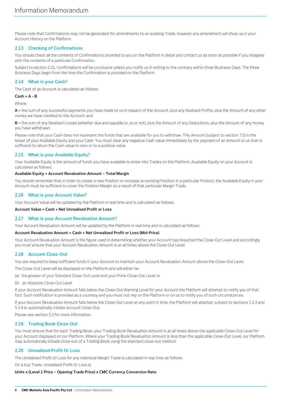Please note that Confirmations may not be generated for amendments to an existing Trade, however any amendment will show up in your Account History on the Platform.

# **2.13 Checking of Confirmations**

You should check all the contents of Confirmations provided to you on the Platform in detail and contact us as soon as possible if you disagree with the contents of a particular Confirmation.

Subject to sectio[n 2.21,](#page-8-0) Confirmations will be conclusive unless you notify us in writing to the contrary within three Business Days. The three Business Days begin from the time the Confirmation is provided on the Platform.

# <span id="page-7-3"></span>**2.14 What is your Cash?**

The Cash of an Account is calculated as follows:

# **Cash = A - B**

Where:

A = the sum of any successful payments you have made to us in respect of the Account, plus any Realised Profits, plus the Amount of any other money we have credited to the Account; and

**B** = the sum of any Realised Losses (whether due and payable to us or not), plus the Amount of any Deductions, plus the Amount of any money you have withdrawn.

Please note that your Cash does not represent the funds that are available for you to withdraw. This Amount (subject to sectio[n 7.5\)](#page-21-0) is the lesser of your Available Equity and your Cash. You must clear any negative Cash value immediately by the payment of an Amount to us that is sufficient to return the Cash value to zero or to a positive value.

# <span id="page-7-2"></span>**2.15 What is your Available Equity?**

Your Available Equity is the amount of funds you have available to enter into Trades on the Platform. Available Equity on your Account is calculated as follows:

# **Available Equity = Account Revaluation Amount – Total Margin**

You should remember that in order to create a new Position or increase an existing Position in a particular Product, the Available Equity in your Account must be sufficient to cover the Position Margin as a result of that particular Margin Trade.

# <span id="page-7-1"></span>**2.16 What is your Account Value?**

Your Account Value will be updated by the Platform in real time and is calculated as follows:

## **Account Value = Cash + Net Unrealised Profit or Loss**

# <span id="page-7-0"></span>**2.17 What is your Account Revaluation Amount?**

Your Account Revaluation Amount will be updated by the Platform in real time and is calculated as follows:

## **Account Revaluation Amount = Cash + Net Unrealised Profit or Loss (Mid-Price)**

Your Account Revaluation Amount is the figure used in determining whether your Account has breached the Close-Out Level and accordingly you must ensure that your Account Revaluation Amount is at all times above the Close-Out Level.

# **2.18 Account Close-Out**

You are required to keep sufficient funds in your Account to maintain your Account Revaluation Amount above the Close-Out Level.

The Close-Out Level will be displayed on the Platform and will either be:

(a) the greater of your Standard Close-Out Level and your Prime Close-Out Level; or

(b) an Absolute Close-Out Level.

If your Account Revaluation Amount falls below the Close-Out Warning Level for your Account the Platform will attempt to notify you of that fact. Such notification is provided as a courtesy and you must not rely on the Platform or on us to notify you of such circumstances.

If your Account Revaluation Amount falls below the Close-Out Level at any point in time, the Platform will attempt, subject to section[s 5.3.3](#page-18-0) and [5.3.4](#page-18-1) to automatically initiate Account Close-Out.

Please see sectio[n 5.3](#page-17-0) for more information.

# **2.19 Trading Book Close-Out**

You must ensure that for each Trading Book, your Trading Book Revaluation Amount is at all times above the applicable Close-Out Level for your Account displayed on our Platform. Where your Trading Book Revaluation Amount is less than the applicable Close-Out Level, our Platform may automatically initiate close-out of a Trading Book using the standard close-out method.

# <span id="page-7-4"></span>**2.20 Unrealised Profit Or Loss**

The Unrealised Profit Or Loss for any individual Margin Trade is calculated in real time as follows:

On a buy Trade, Unrealised Profit Or Loss is:

## **Units x (Level 1 Price – Opening Trade Price) x CMC Currency Conversion Rate**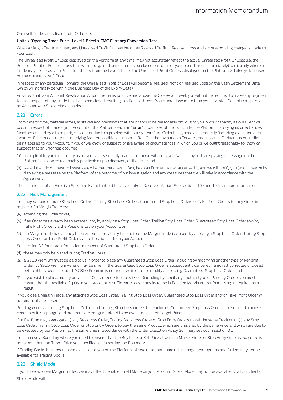On a sell Trade, Unrealised Profit Or Loss is:

#### **Units x (Opening Trade Price –Level 1 Price) x CMC Currency Conversion Rate**

When a Margin Trade is closed, any Unrealised Profit Or Loss becomes Realised Profit or Realised Loss and a corresponding change is made to your Cash.

The Unrealised Profit Or Loss displayed on the Platform at any time, may not accurately reflect the actual Unrealised Profit Or Loss (i.e. the Realised Profit or Realised Loss that would be gained or incurred if you closed one or all of your open Trades immediately) particularly where a Trade may be closed at a Price that differs from the Level 1 Price. The Unrealised Profit Or Loss displayed on the Platform will always be based on the current Level 1 Price.

In respect of any particular Forward, the Unrealised Profit or Loss will become Realised Profit or Realised Loss on the Cash Settlement Date (which will normally be within one Business Day of the Expiry Date).

Provided that your Account Revaluation Amount remains positive and above the Close-Out Level, you will not be required to make any payment to us in respect of any Trade that has been closed resulting in a Realised Loss. You cannot lose more than your Invested Capital in respect of an Account with Shield Mode enabled.

# <span id="page-8-0"></span>**2.21 Errors**

From time to time, material errors, mistakes and omissions that are or should be reasonably obvious to you in your capacity as our Client will occur in respect of Trades, your Account or the Platform (each an "**Error**"). Examples of Errors include: the Platform displaying incorrect Prices (whether caused by a third party supplier or due to a problem with our systems), an Order being handled incorrectly (including execution at an incorrect Price or contrary to Underlying Market conditions), incorrect Roll-Over behaviour on a Forward, and incorrect Deductions or credits being applied to your Account. If you or we know or suspect, or are aware of circumstances in which you or we ought reasonably to know or suspect that an Error has occurred:

- (a) as applicable, you must notify us as soon as reasonably practicable or we will notify you (which may be by displaying a message on the Platform) as soon as reasonably practicable upon discovery of the Error; and
- (b) we will then do our best to investigate whether there has, in fact, been an Error and/or what caused it, and we will notify you (which may be by displaying a message on the Platform) of the outcome of our investigation and any measures that we will take in accordance with the Agreement.

The occurrence of an Error is a Specified Event that entitles us to take a Reserved Action. See section[s 10.4a](#page-31-0)n[d 10.5](#page-32-1) for more information.

## **2.22 Risk Management**

You may set one or more Stop Loss Orders, Trailing Stop Loss Orders, Guaranteed Stop Loss Orders or Take Profit Orders for any Order in respect of a Margin Trade by:

- (a) amending the Order ticket;
- (b) if an Order has already been entered into, by applying a Stop Loss Order, Trailing Stop Loss Order, Guaranteed Stop Loss Order and/or, Take Profit Order via the Positions tab on your Account; or
- (c) if a Margin Trade has already been entered into, at any time before the Margin Trade is closed, by applying a Stop Loss Order, Trailing Stop Loss Order or Take Profit Order via the Positions tab on your Account.

See section [3.2](#page-9-0) for more information.In respect of Guaranteed Stop Loss Orders:

- (d) these may only be placed during Trading Hours;
- (e) a GSLO Premium must be paid to us in order to place any Guaranteed Stop Loss Order (including by modifying another type of Pending Order). A GSLO Premium Refund may be given if the Guaranteed Stop Loss Order is subsequently cancelled, removed, corrected or closed before it has been executed. A GSLO Premium is not required in order to modify an existing Guaranteed Stop Loss Order; and
- (f) if you wish to place, modify or cancel a Guaranteed Stop Loss Order (including by modifying another type of Pending Order), you must ensure that the Available Equity in your Account is sufficient to cover any increase in Position Margin and/or Prime Margin required as a result.

If you close a Margin Trade, any attached Stop Loss Order, Trailing Stop Loss Order, Guaranteed Stop Loss Order and/or Take Profit Order will automatically be closed.

Pending Orders, including Stop Loss Orders and Trailing Stop Loss Orders but excluding Guaranteed Stop Loss Orders, are subject to market conditions (i.e. slippage) and are therefore not guaranteed to be executed at their Target Price.

Our Platform may aggregate: (i) any Stop Loss Order, Trailing Stop Loss Order or Stop Entry Orders to sell the same Product; or (ii) any Stop Loss Order, Trailing Stop Loss Order or Stop Entry Orders to buy the same Product; which are triggered by the same Price and which are due to be executed by our Platform at the same time in accordance with the Order Execution Policy Summary set out in sectio[n 3.1](#page-9-1)

You can use a Boundary where you need to ensure that the Buy Price or Sell Price at which a Market Order or Stop Entry Order is executed is not worse than the Target Price you specified when setting the Boundary.

If Trading Books have been made available to you on the Platform, please note that some risk management options and Orders may not be available for Trading Books.

#### <span id="page-8-1"></span>**2.23 Shield Mode**

If you have no open Margin Trades, we may offer to enable Shield Mode on your Account. Shield Mode may not be available to all our Clients. Shield Mode will: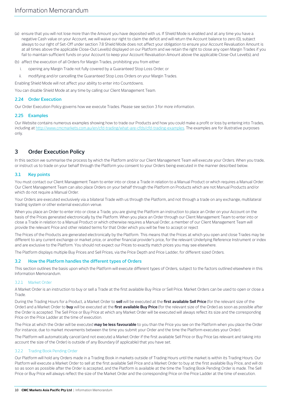- (a) ensure that you will not lose more than the Amount you have deposited with us. If Shield Mode is enabled and at any time you have a negative Cash value on your Account, we will waive our right to claim the deficit and will return the Account balance to zero (0), subject always to our right of Set-Off under section [7.8](#page-23-0) Shield Mode does not affect your obligation to ensure your Account Revaluation Amount is at all times above the applicable Close-Out Level(s) displayed on our Platform and we retain the right to close any open Margin Trades if you fail to maintain sufficient funds on your Account to keep your Account Revaluation Amount above the applicable Close-Out Level(s); and
- (b) affect the execution of all Orders for Margin Trades, prohibiting you from either:
	- i. opening any Margin Trade not fully covered by a Guaranteed Stop Loss Order; or
	- ii. modifying and/or cancelling the Guaranteed Stop Loss Orders on your Margin Trades.

Enabling Shield Mode will not affect your ability to enter into Countdowns.

You can disable Shield Mode at any time by calling our Client Management Team.

# **2.24 Order Execution**

Our Order Execution Policy governs how we execute Trades. Please see section [3](#page-9-2) for more information.

# **2.25 Examples**

Our Website contains numerous examples showing how to trade our Products and how you could make a profit or loss by entering into Trades, including a[t http://www.cmcmarkets.com.au/en/cfd-trading/what-are-cfds/cfd-trading-examples.](http://www.cmcmarkets.com.au/en/cfd-trading/what-are-cfds/cfd-trading-examples) The examples are for illustrative purposes only.

# <span id="page-9-2"></span>**3 Order Execution Policy**

In this section we summarise the process by which the Platform and/or our Client Management Team will execute your Orders. When you trade, or instruct us to trade on your behalf through the Platform you consent to your Orders being executed in the manner described below.

# <span id="page-9-1"></span>**3.1 Key points**

You must contact our Client Management Team to enter into or close a Trade in relation to a Manual Product or which requires a Manual Order. Our Client Management Team can also place Orders on your behalf through the Platform on Products which are not Manual Products and/or which do not require a Manual Order.

Your Orders are executed exclusively via a bilateral Trade with us through the Platform, and not through a trade on any exchange, multilateral trading system or other external execution venue.

When you place an Order to enter into or close a Trade, you are giving the Platform an instruction to place an Order on your Account on the basis of the Prices generated electronically by the Platform. When you place an Order through our Client Management Team to enter into or close a Trade in relation to a Manual Product or which otherwise requires a Manual Order, a member of our Client Management Team will provide the relevant Price and other related terms for that Order which you will be free to accept or reject

The Prices of the Products are generated electronically by the Platform. This means that the Prices at which you open and close Trades may be different to any current exchange or market price, or another financial provider's price, for the relevant Underlying Reference Instrument or index and are exclusive to the Platform. You should not expect our Prices to exactly match prices you may see elsewhere.

The Platform displays multiple Buy Prices and Sell Prices, via the Price Depth and Price Ladder, for different sized Orders.

# <span id="page-9-0"></span>**3.2 How the Platform handles the different types of Orders**

This section outlines the basis upon which the Platform will execute different types of Orders, subject to the factors outlined elsewhere in this Information Memorandum.

# 3.2.1 Market Order

A Market Order is an instruction to buy or sell a Trade at the first available Buy Price or Sell Price. Market Orders can be used to open or close a Trade.

During the Trading Hours for a Product, a Market Order to **sell** will be executed at the **first available Sell Price** (for the relevant size of the Order) and a Market Order to **buy** will be executed at the **first available Buy Price** (for the relevant size of the Order) as soon as possible after the Order is accepted. The Sell Price or Buy Price at which any Market Order will be executed will always reflect its size and the corresponding Price on the Price Ladder at the time of execution.

The Price at which the Order will be executed **may be less favourable** to you than the Price you see on the Platform when you place the Order (for instance, due to market movements between the time you submit your Order and the time the Platform executes your Order).

The Platform will automatically cancel (and not execute) a Market Order if the first available Sell Price or Buy Price (as relevant and taking into account the size of the Order) is outside of any Boundary (if applicable) that you have set.

# 3.2.2 Trading Book Pending Order

Our Platform will hold any Orders made in a Trading Book in markets outside of Trading Hours until the market is within its Trading Hours. Our Platform will execute a Market Order to sell at the first available Sell Price and a Market Order to buy at the first available Buy Price, and will do so as soon as possible after the Order is accepted, and the Platform is available at the time the Trading Book Pending Order is made. The Sell Price or Buy Price will always reflect the size of the Market Order and the corresponding Price on the Price Ladder at the time of execution.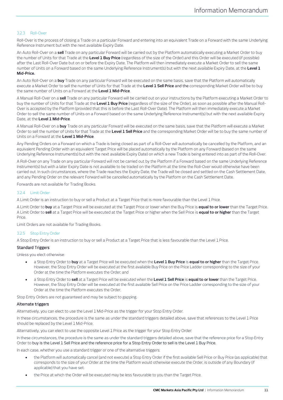# <span id="page-10-0"></span>3.2.3 Roll-Over

Roll-Over is the process of closing a Trade on a particular Forward and entering into an equivalent Trade on a Forward with the same Underlying Reference Instrument but with the next available Expiry Date.

An Auto Roll-Over on a **sell** Trade on any particular Forward will be carried out by the Platform automatically executing a Market Order to buy the number of Units for that Trade at the **Level 1 Buy Price** (regardless of the size of the Order) and this Order will be executed (if possible) after the Last Roll-Over Date but on or before the Expiry Date. The Platform will then immediately execute a Market Order to sell the same number of Units on a Forward based on the same Underlying Reference Instrument(s) but with the next available Expiry Date, at the **Level 1 Mid-Price.**

An Auto Roll-Over on a **buy** Trade on any particular Forward will be executed on the same basis, save that the Platform will automatically execute a Market Order to sell the number of Units for that Trade at the **Level 1 Sell Price** and the corresponding Market Order will be to buy the same number of Units on a Forward at the **Level 1 Mid-Price**.

A Manual Roll-Over on a **sell** Trade on any particular Forward will be carried out on your instructions by the Platform executing a Market Order to buy the number of Units for that Trade at the **Level 1 Buy Price** (regardless of the size of the Order), as soon as possible after the Manual Roll-Over is accepted by the Platform (provided that this is before the Last Roll-Over Date). The Platform will then immediately execute a Market Order to sell the same number of Units on a Forward based on the same Underlying Reference Instrument(s) but with the next available Expiry Date, at the **Level 1 Mid-Price**.

A Manual Roll-Over on a **buy** Trade on any particular Forward will be executed on the same basis, save that the Platform will execute a Market Order to sell the number of Units for that Trade at the **Level 1 Sell Price** and the corresponding Market Order will be to buy the same number of Units on a Forward at the **Level 1 Mid-Price**.

Any Pending Orders on a Forward on which a Trade is being closed as part of a Roll-Over will automatically be cancelled by the Platform, and an equivalent Pending Order with an equivalent Target Price will be placed automatically by the Platform on any Forward (based on the same Underlying Reference Instrument(s) but with the next available Expiry Date) on which a new Trade is being entered into as part of the Roll-Over.

A Roll-Over on any Trade on any particular Forward will not be carried out by the Platform if a Forward based on the same Underlying Reference Instrument(s) but with a later Expiry Date is not available to be traded on the Platform at the time the Roll-Over would otherwise have been carried out. In such circumstances, where the Trade reaches the Expiry Date, the Trade will be closed and settled on the Cash Settlement Date, and any Pending Order on the relevant Forward will be cancelled automatically by the Platform on the Cash Settlement Date.

Forwards are not available for Trading Books.

#### <span id="page-10-1"></span>3.2.4 Limit Order

A Limit Order is an instruction to buy or sell a Product at a Target Price that is more favourable than the Level 1 Price.

A Limit Order to **buy** at a Target Price will be executed at the Target Price or lower when the Buy Price is **equal to or lower** than the Target Price. A Limit Order to **sell** at a Target Price will be executed at the Target Price or higher when the Sell Price is **equal to or higher** than the Target Price.

Limit Orders are not available for Trading Books.

## 3.2.5 Stop Entry Order

A Stop Entry Order is an instruction to buy or sell a Product at a Target Price that is less favourable than the Level 1 Price.

# Standard Triggers

Unless you elect otherwise:

- a Stop Entry Order to **buy** at a Target Price will be executed when the **Level 1 Buy Price** is **equal to or higher** than the Target Price. However, the Stop Entry Order will be executed at the first available Buy Price on the Price Ladder corresponding to the size of your Order at the time the Platform executes the Order; and
- a Stop Entry Order to **sell** at a Target Price will be executed when the **Level 1 Sell Price** is **equal to or lower** than the Target Price. However, the Stop Entry Order will be executed at the first available Sell Price on the Price Ladder corresponding to the size of your Order at the time the Platform executes the Order.

Stop Entry Orders are not guaranteed and may be subject to gapping.

## Alternate triggers

Alternatively, you can elect to use the Level 1 Mid-Price as the trigger for your Stop Entry Order.

In these circumstances, the procedure is the same as under the standard triggers detailed above, save that references to the Level 1 Price should be replaced by the Level 1 Mid-Price.

Alternatively, you can elect to use the opposite Level 1 Price as the trigger for your Stop Entry Order:

In these circumstances, the procedure is the same as under the standard triggers detailed above, save that the reference price for a Stop Entry Order to buy is the Level 1 Sell Price and the reference price for a Stop Entry Order to sell is the Level 1 Buy Price.

In each case, whether you use a standard trigger or one of the alternative triggers:

- the Platform will automatically cancel (and not execute) a Stop Entry Order if the first available Sell Price or Buy Price (as applicable) that corresponds to the size of your Order at the time the Platform would otherwise execute the Order, is outside of any Boundary (if applicable) that you have set.
- the Price at which the Order will be executed may be less favourable to you than the Target Price.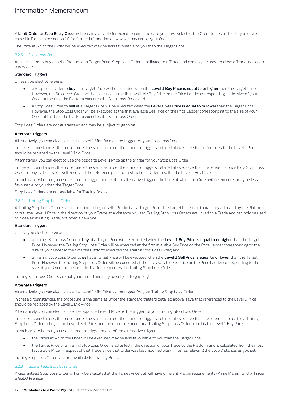A **Limit Order** or **Stop Entry Order** will remain available for execution until the date you have selected the Order to be valid to, or you or we cancel it. Please see sectio[n 10](#page-28-1) for further information on why we may cancel your Order.

The Price at which the Order will be executed may be less favourable to you than the Target Price.

# <span id="page-11-1"></span>3.2.6 Stop Loss Order

An instruction to buy or sell a Product at a Target Price. Stop Loss Orders are linked to a Trade and can only be used to close a Trade, not open a new one.

# Standard Triggers

Unless you elect otherwise:

- a Stop Loss Order to **buy** at a Target Price will be executed when the **Level 1 Buy Price is equal to or higher** than the Target Price. However, the Stop Loss Order will be executed at the first available Buy Price on the Price Ladder corresponding to the size of your Order at the time the Platform executes the Stop Loss Order; and
- a Stop Loss Order to **sell** at a Target Price will be executed when the **Level 1 Sell Price is equal to or lower** than the Target Price. However, the Stop Loss Order will be executed at the first available Sell Price on the Price Ladder corresponding to the size of your Order at the time the Platform executes the Stop Loss Order.

Stop Loss Orders are not guaranteed and may be subject to gapping.

# Alternate triggers

Alternatively, you can elect to use the Level 1 Mid-Price as the trigger for your Stop Loss Order.

In these circumstances, the procedure is the same as under the standard triggers detailed above, save that references to the Level 1 Price should be replaced by the Level 1 Mid-Price.

Alternatively, you can elect to use the opposite Level 1 Price as the trigger for your Stop Loss Order.

In these circumstances, the procedure is the same as under the standard triggers detailed above, save that the reference price for a Stop Loss Order to buy is the Level 1 Sell Price, and the reference price for a Stop Loss Order to sell is the Level 1 Buy Price.

In each case, whether you use a standard trigger or one of the alternative triggers the Price at which the Order will be executed may be less favourable to you than the Target Price.

Stop Loss Orders are not available for Trading Books.

# <span id="page-11-2"></span>3.2.7 Trailing Stop Loss Order

A Trailing Stop Loss Order is an instruction to buy or sell a Product at a Target Price. The Target Price is automatically adjusted by the Platform to trail the Level 1 Price in the direction of your Trade at a distance you set. Trailing Stop Loss Orders are linked to a Trade and can only be used to close an existing Trade, not open a new one.

# Standard Triggers

Unless you elect otherwise:

- a Trailing Stop Loss Order to **buy** at a Target Price will be executed when the **Level 1 Buy Price is equal to or higher** than the Target Price. However, the Trailing Stop Loss Order will be executed at the first available Buy Price on the Price Ladder corresponding to the size of your Order at the time the Platform executes the Trailing Stop Loss Order; and
- a Trailing Stop Loss Order to **sell** at a Target Price will be executed when the **Level 1 Sell Price is equal to or lower** than the Target Price. However, the Trailing Stop Loss Order will be executed at the first available Sell Price on the Price Ladder corresponding to the size of your Order at the time the Platform executes the Trailing Stop Loss Order.

Trailing Stop Loss Orders are not guaranteed and may be subject to gapping.

## Alternate triggers

Alternatively, you can elect to use the Level 1 Mid-Price as the trigger for your Trailing Stop Loss Order.

In these circumstances, the procedure is the same as under the standard triggers detailed above, save that references to the Level 1 Price should be replaced by the Level 1 Mid-Price.

Alternatively, you can elect to use the opposite Level 1 Price as the trigger for your Trailing Stop Loss Order.

In these circumstances, the procedure is the same as under the standard triggers detailed above, save that the reference price for a Trailing Stop Loss Order to buy is the Level 1 Sell Price, and the reference price for a Trailing Stop Loss Order to sell is the Level 1 Buy Price.

In each case, whether you use a standard trigger or one of the alternative triggers:

- the Prices at which the Order will be executed may be less favourable to you than the Target Price.
- the Target Price of a Trailing Stop Loss Order is adjusted in the direction of your Trade by the Platform and is calculated from the most favourable Price in respect of that Trade since that Order was last modified plus/minus (as relevant) the Stop Distance, as you set.

Trailing Stop Loss Orders are not available for Trading Books.

## <span id="page-11-0"></span>3.2.8 Guaranteed Stop Loss Order

A Guaranteed Stop Loss Order will only be executed at the Target Price but will have different Margin requirements (Prime Margin) and will incur a GSLO Premium.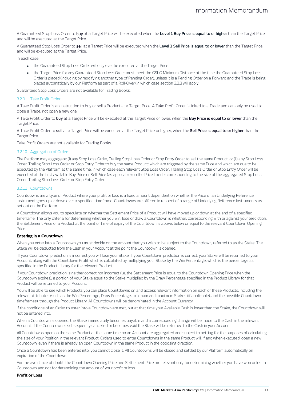A Guaranteed Stop Loss Order to buy at a Target Price will be executed when the **Level 1 Buy Price is equal to or higher** than the Target Price and will be executed at the Target Price.

A Guaranteed Stop Loss Order to sell at a Target Price will be executed when the **Level 1 Sell Price is equal to or lower** than the Target Price and will be executed at the Target Price.

In each case:

- the Guaranteed Stop Loss Order will only ever be executed at the Target Price.
- the Target Price for any Guaranteed Stop Loss Order must meet the GSLO Minimum Distance at the time the Guaranteed Stop Loss Order is placed (including by modifying another type of Pending Order), unless it is a Pending Order on a Forward and the Trade is being placed automatically by our Platform as part of a Roll-Over (in which case sectio[n 3.2.3](#page-10-0) will apply.

Guaranteed Stop Loss Orders are not available for Trading Books.

## <span id="page-12-1"></span>3.2.9 Take Profit Order

A Take Profit Order is an instruction to buy or sell a Product at a Target Price. A Take Profit Order is linked to a Trade and can only be used to close a Trade, not open a new one.

A Take Profit Order to **buy** at a Target Price will be executed at the Target Price or lower, when the **Buy Price is equal to or lower** than the Target Price.

A Take Profit Order to **sell** at a Target Price will be executed at the Target Price or higher, when the **Sell Price is equal to or higher** than the Target Price.

Take Profit Orders are not available for Trading Books.

#### 3.2.10 Aggregation of Orders

The Platform may aggregate: (i) any Stop Loss Order, Trailing Stop Loss Order or Stop Entry Order to sell the same Product; or (ii) any Stop Loss Order, Trailing Stop Loss Order or Stop Entry Order to buy the same Product; which are triggered by the same Price and which are due to be executed by the Platform at the same time, in which case each relevant Stop Loss Order, Trailing Stop Loss Order or Stop Entry Order will be executed at the first available Buy Price or Sell Price (as applicable) on the Price Ladder corresponding to the size of the aggregated Stop Loss Order, Trailing Stop Loss Order or Stop Entry Order.

#### <span id="page-12-0"></span>3.2.11 Countdowns

Countdowns are a type of Product where your profit or loss is a fixed amount dependent on whether the Price of an Underlying Reference Instrument goes up or down over a specified timeframe. Countdowns are offered in respect of a range of Underlying Reference Instruments as set out on the Platform.

A Countdown allows you to speculate on whether the Settlement Price of a Product will have moved up or down at the end of a specified timeframe. The only criteria for determining whether you win, lose or draw a Countdown is whether, corresponding with or against your prediction, the Settlement Price of a Product at the point of time of expiry of the Countdown is above, below or equal to the relevant Countdown Opening Price.

## **Entering in a Countdown**

When you enter into a Countdown you must decide on the amount that you wish to be subject to the Countdown, referred to as the Stake. The Stake will be deducted from the Cash in your Account at the point the Countdown is opened.

If your Countdown prediction is incorrect you will lose your Stake. If your Countdown prediction is correct, your Stake will be returned to your Account, along with the Countdown Profit which is calculated by multiplying your Stake by the Win Percentage, which is the percentage as specified in the Product Library for the relevant Product.

If your Countdown prediction is neither correct nor incorrect (i.e. the Settlement Price is equal to the Countdown Opening Price when the Countdown expires), a portion of your Stake equal to the Stake multiplied by the Draw Percentage specified in the Product Library for that Product will be returned to your Account.

You will be able to see which Products you can place Countdowns on and access relevant information on each of these Products, including the relevant Attributes (such as the Win Percentage, Draw Percentage, minimum and maximum Stakes (if applicable), and the possible Countdown timeframes), through the Product Library. All Countdowns will be denominated in the Account Currency.

If the conditions of an Order to enter into a Countdown are met, but at that time your Available Cash is lower than the Stake, the Countdown will not be entered into.

When a Countdown is opened, the Stake immediately becomes payable and a corresponding change will be made to the Cash in the relevant Account. If the Countdown is subsequently cancelled or becomes void the Stake will be returned to the Cash in your Account.

All Countdowns open on the same Product at the same time on an Account are aggregated and subject to netting for the purposes of calculating the size of your Position in the relevant Product. Orders used to enter Countdowns in the same Product will, if and when executed, open a new Countdown, even if there is already an open Countdown in the same Product in the opposing direction.

Once a Countdown has been entered into, you cannot close it. All Countdowns will be closed and settled by our Platform automatically on expiration of the Countdown.

For the avoidance of doubt, the Countdown Opening Price and Settlement Price are relevant only for determining whether you have won or lost a Countdown and not for determining the amount of your profit or loss

## **Profit or Loss**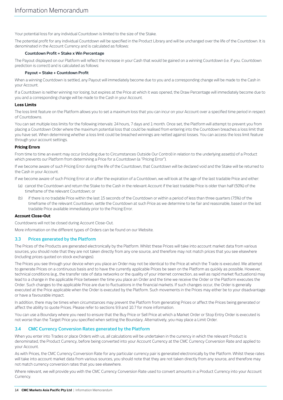Your potential loss for any individual Countdown is limited to the size of the Stake.

The potential profit for any individual Countdown will be specified in the Product Library and will be unchanged over the life of the Countdown. It is denominated in the Account Currency and is calculated as follows:

## **Countdown Profit = Stake x Win Percentage**

The Payout displayed on our Platform will reflect the increase in your Cash that would be gained on a winning Countdown (i.e. if you. Countdown prediction is correct) and is calculated as follows:

#### **Payout = Stake + Countdown Profit**

When a winning Countdown is settled, any Payout will immediately become due to you and a corresponding change will be made to the Cash in your Account.

If a Countdown is neither winning nor losing, but expires at the Price at which it was opened, the Draw Percentage will immediately become due to you and a corresponding change will be made to the Cash in your Account.

## **Loss Limits**

The loss limit feature on the Platform allows you to set a maximum loss that you can incur on your Account over a specified time period in respect of Countdowns.

You can set multiple loss limits for the following intervals: 24 hours, 7 days and 1 month. Once set, the Platform will attempt to prevent you from placing a Countdown Order where the maximum potential loss that could be realised from entering into the Countdown breaches a loss limit that you have set. When determining whether a loss limit could be breached winnings are netted against losses. You can access the loss limit feature through your account settings.

#### **Pricing Errors**

From time to time an event may occur (including due to Circumstances Outside Our Control) in relation to the underlying asset(s) of a Product which prevents our Platform from determining a Price for a Countdown (a "Pricing Error").

If we become aware of such Pricing Error during the life of the Countdown, that Countdown will be declared void and the Stake will be returned to the Cash in your Account.

If we become aware of such Pricing Error at or after the expiration of a Countdown, we will look at the age of the last tradable Price and either:

- (a) cancel the Countdown and return the Stake to the Cash in the relevant Account if the last tradable Price is older than half (50%) of the timeframe of the relevant Countdown; or
- (b) if there is no tradable Price within the last 15 seconds of the Countdown or within a period of less than three quarters (75%) of the timeframe of the relevant Countdown, settle the Countdown at such Price as we determine to be fair and reasonable, based on the last tradable Price available immediately prior to the Pricing Error.

## **Account Close-Out**

Countdowns will not be closed during Account Close-Out.

More information on the different types of Orders can be found on our Website.

## **3.3 Prices generated by the Platform**

The Prices of the Products are generated electronically by the Platform. Whilst these Prices will take into account market data from various sources, you should note that they are not taken directly from any one source, and therefore may not match prices that you see elsewhere (including prices quoted on stock exchanges).

The Prices you see through your device when you place an Order may not be identical to the Price at which the Trade is executed. We attempt to generate Prices on a continuous basis and to have the currently applicable Prices be seen on the Platform as quickly as possible. However, technical conditions (e.g., the transfer rate of data networks or the quality of your internet connection, as well as rapid market fluctuations) may lead to a change in the applicable Price between the time you place an Order and the time we receive the Order or the Platform executes the Order. Such changes to the applicable Price are due to fluctuations in the financial markets. If such changes occur, the Order is generally executed at the Price applicable when the Order is executed by the Platform. Such movements in the Prices may either be to your disadvantage or have a favourable impact.

In addition, there may be times when circumstances may prevent the Platform from generating Prices or affect the Prices being generated or affect the ability to quote Prices. Please refer to section[s 9.9](#page-26-1) an[d 10.7](#page-32-0) for more information.

You can use a Boundary where you need to ensure that the Buy Price or Sell Price at which a Market Order or Stop Entry Order is executed is not worse than the Target Price you specified when setting the Boundary. Alternatively, you may place a Limit Order.

# **3.4 CMC Currency Conversion Rates generated by the Platform**

When you enter into Trades or place Orders with us, all calculations will be undertaken in the currency in which the relevant Product is denominated, the Product Currency, before being converted into your Account Currency at the CMC Currency Conversion Rate and applied to your Account.

As with Prices, the CMC Currency Conversion Rate for any particular currency pair is generated electronically by the Platform. Whilst these rates will take into account market data from various sources, you should note that they are not taken directly from any source, and therefore may not match currency conversion rates that you see elsewhere.

Where relevant, we will provide you with the CMC Currency Conversion Rate used to convert amounts in a Product Currency into your Account Currency.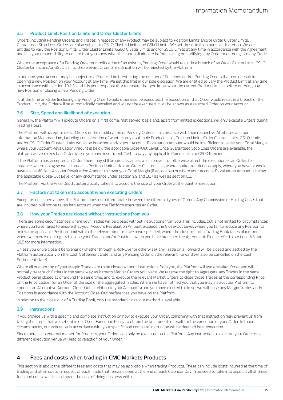# **3.5 Product Limit, Position Limits and Order Cluster Limits**

Orders (including Pending Orders) and Trades in respect of any Product may be subject to Position Limits and/or Order Cluster Limits. Guaranteed Stop Loss Orders are also subject to GSLO Cluster Limits and GSLO Limits. We set these limits in our sole discretion. We are entitled to vary the Position Limits, Order Cluster Limits, GSLO Cluster Limits and/or GSLO Limits at any time in accordance with the Agreement and it is your responsibility to ensure that you know what the current limits are before placing or modifying any Order or entering into any Trade.

Where the acceptance of a Pending Order or modification of an existing Pending Order would result in a breach of an Order Cluster Limit, GSLO Cluster Limits and/or GSLO Limits, the relevant Order or modification will be rejected by the Platform.

In addition, your Account may be subject to a Product Limit restricting the number of Positions and/or Pending Orders that could result in opening a new Position on your Account at any time. We set this limit in our sole discretion. We are entitled to vary the Product Limit at any time in accordance with section [10.2.3.](#page-29-1) and it is your responsibility to ensure that you know what the current Product Limit is before entering any new Position or placing a new Pending Order.

If, at the time an Order (including any Pending Order) would otherwise be executed, the execution of that Order would result in a breach of the Product Limit, the Order will be automatically cancelled and will not be executed. It will be shown as a rejected Order on your Account.

# **3.6 Size, Speed and likelihood of execution**

Generally, the Platform will execute Orders on a 'first come, first served' basis and, apart from limited exceptions, will only execute Orders during Trading Hours.

The Platform will accept or reject Orders or the modification of Pending Orders in accordance with their respective Attributes and our Information Memorandum, including consideration of whether any applicable Product Limit, Position Limits, Order Cluster Limits, GSLO Limits and/or GSLO Order Cluster Limits would be breached and/or your Account Revaluation Amount would be insufficient to cover your Total Margin, where your Account Revaluation Amount is below the applicable Close-Out Level. Once Guaranteed Stop Loss Orders are available, the platform will also reject an Order where you have insufficient Cash to pay any applicable Commission or GSLO Premium.

If the Platform has accepted an Order, there may still be circumstances which prevent or otherwise affect the execution of an Order, for instance, where doing so would breach a Position Limit and/or an Order Cluster Limit, where market restrictions apply, where you have or would have an insufficient Account Revaluation Amount to cover your Total Margin (if applicable) or where your Account Revaluation Amount is below the applicable Close-Out Level or any circumstance under sectio[n 9.9](#page-26-1) an[d 10.7](#page-32-0) as well as sectio[n 6.1.](#page-19-0)

The Platform, via the Price Depth, automatically takes into account the size of your Order at the point of execution.

# **3.7 Factors not taken into account when executing Orders**

Except as described above, the Platform does not differentiate between the different types of Orders. Any Commission or Holding Costs that are incurred, will not be taken into account when the Platform executes an Order.

# **3.8 How your Trades are closed without instructions from you**

There are some circumstances where your Trades will be closed without instructions from you. This includes, but is not limited to, circumstances where you have failed to ensure that your Account Revaluation Amount exceeds the Close-Out Level, where you fail to reduce any Position to below the applicable Position Limit within the relevant time limit we have specified, where the close-out of a Trading Book takes place, and where we exercise our rights to close your Trades and/or Positions when you have breached the Agreement. Please refer to section[s 5.3](#page-17-0) and [10.5](#page-32-1) for more information.

Unless you or we close it beforehand (whether through a Roll-Over or otherwise), any Trade on a Forward will be closed and settled by the Platform automatically on the Cash Settlement Date (and any Pending Order on the relevant Forward will also be cancelled on the Cash Settlement Date).

Where all or a portion of your Margin Trades are to be closed without instructions from you, the Platform will use a Market Order and will normally treat such Orders in the same way as it treats Market Orders you place. We reserve the right to aggregate any Trades in the same Product being closed at or around the same time, and to execute the relevant Market Orders to close those Trades at the corresponding Price on the Price Ladder for an Order of the size of the aggregated Trades. Where we have notified you that you may instruct our Platform to conduct an Alternative Account Close-Out in relation to your Account(s) and you have elected to do so, we will close any Margin Trades and/or Positions in accordance with the Account Close-Out preferences you have on the Platform.

In relation to the close-out of a Trading Book, only the standard close-out method is available.

# **3.9 Instructions**

If you provide us with a specific and complete instruction on how to execute your Order, complying with that instruction may prevent us from taking the steps that we set out in our Order Execution Policy to obtain the best possible result for the execution of your Order. In those circumstances, our execution in accordance with your specific and complete instruction will be deemed best execution.

Since there is no external market for Products, your Orders can only be executed on the Platform. Any instruction to execute your Order on a different execution venue will lead to rejection of your Order.

# **4 Fees and costs when trading in CMC Markets Products**

This section is about the different fees and costs that may be applicable when trading Products. These can include costs incurred at the time of trading and other costs in respect of each Trade that remains open at the end of each Calendar Day. You need to take into account all of these fees and costs, which can impact the cost of doing business with us.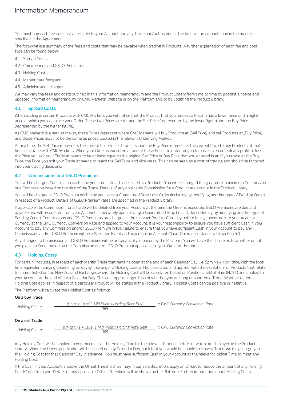You must pay each fee and cost applicable to your Account and any Trade and/or Position at the time, in the amounts and in the manner specified in the Agreement.

The following is a summary of the fees and costs that may be payable when trading in Products. A further explanation of each fee and cost type can be found below:

- [4.1](#page-15-0) Spread Costs;
- [4.2](#page-15-1) Commissions and GSLO Premiums;
- [4.3](#page-15-2) Holding Costs;
- [4.4](#page-16-2) Market data fees; and
- [4.5](#page-16-3) Administration charges.

We may vary the fees and costs outlined in this Information Memorandum and the Product Library from time to time by posting a notice and updated Information Memorandum on CMC Markets' Website or on the Platform and/or by updating the Product Library.

# <span id="page-15-0"></span>**4.1 Spread Costs**

When trading in certain Products with CMC Markets you will notice that the Product that you request a Price in has a lower price and a higher price at which you can place your Order. These two Prices are termed the Sell Price (represented by the lower figure) and the Buy Price (represented by the higher figure).

As CMC Markets is a market maker, these Prices represent where CMC Markets will buy Products at (Sell Price) and sell Products at (Buy Price) and these Prices may not be the same as prices quoted in the relevant Underlying Market.

At any time, the Sell Price represents the current Price to sell Products, and the Buy Price represents the current Price to buy Products at that time in a Trade with CMC Markets. When your Order is executed at one of these Prices, in order for you to break even or realise a profit or loss, the Price you exit your Trade at needs to be at least equal to the original Sell Price or Buy Price that you entered in at; if you trade at the Buy Price, the Price you exit your Trade at needs to reach the Sell Price and vice versa. This can be seen as a cost of trading and should be factored into your trading decisions.

# <span id="page-15-1"></span>**4.2 Commissions and GSLO Premiums**

You will be charged Commission each time you enter into a Trade in certain Products. You will be charged the greater of: a minimum Commission or a Commission based on the size of the Trade. Details of any applicable Commission for a Product are set out in the Product Library.

You will be charged a GSLO Premium each time you place a Guaranteed Stop Loss Order (including by modifying another type of Pending Order) in respect of a Product. Details of GSLO Premium rates are specified in the Product Library.

If applicable, the Commission for a Trade will be debited from your Account at the time the Order is executed. GSLO Premiums are due and payable and will be debited from your Account immediately upon placing a Guaranteed Stop Loss Order (including by modifying another type of Pending Order). Commissions and GSLO Premiums are charged in the relevant Product Currency before being converted into your Account Currency at the CMC Currency Conversion Rate and applied to your Account. It is your responsibility to ensure you have sufficient Cash in your Account to pay any Commission and/or GSLO Premium in full. Failure to ensure that you have sufficient Cash in your Account to pay any Commissions and/or GSLO Premium will be a Specified Event and may result in Account Close-Out in accordance with sectio[n 5.3.](#page-17-0)

Any changes to Commission and GSLO Premiums will be automatically imposed by the Platform. You will have the choice as to whether or not you place an Order based on the Commission and/or GSLO Premium applicable to your Order at that time.

# <span id="page-15-2"></span>**4.3 Holding Costs**

For certain Products, in respect of each Margin Trade that remains open at the end of each Calendar Day (i.e. 5pm New York time, with the local time equivalent varying depending on daylight savings), a Holding Cost will be calculated and applied, with the exception for Products that relate to shares listed on the New Zealand Exchange, where the Holding Cost will be calculated based on Positions held at 9am (NZST) and applied to your Account at the end of each Calendar Day. This cost applies regardless of whether you are long or short on a Trade. Whether or not a Holding Cost applies in respect of a particular Product will be stated in the Product Library. Holding Costs can be positive or negative.

The Platform will calculate the Holding Cost as follows:

## **On a buy Trade**

| Holding $Cost =$ | (Units x Level 1 Mid Price x Holding Rate Buy)<br>365 | x CMC Currency Conversion Rate |
|------------------|-------------------------------------------------------|--------------------------------|
| On a sell Trade  |                                                       |                                |
| Holding $Cost =$ | (Units x -1 x Level 1 Mid Price x Holding Rate Sell)  | x CMC Currency Conversion Rate |

Any Holding Cost will be applied to your Account at the Holding Time for the relevant Product, details of which are displayed in the Product Library. Where an Underlying Market will be closed on any Calendar Day, such that you would be unable to close a Trade, we may charge you the Holding Cost for that Calendar Day in advance. You must have sufficient Cash in your Account at the relevant Holding Time to meet any Holding Cost.

If the Cash in your Account is above the Offset Threshold, we may, in our sole discretion, apply an Offset to reduce the amount of any Holding Cost(s) due from you. Details of any applicable Offset Threshold will be shown on the Platform. Further information about Holding Costs,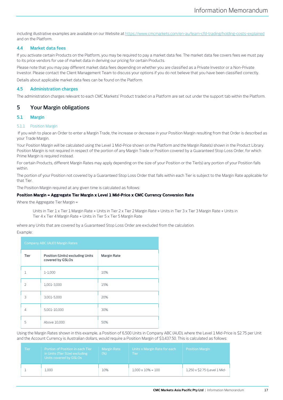including illustrative examples are available on our Website a[t https://www.cmcmarkets.com/en-au/learn-cfd-trading/holding-costs-explained](https://www.cmcmarkets.com/en-au/learn-cfd-trading/holding-costs-explained) and on the Platform.

# <span id="page-16-2"></span>**4.4 Market data fees**

If you activate certain Products on the Platform, you may be required to pay a market data fee. The market data fee covers fees we must pay to its price vendors for use of market data in deriving our pricing for certain Products.

Please note that you may pay different market data fees depending on whether you are classified as a Private Investor or a Non-Private Investor. Please contact the Client Management Team to discuss your options if you do not believe that you have been classified correctly.

Details about applicable market data fees can be found on the Platform.

## <span id="page-16-3"></span>**4.5 Administration charges**

The administration charges relevant to each CMC Markets' Product traded on a Platform are set out under the support tab within the Platform.

# <span id="page-16-1"></span>**5 Your Margin obligations**

# <span id="page-16-0"></span>**5.1 Margin**

## <span id="page-16-4"></span>5.1.1 Position Margin

If you wish to place an Order to enter a Margin Trade, the increase or decrease in your Position Margin resulting from that Order is described as your Trade Margin.

Your Position Margin will be calculated using the Level 1 Mid-Price shown on the Platform and the Margin Rate(s) shown in the Product Library. Position Margin is not required in respect of the portion of any Margin Trade or Position covered by a Guaranteed Stop Loss Order, for which Prime Margin is required instead.

For certain Products, different Margin Rates may apply depending on the size of your Position or the Tier(s) any portion of your Position falls within.

The portion of your Position not covered by a Guaranteed Stop Loss Order that falls within each Tier is subject to the Margin Rate applicable for that Tier.

The Position Margin required at any given time is calculated as follows:

#### **Position Margin = Aggregate Tier Margin x Level 1 Mid-Price x CMC Currency Conversion Rate**

Where the Aggregate Tier Margin =

Units in Tier 1 x Tier 1 Margin Rate + Units in Tier 2 x Tier 2 Margin Rate + Units in Tier 3 x Tier 3 Margin Rate + Units in Tier 4 x Tier 4 Margin Rate + Units in Tier 5 x Tier 5 Margin Rate

where any Units that are covered by a Guaranteed Stop Loss Order are excluded from the calculation.

#### **Example**

| Company ABC (AUD) Margin Rates |                                                      |             |  |  |
|--------------------------------|------------------------------------------------------|-------------|--|--|
| <b>Tier</b>                    | Position (Units) excluding Units<br>covered by GSLOs | Margin Rate |  |  |
| ı                              | $1 - 1,000$                                          | 10%         |  |  |
| $\mathcal{P}$                  | 1,001-3,000                                          | 15%         |  |  |
| 3                              | 3,001-5,000                                          | 20%         |  |  |
| 4                              | 5,001-10,000                                         | 30%         |  |  |
| 5                              | Above 10,000                                         | 50%         |  |  |

Using the Margin Rates shown in this example, a Position of 6,500 Units in Company ABC (AUD), where the Level 1 Mid-Price is \$2.75 per Unit and the Account Currency is Australian dollars, would require a Position Margin of \$3,437.50. This is calculated as follows:

| Tien | Portion of Position in each Tier<br>in Units (Tier Size) excluding<br>Units covered by GSLOs | <b>Margin Rate</b><br>$(\%)$ | Units x Margin Rate for each<br>Tierz | <b>Position Margin</b>       |
|------|----------------------------------------------------------------------------------------------|------------------------------|---------------------------------------|------------------------------|
|      | 1.000                                                                                        | 10%                          | $1.000 \times 10\% = 100$             | 1,250 x \$2.75 (Level 1 Mid- |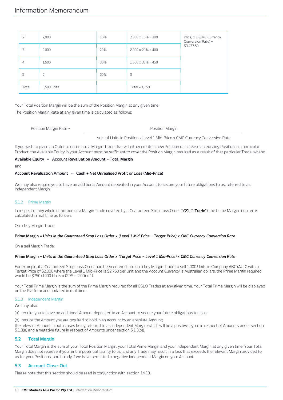| $\mathcal{L}$ | 2,000       | 15% | $2,000 \times 15\% = 300$ | Price) x 1 (CMC Currency<br>Conversion Rate) = |
|---------------|-------------|-----|---------------------------|------------------------------------------------|
| 3             | 2,000       | 20% | $2,000 \times 20\% = 400$ | \$3,437.50                                     |
| 4             | 1,500       | 30% | $1,500 \times 30\% = 450$ |                                                |
| 5             | U           | 50% | $\circ$                   |                                                |
| Total         | 6,500 units |     | Total = $1,250$           |                                                |

Your Total Position Margin will be the sum of the Position Margin at any given time.

The Position Margin Rate at any given time is calculated as follows:

Position Margin Rate = Position Margin Rate =

sum of Units in Position x Level 1 Mid-Price x CMC Currency Conversion Rate

If you wish to place an Order to enter into a Margin Trade that will either create a new Position or increase an existing Position in a particular Product, the Available Equity in your Account must be sufficient to cover the Position Margin required as a result of that particular Trade, where:

## **Available Equity = Account Revaluation Amount – Total Margin**

and

#### **Account Revaluation Amount = Cash + Net Unrealised Profit or Loss (Mid-Price)**

We may also require you to have an additional Amount deposited in your Account to secure your future obligations to us, referred to as Independent Margin.

## <span id="page-17-4"></span>5.1.2 Prime Margin

In respect of any whole or portion of a Margin Trade covered by a Guaranteed Stop Loss Order ("GSLO Trade"), the Prime Margin required is calculated in real time as follows:

On a buy Margin Trade:

#### **Prime Margin =** *Units in the Guaranteed Stop Loss Order x (Level 1 Mid-Price – Target Price) x CMC Currency Conversion Rate*

On a sell Margin Trade:

#### **Prime Margin =** *Units in the Guaranteed Stop Loss Order x (Target Price – Level 1 Mid-Price) x CMC Currency Conversion Rate*

For example, if a Guaranteed Stop Loss Order had been entered into on a buy Margin Trade to sell 1,000 Units in Company ABC (AUD) with a Target Price of \$2.000 where the Level 1 Mid-Price is \$2.750 per Unit and the Account Currency is Australian dollars, the Prime Margin required would be \$750 (1000 Units x (2.75 – 2.00) x 1).

Your Total Prime Margin is the sum of the Prime Margin required for all GSLO Trades at any given time. Your Total Prime Margin will be displayed on the Platform and updated in real time.

#### <span id="page-17-1"></span>5.1.3 Independent Margin

We may also:

<span id="page-17-2"></span>(a) require you to have an additional Amount deposited in an Account to secure your future obligations to us; or

<span id="page-17-3"></span>(b) reduce the Amount you are required to hold in an Account by an absolute Amount;

the relevant Amount in both cases being referred to as Independent Margin (which will be a positive figure in respect of Amounts under section [5.1.3](#page-17-1)[\(a\)](#page-17-2) and a negative figure in respect of Amounts under sectio[n 5.1.3](#page-17-1)[\(b\)\).](#page-17-3)

## **5.2 Total Margin**

Your Total Margin is the sum of your Total Position Margin, your Total Prime Margin and your Independent Margin at any given time. Your Total Margin does not represent your entire potential liability to us, and any Trade may result in a loss that exceeds the relevant Margin provided to us for your Positions, particularly if we have permitted a negative Independent Margin on your Account.

# <span id="page-17-0"></span>**5.3 Account Close-Out**

Please note that this section should be read in conjunction with section [14.10.](#page-41-0)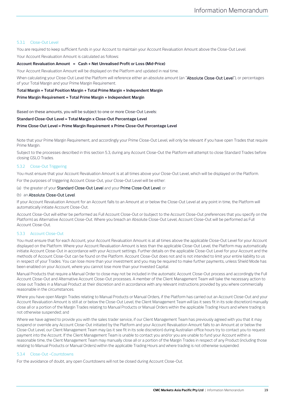## <span id="page-18-2"></span>5.3.1 Close-Out Level

You are required to keep sufficient funds in your Account to maintain your Account Revaluation Amount above the Close-Out Level. Your Account Revaluation Amount is calculated as follows:

## **Account Revaluation Amount = Cash + Net Unrealised Profit or Loss (Mid-Price)**

Your Account Revaluation Amount will be displayed on the Platform and updated in real time.

When calculating your Close-Out Level the Platform will reference either an absolute amount (an "Absolute Close-Out Level"), or percentages of your Total Margin and your Prime Margin Requirement.

# **Total Margin = Total Position Margin + Total Prime Margin + Independent Margin**

#### **Prime Margin Requirement = Total Prime Margin + Independent Margin**

Based on these amounts, you will be subject to one or more Close-Out Levels:

#### **Standard Close-Out Level = Total Margin x Close-Out Percentage Level**

## **Prime Close-Out Level = Prime Margin Requirement x Prime Close-Out Percentage Level**

Note that your Prime Margin Requirement, and accordingly your Prime Close-Out Level, will only be relevant if you have open Trades that require Prime Margin.

Subject to the processes described in this sectio[n 5.3,](#page-17-0) during any Account Close-Out the Platform will attempt to close Standard Trades before closing GSLO Trades.

## 5.3.2 Close-Out Triggering

You must ensure that your Account Revaluation Amount is at all times above your Close-Out Level, which will be displayed on the Platform.

For the purposes of triggering Account Close-Out, your Close-Out Level will be either:

#### (a) the greater of your Standard Close-Out Level and your Prime Close-Out Level; or

#### (b) an Absolute Close-Out Level.

If your Account Revaluation Amount for an Account falls to an Amount at or below the Close-Out Level at any point in time, the Platform will automatically initiate Account Close-Out.

Account Close-Out will either be performed as Full Account Close-Out or (subject to the Account Close-Out preferences that you specify on the Platform) as Alternative Account Close-Out. Where you breach an Absolute Close-Out Level, Account Close-Out will be performed as Full Account Close-Out.

## <span id="page-18-0"></span>5.3.3 Account Close-Out

You must ensure that for each Account, your Account Revaluation Amount is at all times above the applicable Close-Out Level for your Account displayed on the Platform. Where your Account Revaluation Amount is less than the applicable Close-Out Level, the Platform may automatically initiate Account Close-Out in accordance with your Account settings. Further details on the applicable Close-Out Level for your Account and the methods of Account Close-Out can be found on the Platform. Account Close-Out does not and is not intended to limit your entire liability to us in respect of your Trades. You can lose more than your investment and you may be required to make further payments, unless Shield Mode has been enabled on your Account, where you cannot lose more than your Invested Capital.

Manual Products that require a Manual Order to close may not be included in the automatic Account Close-Out process and accordingly the Full Account Close-Out and Alternative Account Close-Out processes. A member of the Client Management Team will take the necessary action to close out Trades in a Manual Product at their discretion and in accordance with any relevant instructions provided by you where commercially reasonable in the circumstances.

Where you have open Margin Trades relating to Manual Products or Manual Orders, if the Platform has carried out an Account Close-Out and your Account Revaluation Amount is still at or below the Close-Out Level, the Client Management Team will (as it sees fit in its sole discretion) manually close all or a portion of the Margin Trades relating to Manual Products or Manual Orders within the applicable Trading Hours and where trading is not otherwise suspended; and

Where we have agreed to provide you with the sales trader service, if our Client Management Team has previously agreed with you that it may suspend or override any Account Close-Out initiated by the Platform and your Account Revaluation Amount falls to an Amount at or below the Close-Out Level, our Client Management Team may (as it see fit in its sole discretion) during Australian office hours try to contact you to request payment into the Account. If the Client Management Team is unable to contact you and/or you are unable to fund your Account within a reasonable time, the Client Management Team may manually close all or a portion of the Margin Trades in respect of any Product (including those relating to Manual Products or Manual Orders) within the applicable Trading Hours and where trading is not otherwise suspended.

## <span id="page-18-1"></span>5.3.4 Close-Out –Countdowns

For the avoidance of doubt, any open Countdowns will not be closed during Account Close-Out.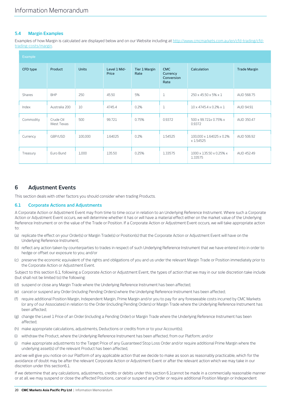# **5.4 Margin Examples**

Examples of how Margin is calculated are displayed below and on our Website including at [http://www.cmcmarkets.com.au/en/cfd-trading/cfd](http://www.cmcmarkets.com.au/en/cfd-trading/cfd-trading-costs/margin)[trading-costs/margin.](http://www.cmcmarkets.com.au/en/cfd-trading/cfd-trading-costs/margin)

| Example   |                         |              |                       |                       |                                              |                                          |                     |
|-----------|-------------------------|--------------|-----------------------|-----------------------|----------------------------------------------|------------------------------------------|---------------------|
| CFD type  | Product                 | <b>Units</b> | Level 1 Mid-<br>Price | Tier 1 Margin<br>Rate | <b>CMC</b><br>Currency<br>Conversion<br>Rate | Calculation                              | <b>Trade Margin</b> |
| Shares    | <b>BHP</b>              | 250          | 45.50                 | 5%                    | 1                                            | 250 x 45.50 x 5% x 1                     | AUD 568.75          |
| Index     | Australia 200           | 10           | 4745.4                | 0.2%                  | $\mathbf{1}$                                 | $10 \times 4745.4 \times 0.2\% \times 1$ | AUD 94.91           |
| Commodity | Crude Oil<br>West Texas | 500          | 99.721                | 0.75%                 | 0.9372                                       | 500 x 99.721x 0.75% x<br>0.9372          | AUD 350.47          |
| Currency  | GBP/USD                 | 100,000      | 1.64025               | 0.2%                  | 1.54525                                      | 100,000 x 1.64025 x 0.2%<br>x 1.54525    | AUD 506.92          |
| Treasury  | Euro Bund               | 1,000        | 135.50                | 0.25%                 | 1.33575                                      | 1000 x 135.50 x 0.25% x<br>1.33575       | AUD 452.49          |

# <span id="page-19-1"></span>**6 Adjustment Events**

This section deals with other factors you should consider when trading Products.

# <span id="page-19-0"></span>**6.1 Corporate Actions and Adjustments**

A Corporate Action or Adjustment Event may from time to time occur in relation to an Underlying Reference Instrument. Where such a Corporate Action or Adjustment Event occurs, we will determine whether it has or will have a material effect either on the market value of the Underlying Reference Instrument or on the value of the Trade or Position. If a Corporate Action or Adjustment Event occurs, we will take appropriate action to:

- (a) replicate the effect on your Order(s) or Margin Trade(s) or Position(s) that the Corporate Action or Adjustment Event will have on the Underlying Reference Instrument;
- (b) reflect any action taken by counterparties to trades in respect of such Underlying Reference Instrument that we have entered into in order to hedge or offset our exposure to you; and/or
- (c) preserve the economic equivalent of the rights and obligations of you and us under the relevant Margin Trade or Position immediately prior to the Corporate Action or Adjustment Event.

Subject to this sectio[n 6.1,](#page-19-0) following a Corporate Action or Adjustment Event, the types of action that we may in our sole discretion take include (but shall not be limited to) the following:

- (d) suspend or close any Margin Trade where the Underlying Reference Instrument has been affected;
- (e) cancel or suspend any Order (including Pending Orders) where the Underlying Reference Instrument has been affected;
- (f) require additional Position Margin, Independent Margin, Prime Margin and/or you to pay for any foreseeable costs incurred by CMC Markets (or any of our Associates) in relation to the Order (including Pending Orders) or Margin Trade where the Underlying Reference Instrument has been affected;
- (g) change the Level 1 Price of an Order (including a Pending Order) or Margin Trade where the Underlying Reference Instrument has been affected;
- (h) make appropriate calculations, adjustments, Deductions or credits from or to your Account(s);
- (i) withdraw the Product, where the Underlying Reference Instrument has been affected, from our Platform; and/or
- (j) make appropriate adjustments to the Target Price of any Guaranteed Stop Loss Order and/or require additional Prime Margin where the underlying asset(s) of the relevant Product has been affected,

and we will give you notice on our Platform of any applicable action that we decide to make as soon as reasonably practicable, which for the avoidance of doubt may be after the relevant Corporate Action or Adjustment Event or after the relevant action which we may take in our discretion under this sectio[n6.1.](#page-19-0)

If we determine that any calculations, adjustments, credits or debits under this sectio[n 6.1c](#page-19-0)annot be made in a commercially reasonable manner or at all, we may suspend or close the affected Positions, cancel or suspend any Order or require additional Position Margin or Independent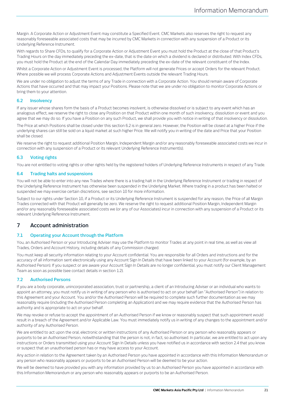Margin. A Corporate Action or Adjustment Event may constitute a Specified Event. CMC Markets also reserves the right to request any reasonably foreseeable associated costs that may be incurred by CMC Markets in connection with any suspension of a Product or its Underlying Reference Instrument.

With regards to Share CFDs, to qualify for a Corporate Action or Adjustment Event you must hold the Product at the close of that Product's Trading Hours on the day immediately preceding the ex-date, that is the date on which a dividend is declared or distributed. With Index CFDs, you must hold the Product at the end of the Calendar Day immediately preceding the ex-date of the relevant constituent of the Index.

Whilst a Corporate Action or Adjustment Event is processed, the Platform will not generate Prices or accept Orders for the relevant Product. Where possible we will process Corporate Actions and Adjustment Events outside the relevant Trading Hours.

We are under no obligation to adjust the terms of any Trade in connection with a Corporate Action. You should remain aware of Corporate Actions that have occurred and that may impact your Positions. Please note that we are under no obligation to monitor Corporate Actions or bring them to your attention.

# <span id="page-20-0"></span>**6.2 Insolvency**

If any issuer whose shares form the basis of a Product becomes insolvent, is otherwise dissolved or is subject to any event which has an analogous effect, we reserve the right to close any Position on that Product within one month of such insolvency, dissolution or event and you agree that we may do so. If you have a Position on any such Product, we shall provide you with notice in writing of that insolvency or dissolution.

The Price at which Positions shall be closed under this sectio[n 6.2](#page-20-0) is in general zero. However, the Position will be closed at a higher Price if the underlying shares can still be sold on a liquid market at such higher Price. We will notify you in writing of the date and Price that your Position shall be closed.

We reserve the right to request additional Position Margin, Independent Margin and/or any reasonably foreseeable associated costs we incur in connection with any suspension of a Product or its relevant Underlying Reference Instrument(s).

# **6.3 Voting rights**

You are not entitled to voting rights or other rights held by the registered holders of Underlying Reference Instruments in respect of any Trade.

# **6.4 Trading halts and suspensions**

You will not be able to enter into any new Trades where there is a trading halt in the Underlying Reference Instrument or trading in respect of the Underlying Reference Instrument has otherwise been suspended in the Underlying Market. Where trading in a product has been halted or suspended we may exercise certain discretions, see sectio[n 10](#page-28-1) for more information.

Subject to our rights under Sectio[n 10,](#page-28-1) if a Product or its Underlying Reference Instrument is suspended for any reason, the Price of all Margin Trades connected with that Product will generally be zero. We reserve the right to request additional Position Margin, Independent Margin and/or any reasonably foreseeable associated costs we (or any of our Associates) incur in connection with any suspension of a Product or its relevant Underlying Reference Instrument.

# **7 Account administration**

# **7.1 Operating your Account through the Platform**

You, an Authorised Person or your Introducing Adviser may use the Platform to monitor Trades at any point in real time, as well as view all Trades, Orders and Account History, including details of any Commission charged.

You must keep all security information relating to your Account confidential. You are responsible for all Orders and instructions and for the accuracy of all information sent electronically using any Account Sign In Details that have been linked to your Account (for example, by an Authorised Person). If you suspect or are aware your Account Sign In Details are no longer confidential, you must notify our Client Management Team as soon as possible (see contact details in sectio[n 1.2\)](#page-2-0).

# <span id="page-20-1"></span>**7.2 Authorised Persons**

If you are a body corporate, unincorporated association, trust or partnership, a client of an Introducing Adviser or an individual who wants to appoint an attorney, you must notify us in writing of any person who is authorised to act on your behalf (an "Authorised Person") in relation to this Agreement and your Account. You and/or the Authorised Person will be required to complete such further documentation as we may reasonably require (including the Authorised Person completing an Application) and we may require evidence that the Authorised Person has authority and is appropriate to act on your behalf.

We may revoke or refuse to accept the appointment of an Authorised Person if we know or reasonably suspect that such appointment would result in a breach of the Agreement and/or Applicable Law. You must immediately notify us in writing of any changes to the appointment and/or authority of any Authorised Person.

We are entitled to act upon the oral, electronic or written instructions of any Authorised Person or any person who reasonably appears or purports to be an Authorised Person, notwithstanding that the person is not, in fact, so authorised. In particular, we are entitled to act upon any instructions or Orders transmitted using your Account Sign In Details unless you have notified us in accordance with sectio[n 2.4](#page-4-0) that you know or suspect that an unauthorised person has or may have access to your Account.

Any action in relation to the Agreement taken by an Authorised Person you have appointed in accordance with this Information Memorandum or any person who reasonably appears or purports to be an Authorised Person will be deemed to be your action.

We will be deemed to have provided you with any information provided by us to an Authorised Person you have appointed in accordance with this Information Memorandum or any person who reasonably appears or purports to be an Authorised Person.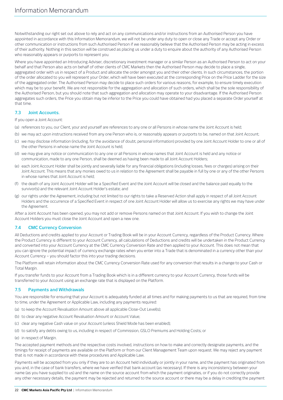Notwithstanding our right set out above to rely and act on any communications and/or instructions from an Authorised Person you have appointed in accordance with this Information Memorandum, we will not be under any duty to open or close any Trade or accept any Order or other communication or instructions from such Authorised Person if we reasonably believe that the Authorised Person may be acting in excess of their authority. Nothing in this section will be construed as placing us under a duty to enquire about the authority of any Authorised Person who reasonably appears or purports to represent you.

Where you have appointed an Introducing Adviser, discretionary investment manager or a similar Person as an Authorised Person to act on your behalf and that Person also acts on behalf of other clients of CMC Markets then the Authorised Person may decide to place a single, aggregated order with us in respect of a Product and allocate the order amongst you and their other clients. In such circumstances, the portion of the order allocated to you will represent your Order, which will have been executed at the corresponding Price on the Price Ladder for the size of the aggregated order. The Authorised Person may decide to place such orders for various reasons, for example, to ensure timely execution which may be to your benefit. We are not responsible for the aggregation and allocation of such orders, which shall be the sole responsibility of the Authorised Person, but you should note that such aggregation and allocation may operate to your disadvantage. If the Authorised Person aggregates such orders, the Price you obtain may be inferior to the Price you could have obtained had you placed a separate Order yourself at that time.

# **7.3 Joint Accounts.**

If you open a Joint Account:

- (a) references to you, our Client, your and yourself are references to any one or all Persons in whose name the Joint Account is held;
- (b) we may act upon instructions received from any one Person who is, or reasonably appears or purports to be, named on that Joint Account;
- (c) we may disclose information (including, for the avoidance of doubt, personal information) provided by one Joint Account Holder to one or all of the other Persons in whose name the Joint Account is held;
- (d) we may give any notice or communication to any one or all Persons in whose names that Joint Account is held and any notice or communication, made to any one Person, shall be deemed as having been made to all Joint Account Holders;
- (e) each Joint Account Holder shall be jointly and severally liable for any financial obligations (including losses, fees or charges) arising on their Joint Account. This means that any monies owed to us in relation to the Agreement shall be payable in full by one or any of the other Persons in whose names that Joint Account is held;
- (f) the death of any Joint Account Holder will be a Specified Event and the Joint Account will be closed and the balance paid equally to the survivor(s) and the relevant Joint Account Holder's estate; and
- (g) our rights under the Agreement, including but not limited to our rights to take a Reserved Action shall apply in respect of all Joint Account Holders and the occurrence of a Specified Event in respect of one Joint Account Holder will allow us to exercise any rights we may have under the Agreement.

After a Joint Account has been opened, you may not add or remove Persons named on that Joint Account. If you wish to change the Joint Account Holders you must close the Joint Account and open a new one.

# **7.4 CMC Currency Conversion**

All Deductions and credits applied to your Account or Trading Book will be in your Account Currency, regardless of the Product Currency. Where the Product Currency is different to your Account Currency, all calculations of Deductions and credits will be undertaken in the Product Currency and converted into your Account Currency at the CMC Currency Conversion Rate and then applied to your Account. This does not mean that you can ignore the potential impact of currency exchange rates when you enter into a Trade that is denominated in a currency other than your Account Currency – you should factor this into your trading decisions.

The Platform will retain information about the CMC Currency Conversion Rate used for any conversion that results in a change to your Cash or Total Margin.

If you transfer funds to your Account from a Trading Book which is in a different currency to your Account Currency, those funds will be transferred to your Account using an exchange rate that is displayed on the Platform.

# <span id="page-21-0"></span>**7.5 Payments and Withdrawals**

You are responsible for ensuring that your Account is adequately funded at all times and for making payments to us that are required, from time to time, under the Agreement or Applicable Law, including any payments required:

- (a) to keep the Account Revaluation Amount above all applicable Close-Out Level(s);
- (b) to clear any negative Account Revaluation Amount or Account Value;
- (c) clear any negative Cash value on your Account (unless Shield Mode has been enabled);
- (d) to satisfy any debts owing to us, including in respect of Commission, GSLO Premiums and Holding Costs; or
- (e) in respect of Margin.

The accepted payment methods and the respective costs involved, instructions on how to make and correctly designate payments, and the timings for receipt of payments are available on the Platform or from our Client Management Team upon request. We may reject any payment that is not made in accordance with these procedures and Applicable Law.

Payments will be accepted from you only if they are to an Account held individually or jointly in your name, and the payment has originated from you and, in the case of bank transfers, where we have verified that bank account (as necessary). If there is any inconsistency between your name (as you have supplied to us) and the name on the source account from which the payment originates, or if you do not correctly provide any other necessary details, the payment may be rejected and returned to the source account or there may be a delay in crediting the payment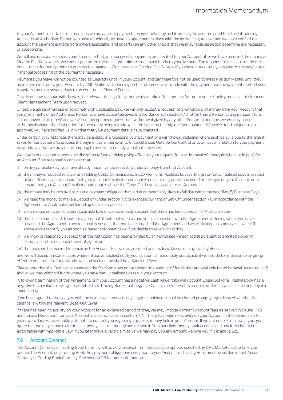to your Account. In certain circumstances we may accept payments on your behalf by an Introducing Adviser provided that the Introducing Adviser is an Authorised Person you have appointed, we have an agreement in place with the Introducing Adviser and we have verified the account the payment is made from (where applicable) and undertaken any other checks that we in our sole discretion determine are necessary or appropriate.

We will use reasonable endeavours to ensure that your successful payments are credited to your Account after we have received the money as Cleared Funds. However, we cannot guarantee the time it will take to credit such funds to your Account. The reasons for this can include the time it takes for our systems to process the payment, Circumstances Outside Our Control, if you have not correctly designated the payment, or if manual processing of the payment is necessary.

Payments you make will not be counted as Cleared Funds in your Account, and can therefore not be used to meet Position Margin, until they have been credited to your Account by CMC Markets. Depending on the reference you include with the payment and the payment method used, transfers can take several days to be counted as Cleared Funds.

Details on how to make withdrawals, the relevant timings for withdrawals to take effect and our 'return to source' policy are available from our Client Management Team upon request.

Unless we agree otherwise or to comply with Applicable Law, we will only accept a request for a withdrawal of money from your Account that you give directly or an Authorised Person you have appointed gives in accordance with sectio[n 7.2](#page-20-1) (other than a Person acting pursuant to a limited power of attorney) and we will not accept any request for a withdrawal given by any other Person. In addition, we will only process withdrawals where the destination for the money being withdrawn is the same as the origin of your payment(s), unless (and subject to our approval) you have notified us in writing that your payment details have changed.

Under certain circumstances there may be a delay in processing your payment or a withdrawal, including where such delay is due to the time it takes for our systems to process the payment or withdrawal, to Circumstances Outside Our Control or to an issue in relation to your payment or withdrawal that we may be attempting to resolve to comply with Applicable Law.

We may in our sole and reasonable discretion refuse or delay giving effect to your request for a withdrawal of money (in whole or in part) from an Account if we reasonably consider that:

- (f) on any particular day, you have already made five requests to withdraw money from that Account;
- (g) the money is required to cover any Holding Costs, Commissions, GSLO Premiums, Realised Losses, Margin or Net Unrealised Loss in respect of your Positions, or to ensure that your Account Revaluation Amount is equal to or greater than your Total Margin on your Account, or to ensure that your Account Revaluation Amount is above the Close-Out Level applicable to an Account;
- (h) the money may be required to meet a payment obligation that is due or reasonably likely to fall due within the next five (5) Business Days;
- (i) we need the money to make a Deduction (under sectio[n 7.7\)](#page-23-1) or exercise our right of Set-Off (under sectio[n 7.8\)](#page-23-0) in accordance with the Agreement or Applicable Law (including for tax purposes);
- (j) we are required to do so under Applicable Law or we reasonably suspect that there has been a breach of Applicable Law;
- (k) there is an unresolved dispute or a potential dispute between us and you in connection with the Agreement, including where you have breached the Agreement or we reasonably suspect that you have breached the Agreement, and we will (except in some cases where (f) above applies) notify you as soon as reasonably practicable if we decide to take such action;
- (l) we know or reasonably suspect that the instruction has been provided by an Authorised Person acting pursuant to a limited power of attorney or a limited appointment of agent; or
- (m) the funds will be required to remain in the Account to cover any realised or unrealised losses on any Trading Book,

and we will (except in some cases where (h) above applies) notify you as soon as reasonably practicable if we decide to refuse or delay giving effect to your request for a withdrawal and such action shall be a Specified Event.

Please note that the Cash value shown on the Platform does not represent the amount of funds that are available for withdrawal. As noted in (f) above, we may withhold funds where you have Net Unrealised Losses in your Account.

If, following termination of this Agreement, or if your Account has a negative Cash value following Account Close-Out (or a Trading Book has a negative Cash value following close-out of that Trading Book), that negative Cash value represents a debt owed to us which is due and payable immediately.

If we have agreed to provide you with the sales trader service, any negative balance should be cleared promptly regardless of whether the balance is within the relevant Close-Out Level.

If there has been no activity on your Account for an extended period of time, we may impose dormant Account fees as set out in clause [4.5](#page-16-3) and make a Deduction from your Account in accordance with section [7.7.](#page-23-1) If there has been no activity on your Account in the previous six (6) years we will make reasonable attempts to contact you regarding any client money held in your Account. If we are unable to contact you, you agree that we may cease to treat such money as client money and release it from our client money bank account and pay it to charity in accordance with Applicable Law. If you later make a valid claim to us we may pay you any amount we owe you if it is above \$25.

# **7.6 Account Currency**

The Account Currency or Trading Book Currency will be as you select from the available options specified by CMC Markets at the time you opened the Account, or a Trading Book. Any payment obligations in relation to your Account or Trading Book must be settled in that Account Currency or Trading Book Currency. See sectio[n 9.3](#page-25-3) for more information.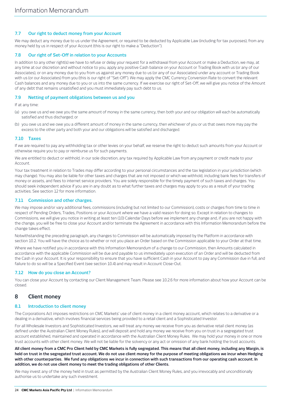# <span id="page-23-1"></span>**7.7 Our right to deduct money from your Account**

We may deduct any money due to us under the Agreement, or required to be deducted by Applicable Law (including for tax purposes), from any money held by us in respect of your Account (this is our right to make a "Deduction").

# <span id="page-23-0"></span>**7.8 Our right of Set-Off in relation to your Accounts**

In addition to any other right(s) we have to refuse or delay your request for a withdrawal from your Account or make a Deduction, we may, at any time at our discretion and without notice to you, apply any positive Cash balance on your Account or Trading Book with us (or any of our Associates), or on any money due to you from us against any money due to us (or any of our Associates) under any account or Trading Book with us (or our Associates) from you (this is our right of "Set-Off"). We may apply the CMC Currency Conversion Rate to convert the relevant Cash balances and any money due to you or us into the same currency. If we exercise our right of Set-Off, we will give you notice of the Amount of any debt that remains unsatisfied and you must immediately pay such debt to us.

# **7.9 Netting of payment obligations between us and you**

If at any time:

- (a) you owe us and we owe you the same amount of money in the same currency, then both your and our obligation will each be automatically satisfied and thus discharged; or
- (b) you owe us and we owe you a different amount of money in the same currency, then whichever of you or us that owes more may pay the excess to the other party and both your and our obligations will be satisfied and discharged.

# **7.10 Taxes**

If we are required to pay any withholding tax or other levies on your behalf, we reserve the right to deduct such amounts from your Account or otherwise require you to pay or reimburse us for such payments.

We are entitled to deduct or withhold, in our sole discretion, any tax required by Applicable Law from any payment or credit made to your Account.

Your tax treatment in relation to Trades may differ according to your personal circumstances and the tax legislation in your jurisdiction (which may change). You may also be liable for other taxes and charges that are not imposed or which we withhold, including bank fees for transfers of money or assets, and fees to internet service providers. You are solely responsible for the timely payment of such taxes and charges. You should seek independent advice if you are in any doubt as to what further taxes and charges may apply to you as a result of your trading activities. See sectio[n 12](#page-33-0) for more information.

# **7.11 Commission and other charges.**

We may impose and/or vary additional fees, commissions (including but not limited to our Commission), costs or charges from time to time in respect of Pending Orders, Trades, Positions or your Account where we have a valid reason for doing so. Except in relation to changes to Commissions, we will give you notice in writing at least ten (10) Calendar Days before we implement any change and, if you are not happy with the change, you will be free to close your Account and/or terminate the Agreement in accordance with this Information Memorandum before the change takes effect.

Notwithstanding the preceding paragraph, any changes to Commission will be automatically imposed by the Platform in accordance with sectio[n 10.2.](#page-29-0) You will have the choice as to whether or not you place an Order based on the Commission applicable to your Order at that time.

Where we have notified you in accordance with this Information Memorandum of a change to our Commission, then Amounts calculated in accordance with the applicable Commission will be due and payable to us immediately upon execution of an Order and will be deducted from the Cash in your Account. It is your responsibility to ensure that you have sufficient Cash in your Account to pay any Commission due in full, and failure to do so will be a Specified Event (see sectio[n 10.4\)](#page-31-0) and may result in Account Close-Out.

# **7.12 How do you close an Account?**

You can close your Account by contacting our Client Management Team. Please se[e 10.2.6](#page-30-1) for more information about how your Account can be closed.

# **8 Client money**

# <span id="page-23-2"></span>**8.1 Introduction to client money**

The Corporations Act imposes restrictions on CMC Markets' use of client money in a client money account, which relates to a derivative or a dealing in a derivative, which involves financial services being provided to a retail client and a Sophisticated Investor.

For all Wholesale Investors and Sophisticated Investors, we will treat any money we receive from you as derivative retail client money (as defined under the Australian Client Money Rules), and will deposit and hold any money we receive from you on trust in a segregated trust account established, maintained and operated in accordance with the Australian Client Money Rules. We may hold your money in one or more trust accounts with other client money. We will not be liable for the solvency or any act or omission of any bank holding the trust accounts.

**All client money from a CMC Pro Client held by CMC Markets is fully segregated. This means that all client money, including any Margin, is held on trust in the segregated trust account. We do not use client money for the purpose of meeting obligations we incur when Hedging with other counterparties. We fund any obligations we incur in connection with such transactions from our operating cash account. In addition, we do not use client money to meet the trading obligations of other Clients.**

We may invest any of the money held in trust as permitted by the Australian Client Money Rules, and you irrevocably and unconditionally authorise us to undertake any such investment.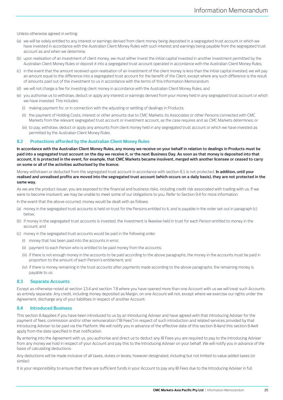Unless otherwise agreed in writing:

- (a) we will be solely entitled to any interest or earnings derived from client money being deposited in a segregated trust account or which we have invested in accordance with the Australian Client Money Rules with such interest and earnings being payable from the segregated trust account as and when we determine;
- (b) upon realisation of an investment of client money, we must either invest the initial capital invested in another investment permitted by the Australian Client Money Rules or deposit it into a segregated trust account operated in accordance with the Australian Client Money Rules;
- (c) in the event that the amount received upon realisation of an investment of the client money is less than the initial capital invested, we will pay an amount equal to the difference into a segregated trust account for the benefit of the Client, except where any such difference is the result of amounts paid out of the investment to us in accordance with the terms of this Information Memorandum;
- (d) we will not charge a fee for investing client money in accordance with the Australian Client Money Rules; and
- (e) you authorise us to withdraw, deduct or apply any interest or earnings derived from your money held in any segregated trust account or which we have invested. This includes:
	- (i) making payment for, or in connection with the adjusting or settling of dealings in Products;
	- (ii) the payment of Holding Costs, interest or other amounts due to CMC Markets, its Associates or other Persons connected with CMC Markets from the relevant segregated trust account or investment account, as the case requires and as CMC Markets determines; or
	- (iii) to pay, withdraw, deduct or apply any amounts from client money held in any segregated trust account or which we have invested as permitted by the Australian Client Money Rules.

#### <span id="page-24-1"></span>**8.2 Protections afforded by the Australian Client Money Rules**

**In accordance with the Australian Client Money Rules, any money we receive on your behalf in relation to dealings in Products must be paid into a segregated trust account on the day we receive it, or the next Business Day. As soon as that money is deposited into that account, it is protected in the event, for example, that CMC Markets became insolvent, merged with another licensee or ceased to carry on some or all of the activities authorised by the licence.**

Money withdrawn or deducted from the segregated trust account in accordance with sectio[n 8.1](#page-23-2) is not protected. **In addition, until your realised and unrealised profits are moved into the segregated trust account (which occurs on a daily basis), they are not protected in the same way.**

As we are the product issuer, you are exposed to the financial and business risks, including credit risk associated with trading with us. If we were to become insolvent, we may be unable to meet some of our obligations to you. Refer to Sectio[n 9.4](#page-25-0) for more information.

In the event that the above occurred, money would be dealt with as follows:

- (a) money in the segregated trust accounts is held on trust for the Persons entitled to it, and is payable in the order set out in paragraph (c) below;
- (b) if money in the segregated trust accounts is invested, the investment is likewise held in trust for each Person entitled to money in the account; and

(c) money in the segregated trust accounts would be paid in the following order:

- (i) money that has been paid into the accounts in error;
- (ii) payment to each Person who is entitled to be paid money from the accounts;
- (iii) if there is not enough money in the accounts to be paid according to the above paragraphs, the money in the accounts must be paid in proportion to the amount of each Person's entitlement; and
- (iv) if there is money remaining in the trust accounts after payments made according to the above paragraphs, the remaining money is payable to us.

#### **8.3 Separate Accounts**

Except as otherwise noted at sectio[n 13.4](#page-35-0) and sectio[n 7.8](#page-23-0) where you have opened more than one Account with us we will treat such Accounts as entirely separate. Any credit, including money deposited as Margin, on one Account will not, except where we exercise our rights under the Agreement, discharge any of your liabilities in respect of another Account.

#### <span id="page-24-0"></span>**8.4 Introduced Business**

This section [8.4a](#page-24-0)pplies if you have been introduced to us by an Introducing Adviser and have agreed with that Introducing Adviser for the payment of fees, commission and/or other remuneration ("IB Fees") in respect of such introduction and related services provided by that Introducing Adviser to be paid via the Platform. We will notify you in advance of the effective date of this section [8.4a](#page-24-0)nd this section [8.4w](#page-24-0)ill apply from the date specified in that notification.

By entering into the Agreement with us, you authorise and direct us to deduct any IB Fees you are required to pay to the Introducing Adviser from any money we hold in respect of your Account and pay this to the Introducing Adviser on your behalf. We will notify you in advance of the basis of calculating deductions.

Any deductions will be made inclusive of all taxes, duties or levies, however designated, including but not limited to value added taxes (or similar).

It is your responsibility to ensure that there are sufficient funds in your Account to pay any IB Fees due to the Introducing Adviser in full.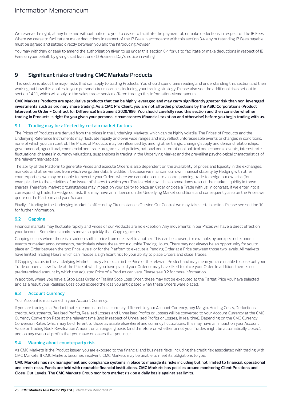We reserve the right, at any time and without notice to you, to cease to facilitate the payment of, or make deductions in respect of, the IB Fees. Where we cease to facilitate or make deductions in respect of the IB Fees in accordance with this section [8.4,](#page-24-0) any outstanding IB Fees payable must be agreed and settled directly between you and the Introducing Adviser.

You may withdraw or seek to amend the authorisation given to us under this sectio[n 8.4](#page-24-0) for us to facilitate or make deductions in respect of IB Fees on your behalf, by giving us at least one (1) Business Day's notice in writing.

# <span id="page-25-1"></span>**9 Significant risks of trading CMC Markets Products**

This section is about the major risks that can apply to trading Products. You should spend time reading and understanding this section and then working out how this applies to your personal circumstances, including your trading strategy. Please also see the additional risks set out in sectio[n 14.11,](#page-41-1) which will apply to the sales trader service offered through this Information Memorandum.

**CMC Markets Products are speculative products that can be highly leveraged and may carry significantly greater risk than non-leveraged investments such as ordinary share trading. As a CMC Pro Client, you are not afforded protections by the ASIC Corporations (Product Intervention Order – Contract for Difference) Instrument 2020/986. You should carefully read this section and then consider whether trading in Products is right for you given your personal circumstances (financial, taxation and otherwise) before you begin trading with us.**

# <span id="page-25-4"></span>**9.1 Trading may be affected by certain market factors**

The Prices of Products are derived from the prices in the Underlying Markets, which can be highly volatile. The Prices of Products and the Underlying Reference Instruments may fluctuate rapidly and over wide ranges and may reflect unforeseeable events or changes in conditions, none of which you can control. The Prices of Products may be influenced by, among other things, changing supply and demand relationships, governmental, agricultural, commercial and trade programs and policies, national and international political and economic events, interest rate fluctuations, changes in currency valuations, suspensions in trading in the Underlying Market and the prevailing psychological characteristics of the relevant marketplace.

The ability of the Platform to generate Prices and execute Orders is also dependent on the availability of prices and liquidity in the exchanges, markets and other venues from which we gather data. In addition, because we maintain our own financial stability by Hedging with other counterparties, we may be unable to execute your Orders where we cannot enter into a corresponding trade to hedge our own risk (for example, due to the activities of an issuer of shares to which your Trades relate, which can sometimes restrict the market liquidity in those shares). Therefore, market circumstances may impact on your ability to place an Order or close a Trade with us. In contrast, if we enter into a corresponding trade, to Hedge our risk, this may have an influence on the Underlying Market conditions and consequently also on the Prices we quote on the Platform and your Account.

Finally, if trading in the Underlying Market is affected by Circumstances Outside Our Control, we may take certain action. Please see section [10](#page-28-1) for further information.

# <span id="page-25-2"></span>**9.2 Gapping**

Financial markets may fluctuate rapidly and Prices of our Products are no exception. Any movements in our Prices will have a direct effect on your Account. Sometimes markets move so quickly that Gapping occurs.

Gapping occurs where there is a sudden shift in price from one level to another. This can be caused, for example, by unexpected economic events or market announcements, particularly where these occur outside Trading Hours. There may not always be an opportunity for you to place an Order between the two Price levels, or for the Platform to execute a Pending Order at a Price between those two levels. All markets have limited Trading Hours which can impose a significant risk to your ability to place Orders and close Trades.

If Gapping occurs in the Underlying Market, it may also occur in the Price of the relevant Product and may mean you are unable to close out your Trade or open a new Trade at the Price at which you have placed your Order or may have liked to place your Order. In addition, there is no predetermined amount by which the adjusted Price of a Product can vary. Please se[e 3.2](#page-9-0) for more information.

In addition, where you have a Stop Loss Order or Trailing Stop Loss Order, these may not be executed at the Target Price you have selected and as a result your Realised Loss could exceed the loss you anticipated when these Orders were placed.

# <span id="page-25-3"></span>**9.3 Account Currency**

Your Account is maintained in your Account Currency.

If you are trading in a Product that is denominated in a currency different to your Account Currency, any Margin, Holding Costs, Deductions, credits, Adjustments, Realised Profits, Realised Losses and Unrealised Profits or Losses will be converted to your Account Currency at the CMC Currency Conversion Rate at the relevant time (and in respect of Unrealised Profits or Losses, in real time). Depending on the CMC Currency Conversion Rates (which may be different to those available elsewhere) and currency fluctuations, this may have an impact on your Account Value or Trading Book Revaluation Amount on an ongoing basis (and therefore on whether or not your Trades might be automatically closed), and on any eventual profits that you make or losses that you incur.

# <span id="page-25-0"></span>**9.4 Warning about counterparty risk**

As CMC Markets is the Product issuer, you are exposed to the financial and business risks, including the credit risk associated with trading with CMC Markets. If CMC Markets becomes insolvent, CMC Markets may be unable to meet its obligations to you.

**CMC Markets has risk management and compliance systems in place to manage its risks including but not limited to financial, operational and credit risks. Funds are held with reputable financial institutions. CMC Markets has policies around monitoring Client Positions and Close-Out Levels. The CMC Markets Group monitors market risk on a daily basis against set limits.**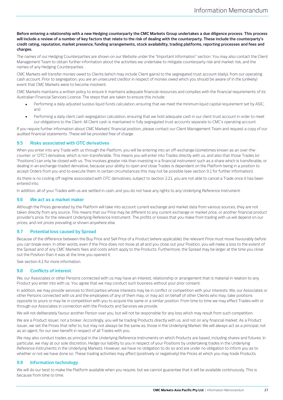**Before entering a relationship with a new Hedging counterparty the CMC Markets Group undertakes a due diligence process. This process will include a review of a number of key factors that relate to the risk of dealing with the counterparty. These include the counterparty's credit rating, reputation, market presence, funding arrangements, stock availability, trading platforms, reporting processes and fees and charges.**

The names of our Hedging Counterparties are shown on our Website under the "Important Information" section. You may also contact the Client Management Team to obtain further information about the activities we undertake to mitigate counterparty risk and market risk, and the names of any Hedging Counterparties.

CMC Markets will transfer monies owed to Clients (which may include Client gains) to the segregated trust account (daily), from our operating cash account. Prior to segregation, you are an unsecured creditor in respect of monies owed which you should be aware of in the (unlikely) event that CMC Markets were to become insolvent.

CMC Markets maintains a written policy to ensure it maintains adequate financial resources and complies with the financial requirements of its Australian Financial Services Licence. The steps that are taken to ensure this include:

- Performing a daily adjusted surplus liquid funds calculation, ensuring that we meet the minimum liquid capital requirement set by ASIC; and
- Performing a daily client cash segregation calculation, ensuring that we hold adequate cash in our client trust account in order to meet our obligations to the Client. All Client cash is maintained in fully segregated trust accounts separate to CMC's operating account.

If you require further information about CMC Markets' financial position, please contact our Client Management Team and request a copy of our audited financial statements. These will be provided free of charge.

# <span id="page-26-0"></span>**9.5 Risks associated with OTC derivatives**

When you enter into any Trade with us through the Platform, you will be entering into an off-exchange (sometimes known as an over-thecounter, or 'OTC') derivative, which is non-transferable. This means you will enter into Trades directly with us, and also that those Trades (or 'Positions') can only be closed with us. This involves greater risk than investing in a financial instrument such as a share which is transferable, or dealing in an exchange-traded derivative, because your ability to open and close Trades is dependent on the Platform being in a position to accept Orders from you and to execute them. In certain circumstances this may not be possible (see sectio[n 9.1](#page-25-4) for further information).

As there is no cooling off regime associated with OTC derivatives, subject to sectio[n 2.21,](#page-8-0) you are not able to cancel a Trade once it has been entered into.

In addition, all of your Trades with us are settled in cash, and you do not have any rights to any Underlying Reference Instrument.

# **9.6 We act as a market maker**

Although the Prices generated by the Platform will take into account current exchange and market data from various sources, they are not taken directly from any source. This means that our Price may be different to any current exchange or market price, or another financial product provider's price, for the relevant Underlying Reference Instrument. The profits or losses that you make from trading with us will depend on our prices, and not prices prevailing or shown anywhere else.

# **9.7 Potential loss caused by Spread**

Because of the difference between the Buy Price and Sell Price of a Product (where applicable), the relevant Price must move favourably before you can break even. In other words, even if the Price does not move at all and you close out your Position, you will make a loss to the extent of the Spread and of any CMC Markets fees and costs which apply to the Products. Furthermore, the Spread may be larger at the time you close out the Position than it was at the time you opened it.

See section [4.1](#page-15-0) for more information.

# **9.8 Conflicts of interest**

We, our Associates or other Persons connected with us may have an interest, relationship or arrangement that is material in relation to any Product you enter into with us. You agree that we may conduct such business without your prior consent.

In addition, we may provide services to third parties whose interests may be in conflict or competition with your interests. We, our Associates or other Persons connected with us and the employees of any of them may, or may act on behalf of other Clients who may, take positions opposite to yours or may be in competition with you to acquire the same or a similar position. From time to time we may effect Trades with or through our Associates in connection with the Products and Services we provide.

We will not deliberately favour another Person over you, but will not be responsible for any loss which may result from such competition.

We are a Product issuer, not a broker. Accordingly, you will be trading Products directly with us, and not on any financial market. As a Product issuer, we set the Prices that refer to, but may not always be the same as, those in the Underlying Market. We will always act as a principal, not as an agent, for our own benefit in respect of all Trades with you.

We may also conduct trades as principal in the Underlying Reference Instruments on which Products are based, including shares and futures. In particular, we may at our sole discretion, Hedge our liability to you in respect of your Positions by undertaking trades in the Underlying Reference Instruments in the Underlying Markets. However, we have no obligation to do so and are under no obligation to inform you as to whether or not we have done so. These trading activities may affect (positively or negatively) the Prices at which you may trade Products.

# <span id="page-26-1"></span>**9.9 Information technology**

We will do our best to make the Platform available when you require, but we cannot guarantee that it will be available continuously. This is because from time to time: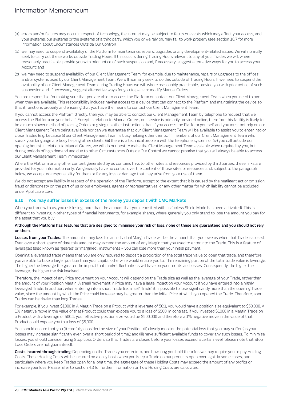- (a) errors and/or failures may occur in respect of technology, the internet may be subject to faults or events which may affect your access, and your systems, our systems or the systems of a third party, which you or we rely on, may fail to work properly (see sectio[n 10.7](#page-32-0) for more information about Circumstances Outside Our Control) ;
- (b) we may need to suspend availability of the Platform for maintenance, repairs, upgrades or any development-related issues. We will normally seek to carry out these works outside Trading Hours. If this occurs during Trading Hours relevant to any of your Trades we will, where reasonably practicable, provide you with prior notice of such suspension and, if necessary, suggest alternative ways for you to access your Account; and
- (c) we may need to suspend availability of our Client Management Team, for example, due to maintenance, repairs or upgrades to the offices and/or systems used by our Client Management Team. We will normally seek to do this outside of Trading Hours. If we need to suspend the availability of our Client Management Team during Trading Hours we will, where reasonably practicable, provide you with prior notice of such suspension and, if necessary, suggest alternative ways for you to place or modify Manual Orders.

You are responsible for making sure that you are able to access the Platform or contact our Client Management Team when you need to and when they are available. This responsibility includes having access to a device that can connect to the Platform and maintaining the device so that it functions properly and ensuring that you have the means to contact our Client Management Team.

If you cannot access the Platform directly, then you may be able to contact our Client Management Team by telephone to request that we access the Platform on your behalf. Except in relation to Manual Orders, our service is primarily provided online, therefore this facility is likely to be a much slower method of placing Orders or giving us other instructions than if you access the Platform yourself and you must not rely on our Client Management Team being available nor can we guarantee that our Client Management Team will be available to assist you to enter into or close Trades (e.g. because (i) our Client Management Team is busy helping other clients, (ii) members of our Client Management Team who speak your language are busy helping other clients, (iii) there is a technical problem with the telephone system, or (iv) you call outside our opening hours). In relation to Manual Orders, we will do our best to make the Client Management Team available when required by you, but during periods of high demand and due to other Circumstances Outside Our Control we cannot promise that you will always be able to access our Client Management Team immediately.

Where the Platform or any other content generated by us contains links to other sites and resources provided by third parties, these links are provided for your information only. We generally have no control over the content of those sites or resources and, subject to the paragraph below, we accept no responsibility for them or for any loss or damage that may arise from your use of them.

We do not accept any liability in respect of the operation of the Platform, except to the extent that it is caused by the negligent act or omission, fraud or dishonesty on the part of us or our employees, agents or representatives, or any other matter for which liability cannot be excluded under Applicable Law.

# **9.10 You may suffer losses in excess of the money you deposit with CMC Markets**

When you trade with us, you risk losing more than the amount that you deposited with us (unless Shield Mode has been activated). This is different to investing in other types of financial instruments, for example shares, where generally you only stand to lose the amount you pay for the asset that you buy.

## **Although the Platform has features that are designed to minimise your risk of loss, none of these are guaranteed and you should not rely on them.**

**Losses from your Trades:** The amount of any loss for an individual Margin Trade will be the amount that you owe us when that Trade is closed. Even over a short space of time this amount may exceed the amount of any Margin that you used to enter into the Trade. This is a feature of leveraged (also known as 'geared' or 'margined') instruments – you can lose more than your initial payment.

Opening a leveraged trade means that you are only required to deposit a proportion of the total trade value to open that trade, and therefore you are able to take a larger position than your capital otherwise would enable you to. The remaining portion of the total trade value is leverage. The higher the leverage the greater the impact that market fluctuations will have on your profits and losses. Consequently, the higher the leverage, the higher the risk involved.

Therefore, the impact of any Price movement on your Account will depend on the Trade size as well as the leverage of your Trade, rather than the amount of your Position Margin. A small movement in Price may have a large impact on your Account if you have entered into a highly leveraged Trade. In addition, when entering into a short Trade (i.e. a 'sell' Trade) it is possible to lose significantly more than the opening Trade value, since the amount by which the Price could increase may be greater than the initial Price at which you opened the Trade. Therefore, short Trades can be riskier than long Trades.

For example, if you invest \$1000 in A Margin Trade on a Product with a leverage of 50:1, you would have a position size equivalent to \$50,000. A 1% negative move in the value of that Product could then expose you to a loss of \$500. In contrast, if you invested \$1000 in a Margin Trade on a Product with a leverage of 500:1, your effective position size would be \$500,000 and therefore a 1% negative move in the value of that Product could expose you to a loss of \$5,000.

You should ensure that you (i) carefully consider the size of your Position; (ii) closely monitor the potential loss that you may suffer (as your losses may increase significantly even over a short period of time); and (iii) have sufficient available funds to cover any such losses. To minimise losses, you should consider using Stop Loss Orders so that Trades are closed before your losses exceed a certain level (please note that Stop Loss Orders are not guaranteed).

**Costs incurred through trading:** Depending on the Trades you enter into, and how long you hold them for, we may require you to pay Holding Costs. These Holding Costs will be incurred on a daily basis when you keep a Trade on our products open overnight. In some cases, and particularly where you keep Trades open for a long time, the aggregate of these Holding Costs may exceed the amount of any profits or increase your loss. Please refer to sectio[n 4.3](#page-15-2) for further information on how Holding Costs are calculated.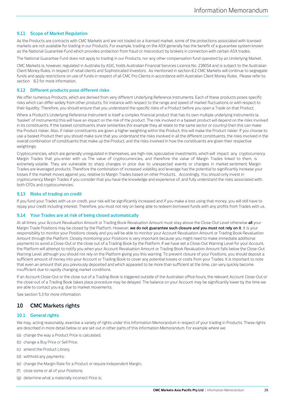# <span id="page-28-0"></span>**9.11 Scope of Market Regulation**

As the Products are contracts with CMC Markets and are not traded on a licensed market, some of the protections associated with licensed markets are not available for trading in our Products. For example, trading on the ASX generally has the benefit of a guarantee system known as the National Guarantee Fund which provides protection from fraud or misconduct by brokers in connection with certain ASX trades.

The National Guarantee Fund does not apply to trading in our Products, nor any other compensation fund operated by an Underlying Market.

CMC Markets is, however, regulated in Australia by ASIC, holds Australian Financial Services Licence No. 238054 and is subject to the Australian Client Money Rules, in respect of retail clients and Sophisticated Investors. As mentioned in section [8.2](#page-24-1) CMC Markets will continue to segregate funds and apply restrictions on use of funds in respect of all CMC Pro Clients in accordance with Australian Client Money Rules. Please refer to section [8.2](#page-24-1) for more information.

# **9.12 Different products pose different risks**

We offer numerous Products, which are derived from very different Underlying Reference Instruments. Each of these products poses specific risks which can differ widely from other products, for instance with respect to the range and speed of market fluctuations or with respect to their liquidity. Therefore, you should ensure that you understand the specific risks of a Product before you open a Trade on that Product.

Where a Product's Underlying Reference Instrument is itself a complex financial product that has its own multiple underlying instruments (a 'basket' of instruments) this will have an impact on the risk of the product. The risk involved in a basket product will depend on the risks involved in its constituents. If the basket constituents share similarities (for example they all relate to the same sector or country) then this can make the Product riskier. Also, if riskier constituents are given a higher weighting within the Product, this will make the Product riskier. If you choose to use a basket Product then you should make sure that you understand the risks involved in all the different constituents, the risks involved in the overall combination of constituents that make up the Product, and the risks involved in how the constituents are given their respective weightings.

Cryptocurrencies, which are generally unregulated in themselves, are high-risk, speculative investments, which will impact any cryptocurrency Margin Trades that you enter with us. The value of cryptocurrencies, and therefore the value of Margin Trades linked to them, is extremely volatile. They are vulnerable to sharp changes in price due to unexpected events or changes in market sentiment. Margin Trades are leveraged products. Therefore the combination of increased volatility and leverage has the potential to significantly increase your losses if the market moves against you, relative to Margin Trades based on other Products. Accordingly, You should only invest in cryptocurrency Margin Trades if you consider that you have the knowledge and experience of, and fully understand the risks associated with, both CFDs and cryptocurrencies.

# **9.13 Risks of trading on credit**

If you fund your Trades with us on credit, your risk will be significantly increased and if you make a loss using that money, you will still have to repay your credit including interest. Therefore, you must not rely on being able to redeem borrowed funds with any profits from Trades with us.

## <span id="page-28-2"></span>**9.14 Your Trades are at risk of being closed automatically**

At all times, your Account Revaluation Amount or Trading Book Revaluation Amount must stay above the Close-Out Level otherwise **all** your Margin Trade Positions may be closed by the Platform. However, **we do not guarantee such closure and you must not rely on it**. It is your responsibility to monitor your Positions closely and you will be able to monitor your Account Revaluation Amount or Trading Book Revaluation Amount through the Platform. Closely monitoring your Positions is very important because you might need to make immediate additional payments to avoid a Close-Out or the close out of a Trading Book by the Platform. If we have set a Close-Out Warning Level for your Account, the Platform will attempt to notify you when your Account Revaluation Amount or Trading Book Revaluation Amount falls below the Close-Out Warning Level, although you should not rely on the Platform giving you this warning. To prevent closure of your Positions, you should deposit a sufficient amount of money into your Account or Trading Book to cover any potential losses or costs from your Trades. It is important to note that even an amount that you previously deposited and which appeared to be more than sufficient at the time, can very quickly become insufficient due to rapidly changing market conditions.

If an Account Close-Out or the close out of a Trading Book is triggered outside of the Australian office hours, the relevant Account Close-Out or the close-out of a Trading Book takes place procedure may be delayed. The balance on your Account may be significantly lower by the time we are able to contact you e.g. due to market movements.

See section [5.3](#page-17-0) for more information.

# <span id="page-28-1"></span>**10 CMC Markets rights**

# **10.1 General rights**

We may, acting reasonably, exercise a variety of rights under this Information Memorandum in respect of your trading in Products. These rights are described in more detail below or are set out in other parts of this Information Memorandum. For example where we:

- (a) change the way a Product Price is calculated;
- (b) change a Buy Price or Sell Price;
- (c) amend the Product Library;
- (d) withhold any payments;
- (e) change the Margin Rate for a Product or require Independent Margin;
- (f) close some or all of your Positions;
- (g) determine what a materially incorrect Price is;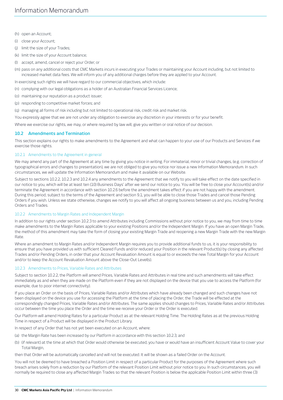- (h) open an Account;
- (i) close your Account;
- (j) limit the size of your Trades;
- (k) limit the size of your Account balance;
- (l) accept, amend, cancel or reject your Order; or
- (m) pass on any additional costs that CMC Markets incurs in executing your Trades or maintaining your Account including, but not limited to increased market data fees. We will inform you of any additional charges before they are applied to your Account.
- In exercising such rights we will have regard to our commercial objectives, which include:
- (n) complying with our legal obligations as a holder of an Australian Financial Services Licence;
- (o) maintaining our reputation as a product issuer;
- (p) responding to competitive market forces; and
- (q) managing all forms of risk including but not limited to operational risk, credit risk and market risk.

You expressly agree that we are not under any obligation to exercise any discretion in your interests or for your benefit.

Where we exercise our rights, we may, or where required by law will, give you written or oral notice of our decision.

# <span id="page-29-0"></span>**10.2 Amendments and Termination**

This section explains our rights to make amendments to the Agreement and what can happen to your use of our Products and Services if we exercise those rights.

# 10.2.1 Amendments to the Agreement in general

We may amend any part of the Agreement at any time by giving you notice in writing. For immaterial, minor or trivial changes, (e.g. correction of typographical errors and changes to presentation), we are not obliged to give you notice nor issue a new Information Memorandum. In such circumstances, we will update the Information Memorandum and make it available on our Website.

Subject to section[s 10.2.2,](#page-29-2) [10.2.3](#page-29-1) an[d 10.2.4](#page-30-2) any amendments to the Agreement that we notify to you will take effect on the date specified in our notice to you, which will be at least ten (10) Business Days' after we send our notice to you. You will be free to close your Account(s) and/or terminate the Agreement in accordance with sectio[n 10.2.6](#page-30-1) before the amendment takes effect if you are not happy with the amendment. During this period, subject to the terms of the Agreement and sectio[n 9.1,](#page-25-4) you will be able to close those Trades and cancel those Pending Orders if you wish. Unless we state otherwise, changes we notify to you will affect all ongoing business between us and you, including Pending Orders and Trades.

# <span id="page-29-2"></span>10.2.2 Amendments to Margin Rates and Independent Margin

In addition to our rights under sectio[n 10.2.3](#page-29-1) to amend Attributes including Commissions without prior notice to you, we may from time to time make amendments to the Margin Rates applicable to your existing Positions and/or the Independent Margin. If you have an open Margin Trade, the method of this amendment may take the form of closing your existing Margin Trade and reopening a new Margin Trade with the new Margin Rate.

Where an amendment to Margin Rates and/or Independent Margin requires you to provide additional funds to us, it is your responsibility to ensure that you have provided us with sufficient Cleared Funds and/or reduced your Position in the relevant Product(s) by closing any affected Trades and/or Pending Orders, in order that your Account Revaluation Amount is equal to or exceeds the new Total Margin for your Account and/or to keep the Account Revaluation Amount above the Close-Out Level(s).

# <span id="page-29-1"></span>10.2.3 Amendments to Prices, Variable Rates and Attributes

Subject to sectio[n 10.2.2,](#page-29-2) the Platform will amend Prices, Variable Rates and Attributes in real time and such amendments will take effect immediately as and when they are made on the Platform even if they are not displayed on the device that you use to access the Platform (for example, due to poor internet connectivity).

If you place an Order on the basis of Prices, Variable Rates and/or Attributes which have already been changed and such changes have not been displayed on the device you use for accessing the Platform at the time of placing the Order, the Trade will be effected at the correspondingly changed Prices, Variable Rates and/or Attributes. The same applies should changes to Prices, Variable Rates and/or Attributes occur between the time you place the Order and the time we receive your Order or the Order is executed.

Our Platform will amend Holding Rates for a particular Product as at the relevant Holding Time. The Holding Rates as at the previous Holding Time in respect of a Product will be displayed in the Product Library.

In respect of any Order that has not yet been executed on an Account, where:

- (a) the Margin Rate has been increased by our Platform in accordance with this sectio[n 10.2.3;](#page-29-1) and
- (b) (if relevant) at the time at which that Order would otherwise be executed, you have or would have an insufficient Account Value to cover your Total Margin,

then that Order will be automatically cancelled and will not be executed. It will be shown as a failed Order on the Account.

You will not be deemed to have breached a Position Limit in respect of a particular Product for the purposes of the Agreement where such breach arises solely from a reduction by our Platform of the relevant Position Limit without prior notice to you. In such circumstances, you will normally be required to close any affected Margin Trades so that the relevant Position is below the applicable Position Limit within three (3)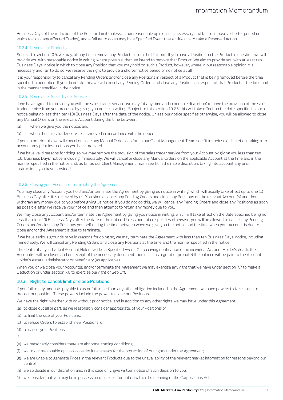Business Days of the reduction of the Position Limit (unless, in our reasonable opinion, it is necessary and fair to impose a shorter period in which to close any affected Trades), and a failure to do so may be a Specified Event that entitles us to take a Reserved Action.

## <span id="page-30-2"></span>10.2.4 Removal of Products

Subject to sectio[n 10.5,](#page-32-1) we may, at any time, remove any Product(s) from the Platform. If you have a Position on the Product in question, we will provide you with reasonable notice in writing, where possible, that we intend to remove that Product. We aim to provide you with at least ten Business Days' notice in which to close any Position that you may hold on such a Product, however, where in our reasonable opinion it is necessary and fair to do so, we reserve the right to provide a shorter notice period or no notice at all.

It is your responsibility to cancel any Pending Orders and/or close any Positions in respect of a Product that is being removed before the time specified in our notice. If you do not do this, we will cancel any Pending Orders and close any Positions in respect of that Product at the time and in the manner specified in the notice.

## <span id="page-30-0"></span>10.2.5 Removal of Sales Trader Service

If we have agreed to provide you with the sales trader service, we may (at any time and in our sole discretion) remove the provision of the sales trader service from your Account by giving you notice in writing. Subject to this section [10.2.5,](#page-30-0) this will take effect on the date specified in such notice being no less than ten (10) Business Days after the date of the notice. Unless our notice specifies otherwise, you will be allowed to close any Manual Orders on the relevant Account during the time between:

- (a) when we give you the notice; and
- (b) when the sales trader service is removed in accordance with the notice.

If you do not do this, we will cancel or close any Manual Orders, as far as our Client Management Team see fit in their sole discretion, taking into account any prior instructions you have provided.

If we have valid reasons for doing so, we may remove the provision of the sales trader service from your Account by giving you less than ten (10) Business Days' notice, including immediately. We will cancel or close any Manual Orders on the applicable Account at the time and in the manner specified in the notice and, as far as our Client Management Team see fit in their sole discretion, taking into account any prior instructions you have provided.

## <span id="page-30-1"></span>10.2.6 Closing your Account or terminating the Agreement

You may close any Account you hold and/or terminate the Agreement by giving us notice in writing, which will usually take effect up to one (1) Business Day after it is received by us. You should cancel any Pending Orders and close any Positions on the relevant Account(s) and then withdraw any money due to you before giving us notice. If you do not do this, we will cancel any Pending Orders and close any Positions as soon as possible after we receive your notice and then attempt to return any money due to you.

We may close any Account and/or terminate the Agreement by giving you notice in writing, which will take effect on the date specified being no less than ten (10) Business Days after the date of the notice. Unless our notice specifies otherwise, you will be allowed to cancel any Pending Orders and/or close any Positions yourself during the time between when we give you the notice and the time when your Account is due to close and/or the Agreement is due to terminate.

If we have serious grounds or valid reasons for doing so, we may terminate the Agreement with less than ten Business Days' notice, including immediately. We will cancel any Pending Orders and close any Positions at the time and the manner specified in the notice.

The death of any individual Account Holder will be a Specified Event. On receiving notification of an individual Account Holder's death, their Account(s) will be closed and on receipt of the necessary documentation (such as a grant of probate) the balance will be paid to the Account Holder's estate, administrator or beneficiary (as applicable).

When you or we close your Account(s) and/or terminate the Agreement we may exercise any right that we have under sectio[n 7.7](#page-23-1) to make a Deduction or under sectio[n 7.8](#page-23-0) to exercise our right of Set-Off.

# <span id="page-30-3"></span>**10.3 Right to cancel, limit or close Positions**

If you fail to pay amounts payable to us or fail to perform any other obligation included in the Agreement, we have powers to take steps to protect our position. These powers include the power to close out Positions.

We have the right, whether with or without prior notice, and in addition to any other rights we may have under this Agreement:

- (a) to close out all or part, as we reasonably consider appropriate, of your Positions; or
- (b) to limit the size of your Positions;
- (c) to refuse Orders to establish new Positions; or
- (d) to cancel your Positions,

if

- (e) we reasonably considers there are abnormal trading conditions;
- (f) we, in our reasonable opinion, consider it necessary for the protection of our rights under the Agreement;
- (g) we are unable to generate Prices in the relevant Products due to the unavailability of the relevant market information for reasons beyond our control;
- (h) we so decide in our discretion and, in this case only, give written notice of such decision to you;
- (i) we consider that you may be in possession of inside information within the meaning of the Corporations Act;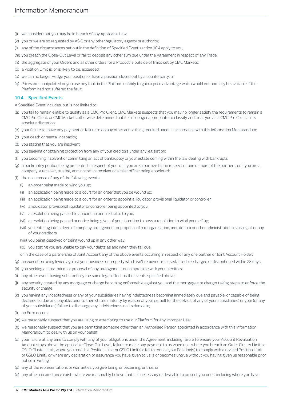- (j) we consider that you may be in breach of any Applicable Law;
- (k) you or we are so requested by ASIC or any other regulatory agency or authority;
- (l) any of the circumstances set out in the definition of Specified Event section [10.4](#page-31-0) apply to you;
- (m) you breach the Close-Out Level or fail to deposit any other sum due under the Agreement in respect of any Trade;
- (n) the aggregate of your Orders and all other orders for a Product is outside of limits set by CMC Markets;
- (o) a Position Limit is, or is likely to be, exceeded;
- (p) we can no longer Hedge your position or have a position closed out by a counterparty; or
- (q) Prices are manipulated or you use any fault in the Platform unfairly to gain a price advantage which would not normally be available if the Platform had not suffered the fault.

### <span id="page-31-0"></span>**10.4 Specified Events**

A Specified Event includes, but is not limited to:

- (a) you fail to remain eligible to qualify as a CMC Pro Client, CMC Markets suspects that you may no longer satisfy the requirements to remain a CMC Pro Client, or CMC Markets otherwise determines that it is no longer appropriate to classify and treat you as a CMC Pro Client, in its absolute discretion;
- (b) your failure to make any payment or failure to do any other act or thing required under in accordance with this Information Memorandum;
- (c) your death or mental incapacity;
- (d) you stating that you are insolvent;
- (e) you seeking or obtaining protection from any of your creditors under any legislation;
- (f) you becoming insolvent or committing an act of bankruptcy or your estate coming within the law dealing with bankrupts;
- (g) a bankruptcy petition being presented in respect of you, or if you are a partnership, in respect of one or more of the partners, or if you are a company, a receiver, trustee, administrative receiver or similar officer being appointed;
- (f) the occurrence of any of the following events:
	- (i) an order being made to wind you up;
	- (ii) an application being made to a court for an order that you be wound up;
	- (iii) an application being made to a court for an order to appoint a liquidator, provisional liquidator or controller;
	- (iv) a liquidator, provisional liquidator or controller being appointed to you;
	- (v) a resolution being passed to appoint an administrator to you;
	- (vi) a resolution being passed or notice being given of your intention to pass a resolution to wind yourself up;
	- (vii) you entering into a deed of company arrangement or proposal of a reorganisation, moratorium or other administration involving all or any of your creditors;
	- (viii) you being dissolved or being wound up in any other way;
	- (ix) you stating you are unable to pay your debts as and when they fall due,
	- or in the case of a partnership of Joint Account any of the above events occurring in respect of any one partner or Joint Account Holder;
- (g) an execution being levied against your business or property which isn't removed, released, lifted, discharged or discontinued within 28 days;
- (h) you seeking a moratorium or proposal of any arrangement or compromise with your creditors;
- (i) any other event having substantially the same legal effect as the events specified above;
- (j) any security created by any mortgage or charge becoming enforceable against you and the mortgagee or charger taking steps to enforce the security or charge;
- (k) you having any indebtedness or any of your subsidiaries having indebtedness becoming immediately due and payable, or capable of being declared so due and payable, prior to their stated maturity by reason of your default (or the default of any of your subsidiaries) or your (or any of your subsidiaries) failure to discharge any indebtedness on its due date;
- (l) an Error occurs;
- (m) we reasonably suspect that you are using or attempting to use our Platform for any Improper Use;
- (n) we reasonably suspect that you are permitting someone other than an Authorised Person appointed in accordance with this Information Memorandum to deal with us on your behalf;
- (o) your failure at any time to comply with any of your obligations under the Agreement, including failure to ensure your Account Revaluation Amount stays above the applicable Close-Out Level, failure to make any payment to us when due, where you breach an Order Cluster Limit or GSLO Cluster Limit, where you breach a Position Limit or GSLO Limit (or fail to reduce your Position(s) to comply with a revised Position Limit or GSLO Limit), or where any declaration or assurance you have given to us is or becomes untrue without you having given us reasonable prior notice in writing;
- (p) any of the representations or warranties you give being, or becoming, untrue; or
- (q) any other circumstance exists where we reasonably believe that it is necessary or desirable to protect you or us, including where you have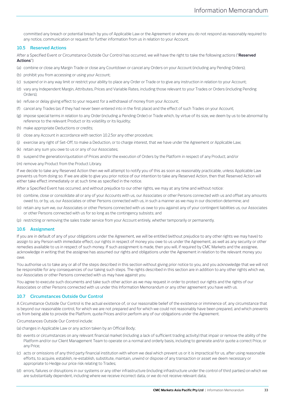committed any breach or potential breach by you of Applicable Law or the Agreement or where you do not respond as reasonably required to any notice, communication or request for further information from us in relation to your Account.

### <span id="page-32-1"></span>**10.5 Reserved Actions**

After a Specified Event or Circumstance Outside Our Control has occurred, we will have the right to take the following actions ("**Reserved Actions**"):

- (a) combine or close any Margin Trade or close any Countdown or cancel any Orders on your Account (including any Pending Orders);
- (b) prohibit you from accessing or using your Account;
- (c) suspend or in any way limit or restrict your ability to place any Order or Trade or to give any instruction in relation to your Account;
- (d) vary any Independent Margin, Attributes, Prices and Variable Rates, including those relevant to your Trades or Orders (including Pending Orders);
- (e) refuse or delay giving effect to your request for a withdrawal of money from your Account;
- (f) cancel any Trades (as if they had never been entered into in the first place) and the effect of such Trades on your Account;
- (g) impose special terms in relation to any Order (including a Pending Order) or Trade which, by virtue of its size, we deem by us to be abnormal by reference to the relevant Product or its volatility or its liquidity;
- (h) make appropriate Deductions or credits;
- (i) close any Account in accordance with sectio[n 10.2.5o](#page-30-0)r any other procedure;
- (j) exercise any right of Set-Off, to make a Deduction, or to charge interest, that we have under the Agreement or Applicable Law;
- (k) retain any sum you owe to us or any of our Associates;
- (l) suspend the generation/quotation of Prices and/or the execution of Orders by the Platform in respect of any Product; and/or
- (m) remove any Product from the Product Library.

If we decide to take any Reserved Action then we will attempt to notify you of this as soon as reasonably practicable, unless Applicable Law prevents us from doing so. If we are able to give you prior notice of our intention to take any Reserved Action, then that Reserved Action will either take effect immediately or at such time as specified in the notice.

After a Specified Event has occurred, and without prejudice to our other rights, we may at any time and without notice:

- (n) combine, close or consolidate all or any of your Accounts with us, our Associates or other Persons connected with us and offset any amounts owed to, or by, us, our Associates or other Persons connected with us, in such a manner as we may in our discretion determine; and
- (o) retain any sum we, our Associates or other Persons connected with us owe to you against any of your contingent liabilities us, our Associates or other Persons connected with us for so long as the contingency subsists; and
- (p) restricting or removing the sales trader service from your Account entirely, whether temporarily or permanently.

## **10.6 Assignment**

If you are in default of any of your obligations under the Agreement, we will be entitled (without prejudice to any other rights we may have) to assign to any Person with immediate effect, our rights in respect of money you owe to us under the Agreement, as well as any security or other remedies available to us in respect of such money. If such assignment is made, then you will, if required by CMC Markets and the assignee, acknowledge in writing that the assignee has assumed our rights and obligations under the Agreement in relation to the relevant money you owe.

You authorise us to take any or all of the steps described in this section without giving prior notice to you, and you acknowledge that we will not be responsible for any consequences of our taking such steps. The rights described in this section are in addition to any other rights which we, our Associates or other Persons connected with us may have against you.

You agree to execute such documents and take such other action as we may request in order to protect our rights and the rights of our Associates or other Persons connected with us under this Information Memorandum or any other agreement you have with us.

## <span id="page-32-0"></span>**10.7 Circumstances Outside Our Control**

A Circumstance Outside Our Control is the actual existence of, or our reasonable belief of the existence or imminence of, any circumstance that is beyond our reasonable control, for which we are not prepared and for which we could not reasonably have been prepared, and which prevents us from being able to provide the Platform, quote Prices and/or perform any of our obligations under the Agreement.

Circumstances Outside Our Control include:

(a) changes in Applicable Law or any action taken by an Official Body;

- (b) events or circumstances on any relevant financial market (including a lack of sufficient trading activity) that impair or remove the ability of the Platform and/or our Client Management Team to operate on a normal and orderly basis, including to generate and/or quote a correct Price, or any Price;
- (c) acts or omissions of any third party financial institution with whom we deal which prevent us or it is impractical for us, after using reasonable efforts, to acquire, establish, re-establish, substitute, maintain, unwind or dispose of any transaction or asset we deem necessary or appropriate to Hedge our price risk relating to Trades;
- (d) errors, failures or disruptions in our systems or any other infrastructure (including infrastructure under the control of third parties) on which we are substantially dependent, including where we receive incorrect data, or we do not receive relevant data;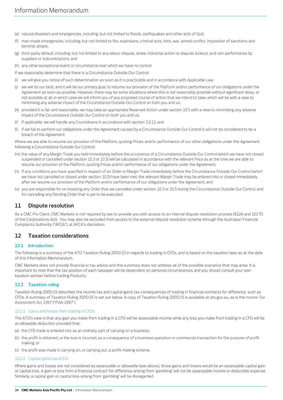- (e) natural disasters and emergencies, including, but not limited to floods, earthquakes and other acts of God;
- (f) man-made emergencies, including, but not limited to fire, explosions, criminal acts, riots, war, armed conflict, imposition of sanctions and terrorist attack;
- (g) third-party default, including, but not limited to any labour dispute, strike, industrial action or dispute, lockout, and non-performance by suppliers or subcontractors; and

(h) any other exceptional event or circumstance over which we have no control.

If we reasonably determine that there is a Circumstance Outside Our Control:

- (i) we will give you notice of such determination as soon as it is practicable and in accordance with Applicable Law;
- (j) we will do our best, and it will be our primary goal, to resume our provision of the Platform and/or performance of our obligations under the Agreement as soon as possible. However, there may be some situations where this is not reasonably possible without significant delay, or not possible at all, in which case we will inform you of any proposed course of action that we intend to take, which will be with a view to minimising any adverse impact of the Circumstance Outside Our Control on both you and us;
- (k) provided it is fair and reasonable, we may take an appropriate Reserved Action under section [10.5](#page-32-1) with a view to minimising any adverse impact of the Circumstance Outside Our Control on both you and us;
- (l) if applicable, we will handle any Countdowns in accordance with section [3.2.11;](#page-12-0) and
- (l) if we fail to perform our obligations under the Agreement caused by a Circumstance Outside Our Control it will not be considered to be a breach of the Agreement.

Where we are able to resume our provision of the Platform, quoting Prices and/or performance of our other obligations under the Agreement following a Circumstance Outside Our Control:

- (m) the value of any Margin Trade you held immediately before the occurrence of a Circumstance Outside Our Control (which we have not closed, suspended or cancelled under sectio[n 10.3](#page-30-3) o[r 10.5\)](#page-32-1) will be calculated in accordance with the relevant Price as at the time we are able to resume our provision of the Platform, quoting Prices and/or performance of our obligations under the Agreement;
- (n) if any conditions you have specified in respect of an Order or Margin Trade immediately before the Circumstance Outside Our Control (which we have not cancelled or closed under sectio[n 10.5\)](#page-32-1) have been met, the relevant Margin Trade may be entered into or closed immediately after we resume our provision of the Platform and/or performance of our obligations under the Agreement; and
- (o) you are responsible for re-instating any Order that we cancelled under sectio[n 10.3](#page-30-3) o[r 10.5](#page-32-1) during the Circumstance Outside Our Control, and for cancelling any Pending Order that is yet to be executed.

# **11 Dispute resolution**

As a CMC Pro Client, CMC Markets is not required by law to provide you with access to an internal dispute resolution process (912A and 1017G of the Corporations Act). You may also be excluded from access to the external dispute resolution scheme through the Australian Financial Complaints Authority ("AFCA"), at AFCA's discretion.

# <span id="page-33-0"></span>**12 Taxation considerations**

# **12.1 Introduction**

The following is a summary of the ATO Taxation Ruling 2005/15 in regards to trading in CFDs, and is based on the taxation laws as at the date of this Information Memorandum.

CMC Markets does not provide financial or tax advice and this summary does not address all of the possible scenarios that may arise. It is important to note that the tax position of each taxpayer will be dependent on personal circumstances and you should consult your own taxation adviser before trading Products.

# **12.2 Taxation ruling**

Taxation Ruling 2005/15 describes the income tax and capital gains tax consequences of trading in financial contracts for difference, such as CFDs. A summary of Taxation Ruling 2005/15 is set out below. A copy of Taxation Ruling 2005/15 is available at ato.gov.au, as is the *Income Tax Assessment Act 1997* ("ITAA 1997").

## 12.2.1 Gains and losses from trading in CFDs

The ATO's view is that any gain you make from trading in a CFD will be assessable income while any loss you make from trading in a CFD will be an allowable deduction provided that:

- (a) the CFD trade is entered into as an ordinary part of carrying on a business;
- (b) the profit is obtained, or the loss is incurred, as a consequence of a business operation or commercial transaction for the purpose of profit making; or
- (c) the profit was made in carrying on, or carrying out, a profit-making scheme.

## 12.2.2 Capital gains tax (CGT)

Where gains and losses are not considered as assessable or allowable (see above), those gains and losses would be an assessable capital gain or capital loss. A gain or loss from a financial contract for difference arising from 'gambling' will not be assessable income or deductible expense. Similarly, a capital gain or capital loss arising from 'gambling' will be disregarded.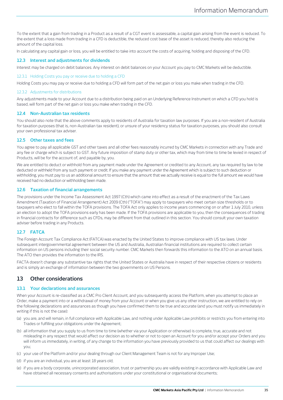To the extent that a gain from trading in a Product as a result of a CGT event is assessable, a capital gain arising from the event is reduced. To the extent that a loss made from trading in a CFD is deductible, the reduced cost base of the asset is reduced, thereby also reducing the amount of the capital loss.

In calculating any capital gain or loss, you will be entitled to take into account the costs of acquiring, holding and disposing of the CFD.

## **12.3 Interest and adjustments for dividends**

Interest may be charged on debit balances. Any interest on debit balances on your Account you pay to CMC Markets will be deductible.

#### 12.3.1 Holding Costs you pay or receive due to holding a CFD

Holding Costs you may pay or receive due to holding a CFD will form part of the net gain or loss you make when trading in the CFD.

## 12.3.2 Adjustments for distributions

Any adjustments made to your Account due to a distribution being paid on an Underlying Reference Instrument on which a CFD you hold is based, will form part of the net gain or loss you make when trading in the CFD.

## **12.4 Non-Australian tax residents**

You should also note that the above comments apply to residents of Australia for taxation law purposes. If you are a non-resident of Australia for taxation purposes (that is, non-Australian tax resident), or unsure of your residency status for taxation purposes, you should also consult your own professional tax adviser.

## **12.5 Other taxes and fees**

You agree to pay all applicable GST and other taxes and all other fees reasonably incurred by CMC Markets in connection with any Trade and any fee or charge which is subject to GST. Any future imposition of stamp duty or other tax, which may from time to time be levied in respect of Products, will be for the account of, and payable by, you.

We are entitled to deduct or withhold from any payment made under the Agreement or credited to any Account, any tax required by law to be deducted or withheld from any such payment or credit. If you make any payment under the Agreement which is subject to such deduction or withholding, you must pay to us an additional amount to ensure that the amount that we actually receive is equal to the full amount we would have received had no deduction or withholding been made.

# **12.6 Taxation of financial arrangements**

The provisions under the Income Tax Assessment Act 1997 (Cth) which came into effect as a result of the enactment of the Tax Laws Amendment (Taxation of Financial Arrangement) Act 2009 (Cth) ("TOFA") may apply to taxpayers who meet certain size thresholds or to taxpayers who elect to fall within the TOFA provisions. The TOFA Act only applies to income years commencing on or after 1 July 2010, unless an election to adopt the TOFA provisions early has been made. If the TOFA provisions are applicable to you, then the consequences of trading in financial contracts for difference such as CFDs, may be different from that outlined in this section. You should consult your own taxation adviser before trading in any Products.

# **12.7 FATCA**

The Foreign Account Tax Compliance Act (FATCA) was enacted by the United States to improve compliance with US tax laws. Under subsequent intergovernmental agreement between the US and Australia, Australian financial institutions are required to collect certain information on US persons including their social security number. CMC Markets then forwards this information to the ATO on an annual basis. The ATO then provides the information to the IRS.

FACTA doesn't change any substantive tax rights that the United States or Australia have in respect of their respective citizens or residents and is simply an exchange of information between the two governments on US Persons.

# **13 Other considerations**

# <span id="page-34-0"></span>**13.1 Your declarations and assurances**

When your Account is re-classified as a CMC Pro Client Account, and you subsequently access the Platform, when you attempt to place an Order, make a payment into or a withdrawal of money from your Account or when you give us any other instruction, we are entitled to rely on the following declarations and assurances as though you have confirmed them to be true and accurate (and you must notify us immediately in writing if this is not the case):

- (a) you are, and will remain, in full compliance with Applicable Law, and nothing under Applicable Law prohibits or restricts you from entering into Trades or fulfilling your obligations under the Agreement;
- (b) all information that you supply to us from time to time (whether via your Application or otherwise) is complete, true, accurate and not misleading in any respect that would affect our decision as to whether or not to open an Account for you and/or accept your Orders and you will inform us immediately, in writing, of any change to the information you have previously provided to us that could affect our dealings with you;
- (c) your use of the Platform and/or your dealing through our Client Management Team is not for any Improper Use;
- (d) if you are an individual, you are at least 18 years old;
- (e) if you are a body corporate, unincorporated association, trust or partnership you are validly existing in accordance with Applicable Law and have obtained all necessary consents and authorisations under your constitutional or organisational documents;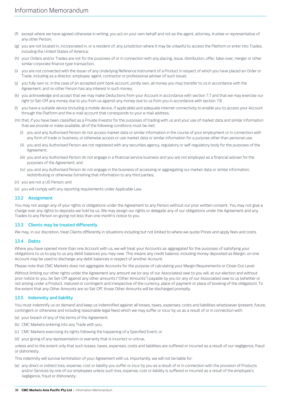- (f) except where we have agreed otherwise in writing, you act on your own behalf and not as the agent, attorney, trustee or representative of any other Person;
- (g) you are not located in, incorporated in, or a resident of, any jurisdiction where it may be unlawful to access the Platform or enter into Trades, including the United States of America;
- (h) your Orders and/or Trades are not for the purposes of or in connection with any placing, issue, distribution, offer, take-over, merger or other similar corporate finance type transaction;
- (i) you are not connected with the issuer of any Underlying Reference Instrument of a Product in respect of which you have placed an Order or Trade, including as a director, employee, agent, contractor or professional adviser of such issuer;
- (j) you fully own or, in the case of an accepted joint bank account, jointly own, all money you may transfer to us in accordance with the Agreement, and no other Person has any interest in such money;
- (k) you acknowledge and accept that we may make Deductions from your Account in accordance with sectio[n 7.7](#page-23-1) and that we may exercise our right to Set-Off any money due to you from us against any money due to us from you in accordance with sectio[n 7.8;](#page-23-0)
- (l) you have a suitable device (including a mobile device, if applicable) and adequate internet connectivity to enable you to access your Account through the Platform and the e-mail account that corresponds to your e-mail address;
- (m) that, if you have been classified as a Private Investor for the purposes of trading with us and your use of market data and similar information that we provide or make available, all of the following conditions must be met:
	- (i) you and any Authorised Person do not access market data or similar information in the course of your employment or in connection with any form of trade or business, or otherwise access or use market data or similar information for a purpose other than personal use;
	- (ii) you and any Authorised Person are not registered with any securities agency, regulatory or self-regulatory body for the purposes of the Agreement;
	- (iii) you and any Authorised Person do not engage in a financial service business and you are not employed as a financial adviser for the purposes of the Agreement; and
	- (iv) you and any Authorised Person do not engage in the business of accessing or aggregating our market data or similar information, redistributing or otherwise furnishing that information to any third parties;
- (n) you are not a US Person; and
- (o) you will comply with any reporting requirements under Applicable Law.

# **13.2 Assignment**

You may not assign any of your rights or obligations under the Agreement to any Person without our prior written consent. You may not give a charge over any rights to deposits we hold by us. We may assign our rights or delegate any of our obligations under the Agreement and any Trades to any Person on giving not less than one month's notice to you.

## **13.3 Clients may be treated differently**

We may, in our discretion, treat Clients differently in situations including but not limited to where we quote Prices and apply fees and costs.

## <span id="page-35-0"></span>**13.4 Debts**

Where you have opened more than one Account with us, we will treat your Accounts as aggregated for the purposes of satisfying your obligations to us to pay to us any debit balances you may owe. This means any credit balance, including money deposited as Margin, on one Account may be used to discharge any debit balances in respect of another Account.

Please note that CMC Markets does not aggregate Accounts for the purpose of calculating your Margin Requirements or Close-Out Level.

Without limiting our other rights under the Agreement any amount we (or any of our Associates) owe to you will, at our election and without prior notice to you, be Set-Off against any other amounts ("Other Amounts") payable by you (or any of our Associates) owe to us (whether or not arising under a Product, matured or contingent and irrespective of the currency, place of payment or place of booking of the obligation). To the extent that any Other Amounts are so Set Off, those Other Amounts will be discharged promptly.

# **13.5 Indemnity and liability**

You must indemnify us on demand and keep us indemnified against all losses, taxes, expenses, costs and liabilities whatsoever (present, future, contingent or otherwise and including reasonable legal fees) which we may suffer or incur by us as a result of or in connection with:

- (a) your breach of any of the terms of the Agreement;
- (b) CMC Markets entering into any Trade with you;
- (c) CMC Markets exercising its rights following the happening of a Specified Event; or
- (d) your giving of any representation or warranty that is incorrect or untrue,

unless and to the extent only that such losses, taxes, expenses, costs and liabilities are suffered or incurred as a result of our negligence, fraud or dishonesty.

This indemnity will survive termination of your Agreement with us. Importantly, we will not be liable for:

(e) any direct or indirect loss, expense, cost or liability you suffer or incur by you as a result of or in connection with the provision of Products and/or Services by one of our employees unless such loss, expense, cost or liability is suffered or incurred as a result of the employee's negligence, fraud or dishonesty;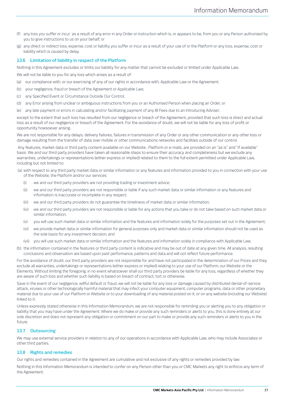- (f) any loss you suffer or incur as a result of any error in any Order or instruction which is, or appears to be, from you or any Person authorised by you to give instructions to us on your behalf; or
- (g) any direct or indirect loss, expense, cost or liability you suffer or incur as a result of your use of or the Platform or any loss, expense, cost or liability which is caused by delay.

# **13.6 Limitation of liability in respect of the Platform**

Nothing in this Agreement excludes or limits our liability for any matter that cannot be excluded or limited under Applicable Law.

We will not be liable to you for any loss which arises as a result of:

- (a) our compliance with, or our exercising of any of our rights in accordance with, Applicable Law or the Agreement;
- (b) your negligence, fraud or breach of the Agreement or Applicable Law;
- (c) any Specified Event or Circumstance Outside Our Control;
- (d) any Error arising from unclear or ambiguous instructions from you or an Authorised Person when placing an Order; or
- (e) any late payment or errors in calculating and/or facilitating payment of any IB Fees due to an Introducing Adviser;

except to the extent that such loss has resulted from our negligence or breach of the Agreement, provided that such loss is direct and actual loss as a result of our negligence or breach of the Agreement. For the avoidance of doubt, we will not be liable for any loss of profit or opportunity howsoever arising..

We are not responsible for any delays, delivery failures, failures in transmission of any Order or any other communication or any other loss or damage resulting from the transfer of data over mobile or other communications networks and facilities outside of our control.

Any features, market data or third party content available on our Website , Platform or e-mails, are provided on an "as is" and "if available" basis. We and our third party providers have taken all reasonable steps to ensure their accuracy and completeness but we exclude any warranties, undertakings or representations (either express or implied) related to them to the full extent permitted under Applicable Law, including but not limited to:

(a) with respect to any third party market data or similar information or any features and information provided to you in connection with your use of the Website, the Platform and/or our services:

- (i) we and our third party providers are not providing trading or investment advice;
- (ii) we and our third party providers are not responsible or liable if any such market data or similar information or any features and information is inaccurate or incomplete in any respect;
- (iii) we and our third party providers do not guarantee the timeliness of market data or similar information;
- (iv) we and our third party providers are not responsible or liable for any actions that you take or do not take based on such market data or similar information;
- (v) you will use such market data or similar information and the features and information solely for the purposes set out in the Agreement;
- (vi) we provide market data or similar information for general purposes only and market data or similar information should not be used as the sole basis for any investment decision; and
- (vii) you will use such market data or similar information and the features and information solely in compliance with Applicable Law;
- (b) the information contained in the features or third party content is indicative and may be out of date at any given time. All analysis, resulting conclusions and observation are based upon past performance, patterns and data and will not reflect future performance.

For the avoidance of doubt, our third party providers are not responsible for and have not participated in the determination of our Prices and they exclude all warranties, undertakings or representations (either express or implied) relating to your use of our Platform, our Website or the Elements. Without limiting the foregoing, in no event whatsoever shall our third party providers be liable for any loss, regardless of whether they are aware of such loss and whether such liability is based on breach of contract, tort or otherwise.

Save in the event of our negligence, willful default or fraud, we will not be liable for any loss or damage caused by distributed denial-of-service attack, viruses or other technologically harmful material that may infect your computer equipment, computer programs, data or other proprietary material due to your use of our Platform or Website or to your downloading of any material posted on it, or on any website (including our Website) linked to it.

Unless expressly stated otherwise in this Information Memorandum, we are not responsible for reminding you or alerting you to any obligation or liability that you may have under the Agreement. Where we do make or provide any such reminders or alerts to you, this is done entirely at our sole discretion and does not represent any obligation or commitment on our part to make or provide any such reminders or alerts to you in the future

## **13.7 Outsourcing**

We may use external service providers in relation to any of our operations in accordance with Applicable Law, who may include Associates or other third parties.

# **13.8 Rights and remedies**

Our rights and remedies contained in the Agreement are cumulative and not exclusive of any rights or remedies provided by law.

Nothing in this Information Memorandum is intended to confer on any Person other than you or CMC Markets any right to enforce any term of the Agreement.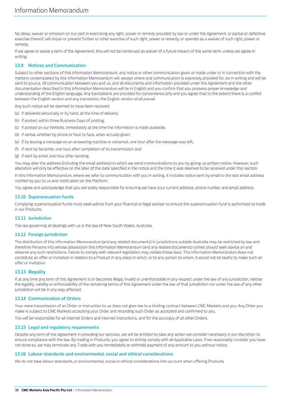No delay, waiver or omission on our part in exercising any right, power or remedy provided by law or under the Agreement, or partial or defective exercise thereof, will impair or prevent further or other exercise of such right, power or remedy, or operate as a waiver of such right, power or remedy.

If we agree to waive a term of the Agreement, this will not be construed as waiver of a future breach of the same term, unless we agree in writing.

# **13.9 Notices and Communication**

Subject to other sections of this Information Memorandum, any notice or other communication given or made under or in connection with the matters contemplated by this Information Memorandum will, except where oral communication is expressly provided for, be in writing and will be sent to you/us. All communication between you and us, and all documents and information provided under the Agreement and the other documentation described in this Information Memorandum will be in English and you confirm that you possess proper knowledge and understanding of the English language. Any translations are provided for convenience only and you agree that to the extent there is a conflict between the English version and any translation, the English version shall prevail.

Any such notice will be deemed to have been received:

(a) if delivered personally or by hand, at the time of delivery;

- (b) if posted, within three Business Days of posting;
- (c) if posted on our Website, immediately at the time the information is made available;
- (d) if verbal, whether by phone or face to face, when actually given;
- (e) if by leaving a message on an answering machine or voicemail, one hour after the message was left;
- (f) if sent by facsimile, one hour after completion of its transmission; and
- (g) if sent by email, one hour after sending.

You may alter the address (including the email address) to which we send communications to you by giving us written notice. However, such alteration will only be effective on the later of the date specified in the notice and the time it was deemed to be received under this section.

In this Information Memorandum, where we refer to communication with you in writing, it includes notice sent by email to the last email address notified by you to us and notification on the Platform.

You agree and acknowledge that you are solely responsible for ensuring we have your current address, phone number and email address.

# **13.10 Superannuation funds**

Complying superannuation funds must seek advice from your financial or legal adviser to ensure the superannuation fund is authorised to trade in our Products.

# **13.11 Jurisdiction**

The law governing all dealings with us is the law of New South Wales, Australia.

## **13.12 Foreign jurisdiction**

The distribution of this Information Memorandum (and any related documents) in jurisdictions outside Australia may be restricted by law and therefore Persons into whose possession this Information Memorandum (and any related documents) comes should seek advice on and observe any such restrictions. Failure to comply with relevant legislation may violate those laws. This Information Memorandum does not constitute an offer or invitation in relation to a Product in any place in which, or to any person to whom, it would not be lawful to make such an offer or invitation.

## **13.13 Illegality**

If at any time any term of this Agreement is or becomes illegal, invalid or unenforceable in any respect under the law of any jurisdiction, neither the legality, validity or enforceability of the remaining terms of this Agreement under the law of that jurisdiction nor under the law of any other jurisdiction will be in any way affected.

## **13.14 Communication of Orders**

Your mere transmission of an Order or instruction to us does not give rise to a binding contract between CMC Markets and you. Any Order you make is subject to CMC Markets accepting your Order and recording such Order as accepted and confirmed to you.

You will be responsible for all internet Orders and internet instructions, and for the accuracy of all other Orders.

## **13.15 Legal and regulatory requirements**

Despite any term of the Agreement in providing our services, we will be entitled to take any action we consider necessary in our discretion to ensure compliance with the law. By trading in Products, you agree to strictly comply with all Applicable Laws. If we reasonably consider you have not done so, we may terminate any Trade with you immediately or withhold payment of any amount to you without notice.

## **13.16 Labour standards and environmental, social and ethical considerations**

We do not take labour standards, or environmental, social or ethical considerations into account when offering Products.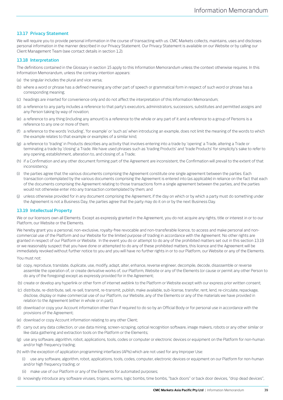# **13.17 Privacy Statement**

We will require you to provide personal information in the course of transacting with us. CMC Markets collects, maintains, uses and discloses personal information in the manner described in our Privacy Statement. Our Privacy Statement is available on our Website or by calling our Client Management Team (see contact details in sectio[n 1.2\)](#page-2-0).

# **13.18 Interpretation**

The definitions contained in the Glossary in sectio[n 15](#page-42-0) apply to this Information Memorandum unless the context otherwise requires. In this Information Memorandum, unless the contrary intention appears:

- (a) the singular includes the plural and vice versa;
- (b) where a word or phrase has a defined meaning any other part of speech or grammatical form in respect of such word or phrase has a corresponding meaning;
- (c) headings are inserted for convenience only and do not affect the interpretation of this Information Memorandum;
- (d) a reference to any party includes a reference to that party's executors, administrators, successors, substitutes and permitted assigns and any Person taking by way of novation;
- (e) a reference to any thing (including any amount) is a reference to the whole or any part of it and a reference to a group of Persons is a reference to any one or more of them;
- (f) a reference to the words 'including', 'for example' or 'such as' when introducing an example, does not limit the meaning of the words to which the example relates to that example or examples of a similar kind;
- (g) a reference to 'trading' in Products describes any activity that involves entering into a trade by 'opening' a Trade, altering a Trade or terminating a trade by 'closing' a Trade. We have used phrases such as 'trading Products' and 'trade Products' for simplicity's sake to refer to any opening, establishment, alteration to, and closing of, a Trade;
- (h) if a Confirmation and any other document forming part of the Agreement are inconsistent, the Confirmation will prevail to the extent of that inconsistency;
- (i) the parties agree that the various documents comprising the Agreement constitute one single agreement between the parties. Each transaction contemplated by the various documents comprising the Agreement is entered into (as applicable) in reliance on the fact that each of the documents comprising the Agreement relating to those transactions form a single agreement between the parties, and the parties would not otherwise enter into any transaction contemplated by them; and
- (j) unless otherwise provided for in any document comprising the Agreement, if the day on which or by which a party must do something under the Agreement is not a Business Day, the parties agree that the party may do it on or by the next Business Day.

# <span id="page-38-0"></span>**13.19 Intellectual Property**

We or our licensors own all Elements. Except as expressly granted in the Agreement, you do not acquire any rights, title or interest in or to our Platform, our Website or the Elements.

We hereby grant you a personal, non-exclusive, royalty-free revocable and non-transferable licence, to access and make personal and noncommercial use of the Platform and our Website for the limited purpose of trading in accordance with the Agreement. No other rights are granted in respect of our Platform or Website. In the event you do or attempt to do any of the prohibited matters set out in this sectio[n 13.19](#page-38-0) or we reasonably suspect that you have done or attempted to do any of these prohibited matters, this licence and the Agreement will be immediately revoked without further notice to you and you will have no further rights in or to our Platform, our Website or any of the Elements.

#### You must not:

- (a) copy, reproduce, translate, duplicate, use, modify, adapt, alter, enhance, reverse engineer, decompile, decode, disassemble or reverse assemble the operation of, or create derivative works of, our Platform, Website or any of the Elements (or cause or permit any other Person to do any of the foregoing) except as expressly provided for in the Agreement;
- (b) create or develop any hyperlink or other form of internet weblink to the Platform or Website except with our express prior written consent;
- (c) distribute, re-distribute, sell, re-sell, transmit, re-transmit, publish, make available, sub-license, transfer, rent, lend, re-circulate, repackage, disclose, display or make commercial use of our Platform, our Website, any of the Elements or any of the materials we have provided in relation to the Agreement (either in whole or in part);
- (d) download or copy your Account information other than if required to do so by an Official Body or for personal use in accordance with the provisions of the Agreement;
- (e) download or copy Account information relating to any other Client;
- carry out any data collection, or use data mining, screen-scraping, optical recognition software, image makers, robots or any other similar or like data gathering and extraction tools on the Platform or the Elements;
- (g) use any software, algorithm, robot, applications, tools, codes or computer or electronic devices or equipment on the Platform for non-human and/or high frequency trading;
- (h) with the exception of application programming interfaces (APIs) which are not used for any Improper Use:
	- (i) use any software, algorithm, robot, applications, tools, codes, computer, electronic devices or equipment on our Platform for non-human and/or high frequency trading; or
	- (ii) make use of our Platform or any of the Elements for automated purposes;
- (i) knowingly introduce any software viruses, trojans, worms, logic bombs, time bombs, "back doors" or back door devices, "drop dead devices",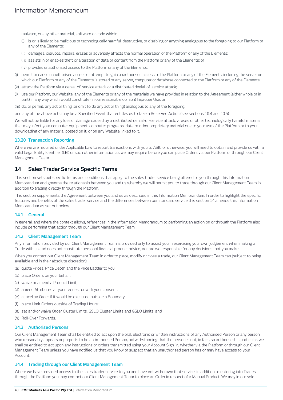malware, or any other material, software or code which:

- (i) is or is likely to be malicious or technologically harmful, destructive, or disabling or anything analogous to the foregoing to our Platform or any of the Elements;
- (ii) damages, disrupts, impairs, erases or adversely affects the normal operation of the Platform or any of the Elements;
- (iii) assists in or enables theft or alteration of data or content from the Platform or any of the Elements; or
- (iv) provides unauthorised access to the Platform or any of the Elements.
- (j) permit or cause unauthorised access or attempt to gain unauthorised access to the Platform or any of the Elements, including the server on which our Platform or any of the Elements is stored or any server, computer or database connected to the Platform or any of the Elements;
- (k) attack the Platform via a denial-of-service attack or a distributed denial-of-service attack;
- (l) use our Platform, our Website, any of the Elements or any of the materials we have provided in relation to the Agreement (either whole or in part) in any way which would constitute (in our reasonable opinion) Improper Use; or
- (m) do, or permit, any act or thing (or omit to do any act or thing) analogous to any of the foregoing,

and any of the above acts may be a Specified Event that entitles us to take a Reserved Action (see sections [10.4](#page-31-0) an[d 10.5\).](#page-32-1)

We will not be liable for any loss or damage caused by a distributed denial-of-service attack, viruses or other technologically harmful material that may infect your computer equipment, computer programs, data or other proprietary material due to your use of the Platform or to your downloading of any material posted on it, or on any Website linked to it.

## **13.20 Transaction Reporting**

Where we are required under Applicable Law to report transactions with you to ASIC or otherwise, you will need to obtain and provide us with a valid Legal Entity Identifier (LEI) or such other information as we may require before you can place Orders via our Platform or through our Client Management Team.

# <span id="page-39-0"></span>**14 Sales Trader Service Specific Terms**

This section sets out specific terms and conditions that apply to the sales trader service being offered to you through this Information Memorandum and governs the relationship between you and us whereby we will permit you to trade through our Client Management Team in addition to trading directly through the Platform.

This section supplements the Agreement between you and us as described in this Information Memorandum. In order to highlight the specific features and benefits of the sales trader service and the differences between our standard service this section [14](#page-39-0) amends this Information Memorandum as set out below.

# **14.1 General**

In general, and where the context allows, references in the Information Memorandum to performing an action on or through the Platform also include performing that action through our Client Management Team.

# **14.2 Client Management Team**

Any information provided by our Client Management Team is provided only to assist you in exercising your own judgement when making a Trade with us and does not constitute personal financial product advice, nor are we responsible for any decisions that you make.

When you contact our Client Management Team in order to place, modify or close a trade, our Client Management Team can (subject to being available and in their absolute discretion):

- (a) quote Prices, Price Depth and the Price Ladder to you;
- (b) place Orders on your behalf;
- (c) waive or amend a Product Limit;
- (d) amend Attributes at your request or with your consent;
- (e) cancel an Order if it would be executed outside a Boundary;
- (f) place Limit Orders outside of Trading Hours;
- (g) set and/or waive Order Cluster Limits, GSLO Cluster Limits and GSLO Limits; and
- (h) Roll-Over Forwards.

#### **14.3 Authorised Persons**

Our Client Management Team shall be entitled to act upon the oral, electronic or written instructions of any Authorised Person or any person who reasonably appears or purports to be an Authorised Person, notwithstanding that the person is not, in fact, so authorised. In particular, we shall be entitled to act upon any instructions or orders transmitted using your Account Sign-in, whether via the Platform or through our Client Management Team unless you have notified us that you know or suspect that an unauthorised person has or may have access to your Account.

#### **14.4 Trading through our Client Management Team**

Where we have provided access to the sales trader service to you and have not withdrawn that service, in addition to entering into Trades through the Platform you may contact our Client Management Team to place an Order in respect of a Manual Product. We may in our sole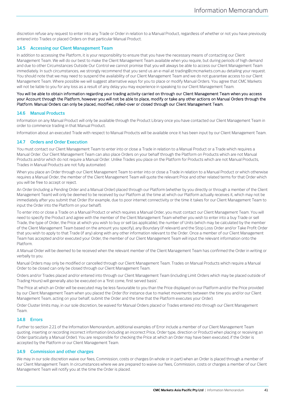discretion refuse any request to enter into any Trade or Order in relation to a Manual Product, regardless of whether or not you have previously entered into Trades or placed Orders on that particular Manual Product.

# **14.5 Accessing our Client Management Team**

In addition to accessing the Platform, it is your responsibility to ensure that you have the necessary means of contacting our Client Management Team. We will do our best to make the Client Management Team available when you require, but during periods of high demand and due to other Circumstances Outside Our Control we cannot promise that you will always be able to access our Client Management Team immediately. In such circumstances, we strongly recommend that you send us an e-mail at trading@cmcmarkets.com.au detailing your request. You should note that we may need to suspend the availability of our Client Management Team and we do not guarantee access to our Client Management Team. Where possible we will suggest alternative ways for you to place or modify Manual Orders. You agree that CMC Markets will not be liable to you for any loss as a result of any delay you may experience in speaking to our Client Management Team.

## You will be able to obtain information regarding your trading activity carried on through our Client Management Team when you access your Account through the Platform, however you will not be able to place, modify or take any other actions on Manual Orders through the Platform. Manual Orders can only be placed, modified, rolled-over or closed through our Client Management Team.

## **14.6 Manual Products**

Information on any Manual Product will only be available through the Product Library once you have contacted our Client Management Team in order to commence trading in that Manual Product.

Information about an executed Trade with respect to Manual Products will be available once it has been input by our Client Management Team.

# **14.7 Orders and Order Execution**

You must contact our Client Management Team to enter into or close a Trade in relation to a Manual Product or a Trade which requires a Manual Order. Our Client Management Team can also place Orders on your behalf through the Platform on Products which are not Manual Products and/or which do not require a Manual Order. Unlike Trades you place on the Platform for Products which are not Manual Products, Trades in Manual Products are not fully automated.

When you place an Order through our Client Management Team to enter into or close a Trade in relation to a Manual Product or which otherwise requires a Manual Order, the member of the Client Management Team will quote the relevant Price and other related terms for that Order which you will be free to accept or reject.

An Order (including a Pending Order and a Manual Order) placed through our Platform (whether by you directly or through a member of the Client Management Team) will only be deemed to be received by our Platform at the time at which our Platform actually receives it, which may not be immediately after you submit that Order (for example, due to poor internet connectivity or the time it takes for our Client Management Team to input the Order into the Platform on your behalf).

To enter into or close a Trade on a Manual Product or which requires a Manual Order, you must contact our Client Management Team. You will need to specify the Product and agree with the member of the Client Management Team whether you wish to enter into a buy Trade or sell Trade, the type of Order, the Price at which you wish to buy or sell (as applicable), the number of Units (which may be calculated by the member of the Client Management Team based on the amount you specify), any Boundary (if relevant) and the Stop Loss Order and/or Take Profit Order that you wish to apply to that Trade (if any) along with any other information relevant to the Order. Once a member of our Client Management Team has accepted and/or executed your Order, the member of our Client Management Team will input the relevant information onto the Platform.

A Manual Order will be deemed to be received when the relevant member of the Client Management Team has confirmed the Order in writing or verbally to you.

Manual Orders may only be modified or cancelled through our Client Management Team. Trades on Manual Products which require a Manual Order to be closed can only be closed through our Client Management Team.

Orders and/or Trades placed and/or entered into through our Client Management Team (including Limit Orders which may be placed outside of Trading Hours) will generally also be executed on a 'first come, first served basis'.

The Price at which an Order will be executed may be less favourable to you than the Price displayed on our Platform and/or the Price provided by our Client Management Team when you placed the Order (for instance due to market movements between the time you and/or our Client Management Team, acting on your behalf, submit the Order and the time that the Platform executes your Order).

Order Cluster limits may, in our sole discretion, be waived for Manual Orders placed or Trades entered into through our Client Management Team.

# **14.8 Errors**

Further to sectio[n 2.21](#page-8-0) of the Information Memorandum, additional examples of Error include a member of our Client Management Team quoting, inserting or recording incorrect information (including an incorrect Price, Order type, direction or Product) when placing or receiving an Order (particularly a Manual Order). You are responsible for checking the Price at which an Order may have been executed, if the Order is accepted by the Platform or our Client Management Team.

# **14.9 Commission and other charges**

We may in our sole discretion waive our fees, Commission, costs or charges (in whole or in part) when an Order is placed through a member of our Client Management Team. In circumstances where we are prepared to waive our fees, Commission, costs or charges a member of our Client Management Team will notify you at the time the Order is placed.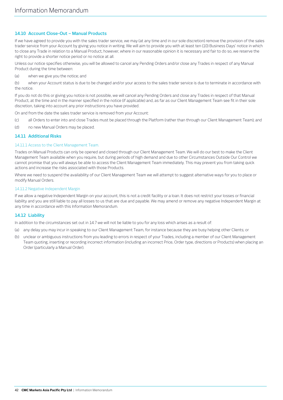# <span id="page-41-0"></span>**14.10 Account Close-Out – Manual Products**

If we have agreed to provide you with the sales trader service, we may (at any time and in our sole discretion) remove the provision of the sales trader service from your Account by giving you notice in writing. We will aim to provide you with at least ten (10) Business Days' notice in which to close any Trade in relation to a Manual Product, however, where in our reasonable opinion it is necessary and fair to do so, we reserve the right to provide a shorter notice period or no notice at all.

Unless our notice specifies otherwise, you will be allowed to cancel any Pending Orders and/or close any Trades in respect of any Manual Product during the time between:

(a) when we give you the notice; and

(b) when your Account status is due to be changed and/or your access to the sales trader service is due to terminate in accordance with the notice.

If you do not do this or giving you notice is not possible, we will cancel any Pending Orders and close any Trades in respect of that Manual Product, at the time and in the manner specified in the notice (if applicable) and, as far as our Client Management Team see fit in their sole discretion, taking into account any prior instructions you have provided.

On and from the date the sales trader service is removed from your Account:

- (c) all Orders to enter into and close Trades must be placed through the Platform (rather than through our Client Management Team); and
- (d) no new Manual Orders may be placed.

# <span id="page-41-1"></span>**14.11 Additional Risks**

## 14.11.1 Access to the Client Management Team.

Trades on Manual Products can only be opened and closed through our Client Management Team. We will do our best to make the Client Management Team available when you require, but during periods of high demand and due to other Circumstances Outside Our Control we cannot promise that you will always be able to access the Client Management Team immediately. This may prevent you from taking quick actions and increase the risks associated with those Products.

Where we need to suspend the availability of our Client Management Team we will attempt to suggest alternative ways for you to place or modify Manual Orders.

#### 14.11.2 Negative Independent Margin

If we allow a negative Independent Margin on your account, this is not a credit facility or a loan. It does not restrict your losses or financial liability and you are still liable to pay all losses to us that are due and payable. We may amend or remove any negative Independent Margin at any time in accordance with this Information Memorandum.

# **14.12 Liability**

In addition to the circumstances set out in 14.7 we will not be liable to you for any loss which arises as a result of:

- (a) any delay you may incur in speaking to our Client Management Team, for instance because they are busy helping other Clients; or
- (b) unclear or ambiguous instructions from you leading to errors in respect of your Trades, including a member of our Client Management Team quoting, inserting or recording incorrect information (including an incorrect Price, Order type, directions or Products) when placing an Order (particularly a Manual Order).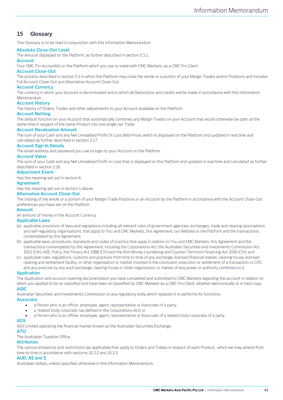# <span id="page-42-0"></span>**15 Glossary**

This Glossary is to be read in conjunction with this Information Memorandum.

# **Absolute Close-Out Level**

The Amount displayed on the Platform, as further described in sectio[n 5.3.1.](#page-18-2)

# **Account**

Your CMC Pro account(s) on the Platform which you use to trade with CMC Markets, as a CMC Pro Client.

#### **Account Close-Out**

The process described in sectio[n 5.3](#page-17-0) in which the Platform may close the whole or a portion of your Margin Trades and/or Positions and includes Full Account Close-Out and Alternative Account Close-Out.

## **Account Currency**

The currency in which your Account is denominated and in which all Deductions and credits will be made in accordance with this Information Memorandum.

## **Account History**

The history of Orders, Trades and other adjustments to your Account available on the Platform.

#### **Account Netting**

The default function on your Account that automatically combines any Margin Trades on your Account that would otherwise be open at the same time in respect of the same Product into one single net Trade.

## **Account Revaluation Amount**

The sum of your Cash and any Net Unrealised Profit Or Loss (Mid-Price), which is displayed on the Platform and updated in real time and calculated as further described in section [2.17.](#page-7-0)

## **Account Sign In Details**

The email address and password you use to login to your Account on the Platform.

## **Account Value**

The sum of your Cash and any Net Unrealised Profit or Loss that is displayed on the Platform and updated in real time and calculated as further described in sectio[n 2.16.](#page-7-1)

#### **Adjustment Event**

Has the meaning set out in section [6.](#page-19-1) 

#### **Agreement**

Has the meaning set out in section 1 above.

## **Alternative Account Close-Out**

The closing of the whole or a portion of your Margin Trade Positions in an Account by the Platform in accordance with the Account Close-Out preferences you have set on the Platform.

#### **Amount**

An amount of money in the Account Currency.

#### **Applicable Laws**

- (a) applicable provisions of laws and regulations including all relevant rules of government agencies, exchanges, trade and clearing associations and self-regulatory organisations, that apply to You and CMC Markets, this Agreement, our Website or the Platform and the transactions contemplated by this Agreement;
- (b) applicable laws, procedures, standards and codes of practice that apply in relation to You and CMC Markets, this Agreement and the transactions contemplated by this Agreement, including the Corporations Act, the Australian Securities and Investments Commission Act 2001 (Cth), ASIC Policy, the Privacy Act 1988 (Cth) and the Anti-Money Laundering and Counter-Terrorism Financing Act 2006 (Cth); and
- (c) applicable rules, regulations, customs and practices from time to time of any exchange, licensed financial market, clearing house, licensed clearing and settlement facility, or other organisation or market involved in the conclusion, execution or settlement of a transaction or CFD and any exercise by any such exchange, clearing house or other organisation or market of any power or authority conferred on it.

#### **Application**

The Application and account opening documentation you have completed and submitted to CMC Markets regarding the account in relation to which you applied to be re-classified and have been re-classified by CMC Markets as a CMC Pro Client, whether electronically or in hard copy.

# **ASIC**

Australian Securities and Investments Commission or any regulatory body which replaces it or performs its functions.

#### **Associate**

- a Person who is an officer, employee, agent, representative or Associate of a party;
- a 'related body corporate' (as defined in the Corporations Act); or
- a Person who is an officer, employee, agent, representative or Associate of a related body corporate of a party.

## **ASX**

ASX Limited operating the financial market known as the Australian Securities Exchange.

# **ATO**

The Australian Taxation Office.

# **Attributes**

The various limitations and restrictions (as applicable) that apply to Orders and Trades in respect of each Product, which we may amend from time to time in accordance with section[s 10.2.2](#page-29-2) an[d 10.2.3.](#page-29-1) 

## **AUD, A\$ and \$**

Australian dollars, unless specified otherwise in this Information Memorandum.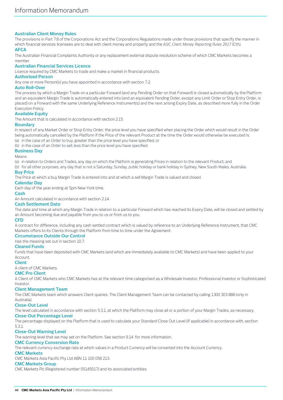# **Australian Client Money Rules**

The provisions in Part 7.8 of the Corporations Act and the Corporations Regulations made under those provisions that specify the manner in which financial services licensees are to deal with client money and property and the *ASIC Client Money Reporting Rules 2017* (Cth).

# **AFCA**

The Australian Financial Complaints Authority or any replacement external dispute resolution scheme of which CMC Markets becomes a member.

# **Australian Financial Services Licence**

Licence required by CMC Markets to trade and make a market in financial products.

## **Authorised Person**

Any one or more Person(s) you have appointed in accordance with sectio[n 7.2.](#page-20-1) 

#### **Auto Roll-Over**

The process by which a Margin Trade on a particular Forward (and any Pending Order on that Forward) is closed automatically by the Platform and an equivalent Margin Trade is automatically entered into (and an equivalent Pending Order, except any Limit Order or Stop Entry Order, is placed) on a Forward with the same Underlying Reference Instrument(s) and the next arising Expiry Date, as described more fully in the Order Execution Policy.

# **Available Equity**

The Amount that is calculated in accordance with section [2.15.](#page-7-2)

## **Boundary**

In respect of any Market Order or Stop Entry Order, the price level you have specified when placing the Order which would result in the Order being automatically cancelled by the Platform if the Price of the relevant Product at the time the Order would otherwise be executed is:

(a) in the case of an Order to buy, greater than the price level you have specified; or

(b) in the case of an Order to sell, less than the price level you have specified. **Business Day**

# Means:

(a) in relation to Orders and Trades, any day on which the Platform is generating Prices in relation to the relevant Product; and

(b) for all other purposes, any day that is not a Saturday, Sunday, public holiday or bank holiday in Sydney, New South Wales, Australia.

## **Buy Price**

The Price at which a buy Margin Trade is entered into and at which a sell Margin Trade is valued and closed.

## **Calendar Day**

Each day of the year ending at 5pm New York time.

#### **Cash**

An Amount calculated in accordance with section [2.14.](#page-7-3)

## **Cash Settlement Date**

The date and time at which any Margin Trade in relation to a particular Forward which has reached its Expiry Date, will be closed and settled by an Amount becoming due and payable from you to us or from us to you.

## **CFD**

A contract for difference, including any cash settled contract which is valued by reference to an Underlying Reference Instrument, that CMC Markets offers to its Clients through the Platform from time to time under the Agreement.

## **Circumstance Outside Our Control**

Has the meaning set out in sectio[n 10.7.](#page-32-0)

# **Cleared Funds**

Funds that have been deposited with CMC Markets (and which are immediately available to CMC Markets) and have been applied to your Account.

#### **Client**

A client of CMC Markets.

## **CMC Pro Client**

A Client of CMC Markets who CMC Markets has at the relevant time categorised as a Wholesale Investor, Professional Investor or Sophisticated Investor.

## **Client Management Team**

The CMC Markets team which answers Client queries. The Client Management Team can be contacted by calling 1300 303 888 (only in

#### Australia). **Close-Out Level**

The level calculated in accordance with sectio[n 5.3.1,](#page-18-2) at which the Platform may close all or a portion of your Margin Trades, as necessary.

# **Close-Out Percentage Level**

The percentage displayed on the Platform that is used to calculate your Standard Close Out Level (if applicable) in accordance with, section

#### [5.3.1.](#page-18-2) **Close-Out Warning Level**

The warning level that we may set on the Platform. See section [9.14](#page-28-2) for more information.

## **CMC Currency Conversion Rate**

The relevant currency exchange rate at which values in a Product Currency will be converted into the Account Currency.

## **CMC Markets**

CMC Markets Asia Pacific Pty Ltd ABN 11 100 058 213.

# **CMC Markets Group**

CMC Markets Plc (Registered number 05145017) and its associated entities.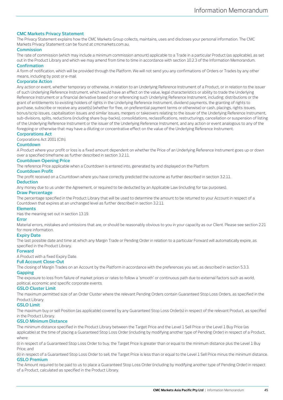# **CMC Markets Privacy Statement**

The Privacy Statement explains how the CMC Markets Group collects, maintains, uses and discloses your personal information. The CMC Markets Privacy Statement can be found at cmcmarkets.com.au.

# **Commission**

The rate of commission (which may include a minimum commission amount) applicable to a Trade in a particular Product (as applicable), as set out in the Product Library and which we may amend from time to time in accordance with sectio[n 10.2.3](#page-29-1) of the Information Memorandum. **Confirmation**

A form of notification, which will be provided through the Platform. We will not send you any confirmations of Orders or Trades by any other means, including by post or e-mail.

#### **Corporate Action**

Any action or event, whether temporary or otherwise, in relation to an Underlying Reference Instrument of a Product, or in relation to the issuer of such Underlying Reference Instrument, which would have an effect on the value, legal characteristics or ability to trade the Underlying Reference Instrument or a financial derivative based on or referencing such Underlying Reference Instrument, including: distributions or the grant of entitlements to existing holders of rights in the Underlying Reference Instrument, dividend payments, the granting of rights to purchase, subscribe or receive any asset(s) (whether for free, on preferential payment terms or otherwise) or cash, placings, rights issues, bonus/scrip issues, capitalisation issues and similar issues, mergers or takeovers relating to the issuer of the Underlying Reference Instrument, sub-divisions, splits, reductions (including share buy-backs), consolidations, reclassifications, restructurings, cancellation or suspension of listing of the Underlying Reference Instrument or the issuer of the Underlying Reference Instrument, and any action or event analogous to any of the foregoing or otherwise that may have a diluting or concentrative effect on the value of the Underlying Reference Instrument.

# **Corporations Act**

Corporations Act 2001 (Cth).

# **Countdown**

A Product where your profit or loss is a fixed amount dependent on whether the Price of an Underlying Reference Instrument goes up or down over a specified timeframe as further described in section [3.2.11.](#page-12-0)

#### **Countdown Opening Price**

The reference Price applicable when a Countdown is entered into, generated by and displayed on the Platform.

#### **Countdown Profit**

The profit received on a Countdown where you have correctly predicted the outcome as further described in section [3.2.11.](#page-12-0)

#### **Deduction**

Any money due to us under the Agreement, or required to be deducted by an Applicable Law (including for tax purposes).

## **Draw Percentage**

The percentage specified in the Product Library that will be used to determine the amount to be returned to your Account in respect of a Countdown that expires at an unchanged level as further described in section [3.2.11.](#page-12-0)

#### **Elements**

Has the meaning set out in sectio[n 13.19.](#page-38-0)

#### **Error**

Material errors, mistakes and omissions that are, or should be reasonably obvious to you in your capacity as our Client. Please see sectio[n 2.21](#page-8-0) for more information.

#### **Expiry Date**

The last possible date and time at which any Margin Trade or Pending Order in relation to a particular Forward will automatically expire, as specified in the Product Library.

#### **Forward**

A Product with a fixed Expiry Date.

# **Full Account Close-Out**

The closing of Margin Trades on an Account by the Platform in accordance with the preferences you set, as described in section [5.3.3.](#page-18-0)

# **Gapping**

The exposure to loss from failure of market prices or rates to follow a 'smooth' or continuous path due to external factors such as world, political, economic and specific corporate events.

#### **GSLO Cluster Limit**

The maximum permitted size of an Order Cluster where the relevant Pending Orders contain Guaranteed Stop Loss Orders, as specified in the Product Library.

## **GSLO Limit**

The maximum buy or sell Position (as applicable) covered by any Guaranteed Stop Loss Order(s) in respect of the relevant Product, as specified in the Product Library.

## **GSLO Minimum Distance**

The minimum distance specified in the Product Library between the Target Price and the Level 1 Sell Price or the Level 1 Buy Price (as applicable) at the time of placing a Guaranteed Stop Loss Order (including by modifying another type of Pending Order) in respect of a Product, where:

(i) in respect of a Guaranteed Stop Loss Order to buy, the Target Price is greater than or equal to the minimum distance plus the Level 1 Buy Price; and

(ii) in respect of a Guaranteed Stop Loss Order to sell, the Target Price is less than or equal to the Level 1 Sell Price minus the minimum distance. **GSLO Premium**

The Amount required to be paid to us to place a Guaranteed Stop Loss Order (including by modifying another type of Pending Order) in respect of a Product, calculated as specified in the Product Library.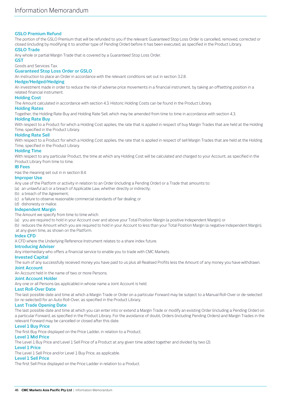# **GSLO Premium Refund**

The portion of the GSLO Premium that will be refunded to you if the relevant Guaranteed Stop Loss Order is cancelled, removed, corrected or closed (including by modifying it to another type of Pending Order) before it has been executed, as specified in the Product Library.

# **GSLO Trade**

Any whole or partial Margin Trade that is covered by a Guaranteed Stop Loss Order.

# **GST**

Goods and Services Tax.

# **Guaranteed Stop Loss Order or GSLO**

An instruction to place an Order in accordance with the relevant conditions set out in sectio[n 3.2.8.](#page-11-0)

## **Hedge/Hedged/Hedging**

An investment made in order to reduce the risk of adverse price movements in a financial instrument, by taking an offsetting position in a related financial instrument.

# **Holding Cost**

The Amount calculated in accordance with section [4.3.](#page-15-2) Historic Holding Costs can be found in the Product Library.

## **Holding Rates**

Together, the Holding Rate Buy and Holding Rate Sell, which may be amended from time to time in accordance with sectio[n 4.3.](#page-15-2)

# **Holding Rate Buy**

With respect to a Product for which a Holding Cost applies, the rate that is applied in respect of buy Margin Trades that are held at the Holding Time, specified in the Product Library.

# **Holding Rate Sell**

With respect to a Product for which a Holding Cost applies, the rate that is applied in respect of sell Margin Trades that are held at the Holding Time, specified in the Product Library.

## **Holding Time**

With respect to any particular Product, the time at which any Holding Cost will be calculated and charged to your Account, as specified in the Product Library from time to time.

## **IB Fees**

Has the meaning set out in in section [8.4.](#page-24-0) 

# **Improper Use**

Any use of the Platform or activity in relation to an Order (including a Pending Order) or a Trade that amounts to:

(a) an unlawful act or a breach of Applicable Law, whether directly or indirectly;

- (b) a breach of the Agreement;
- (c) a failure to observe reasonable commercial standards of fair dealing; or
- (d) dishonesty or malice.

## **Independent Margin**

The Amount we specify from time to time which:

(a) you are required to hold in your Account over and above your Total Position Margin (a positive Independent Margin); or

(b) reduces the Amount which you are required to hold in your Account to less than your Total Position Margin (a negative Independent Margin), at any given time, as shown on the Platform.

## **Index CFD**

A CFD where the Underlying Reference Instrument relates to a share index future.

# **Introducing Adviser**

Any intermediary who offers a financial service to enable you to trade with CMC Markets.

## **Invested Capital**

The sum of any successfully received money you have paid to us plus all Realised Profits less the Amount of any money you have withdrawn. **Joint Account**

An Account held in the name of two or more Persons.

## **Joint Account Holder**

Any one or all Persons (as applicable) in whose name a Joint Account is held.

## **Last Roll-Over Date**

The last possible date and time at which a Margin Trade or Order on a particular Forward may be subject to a Manual Roll-Over or de-selected (or re-selected) for an Auto Roll-Over, as specified in the Product Library.

## **Last Trade Opening Date**

The last possible date and time at which you can enter into or extend a Margin Trade or modify an existing Order (including a Pending Order) on a particular Forward, as specified in the Product Library. For the avoidance of doubt, Orders (including Pending Orders) and Margin Trades in the relevant Forward may be cancelled or closed after this date.

## **Level 1 Buy Price**

The first Buy Price displayed on the Price Ladder, in relation to a Product.

# **Level 1 Mid Price**

The Level 1 Buy Price and Level 1 Sell Price of a Product at any given time added together and divided by two (2).

# **Level 1 Price**

The Level 1 Sell Price and/or Level 1 Buy Price, as applicable.

# **Level 1 Sell Price**

The first Sell Price displayed on the Price Ladder in relation to a Product.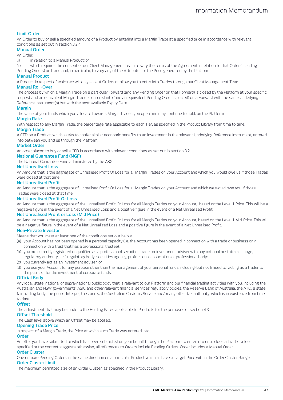# **Limit Order**

An Order to buy or sell a specified amount of a Product by entering into a Margin Trade at a specified price in accordance with relevant conditions as set out in section [3.2.4.](#page-10-1)

# **Manual Order**

An Order:

(i) in relation to a Manual Product; or

(ii) which requires the consent of our Client Management Team to vary the terms of the Agreement in relation to that Order (including Pending Orders) or Trade and, in particular, to vary any of the Attributes or the Price generated by the Platform.

## **Manual Product**

A Product in respect of which we will only accept Orders or allow you to enter into Trades through our Client Management Team.

## **Manual Roll-Over**

The process by which a Margin Trade on a particular Forward (and any Pending Order on that Forward) is closed by the Platform at your specific request and an equivalent Margin Trade is entered into (and an equivalent Pending Order is placed) on a Forward with the same Underlying Reference Instrument(s) but with the next available Expiry Date.

## **Margin**

The value of your funds which you allocate towards Margin Trades you open and may continue to hold, on the Platform.

## **Margin Rate**

With respect to any Margin Trade, the percentage rate applicable to each Tier, as specified in the Product Library from time to time.

# **Margin Trade**

A CFD on a Product, which seeks to confer similar economic benefits to an investment in the relevant Underlying Reference Instrument, entered into between you and us through the Platform.

## **Market Order**

An order placed to buy or sell a CFD in accordance with relevant conditions as set out in sectio[n 3.2.](#page-9-0)

# **National Guarantee Fund (NGF)**

The National Guarantee Fund administered by the ASX.

## **Net Unrealised Loss**

An Amount that is the aggregate of Unrealised Profit Or Loss for all Margin Trades on your Account and which you would owe us if those Trades were closed at that time.

#### **Net Unrealised Profit**

An Amount that is the aggregate of Unrealised Profit Or Loss for all Margin Trades on your Account and which we would owe you if those Trades were closed at that time.

## **Net Unrealised Profit Or Loss**

An Amount that is the aggregate of the Unrealised Profit Or Loss for all Margin Trades on your Account, based onthe Level 1 Price. This will be a negative figure in the event of a Net Unrealised Loss and a positive figure in the event of a Net Unrealised Profit.

## **Net Unrealised Profit or Loss (Mid Price)**

An Amount that is the aggregate of the Unrealised Profit Or Loss for all Margin Trades on your Account, based on the Level 1 Mid-Price. This will be a negative figure in the event of a Net Unrealised Loss and a positive figure in the event of a Net Unrealised Profit.

## **Non-Private Investor**

Means that you meet at least one of the conditions set out below:

- (a) your Account has not been opened in a personal capacity (i.e. the Account has been opened in connection with a trade or business or in connection with a trust that has a professional trustee);
- (b) you are currently registered or qualified as a professional securities trader or investment adviser with any national or state exchange, regulatory authority, self-regulatory body, securities agency, professional association or professional body;
- (c) you currently act as an investment adviser; or
- (d) you use your Account for any purpose other than the management of your personal funds including (but not limited to) acting as a trader to the public or for the investment of corporate funds.

## **Official Body**

Any local, state, national or supra-national public body that is relevant to our Platform and our financial trading activities with you, including the Australian and NSW governments, ASIC and other relevant financial services regulatory bodies, the Reserve Bank of Australia, the ATO, a state fair trading body, the police, Interpol, the courts, the Australian Customs Service and/or any other tax authority, which is in existence from time to time.

## **Offset**

The adjustment that may be made to the Holding Rates applicable to Products for the purposes of sectio[n 4.3.](#page-15-2)

# **Offset Threshold**

The Cash level above which an Offset may be applied.

# **Opening Trade Price**

In respect of a Margin Trade, the Price at which such Trade was entered into.

## **Order**

An offer you have submitted or which has been submitted on your behalf through the Platform to enter into or to close a Trade. Unless specified or the context suggests otherwise, all references to Orders include Pending Orders. Order includes a Manual Order.

## **Order Cluster**

One or more Pending Orders in the same direction on a particular Product which all have a Target Price within the Order Cluster Range. **Order Cluster Limit**

The maximum permitted size of an Order Cluster, as specified in the Product Library.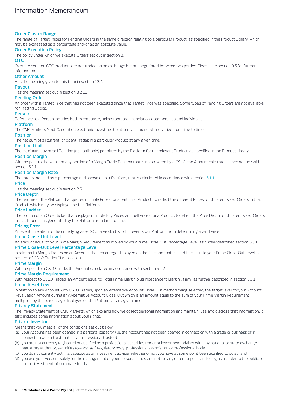# **Order Cluster Range**

The range of Target Prices for Pending Orders in the same direction relating to a particular Product, as specified in the Product Library, which may be expressed as a percentage and/or as an absolute value.

# **Order Execution Policy**

The policy under which we execute Orders set out in sectio[n 3.](#page-9-2)

## **OTC**

Over the counter. OTC products are not traded on an exchange but are negotiated between two parties. Please see sectio[n 9.5](#page-26-0) for further information.

# **Other Amount**

Has the meaning given to this term in sectio[n 13.4.](#page-35-0)

## **Payout**

Has the meaning set out in section [3.2.11.](#page-12-0)

## **Pending Order**

An order with a Target Price that has not been executed since that Target Price was specified. Some types of Pending Orders are not available for Trading Books.

## **Person**

Reference to a Person includes bodies corporate, unincorporated associations, partnerships and individuals.

## **Platform**

The CMC Markets Next Generation electronic investment platform as amended and varied from time to time.

## **Position**

The net sum of all current (or open) Trades in a particular Product at any given time.

## **Position Limit**

The maximum buy or sell Position (as applicable) permitted by the Platform for the relevant Product, as specified in the Product Library.

## **Position Margin**

With respect to the whole or any portion of a Margin Trade Position that is not covered by a GSLO, the Amount calculated in accordance with section [5.1.1.](#page-16-4)

# **Position Margin Rate**

The rate expressed as a percentage and shown on our Platform, that is calculated in accordance with section [5.1.1.](#page-16-4)

# **Price**

Has the meaning set out in sectio[n 2.6.](#page-4-1)

# **Price Depth**

The feature of the Platform that quotes multiple Prices for a particular Product, to reflect the different Prices for different sized Orders in that Product, which may be displayed on the Platform.

## **Price Ladder**

The portion of an Order ticket that displays multiple Buy Prices and Sell Prices for a Product, to reflect the Price Depth for different sized Orders in that Product, as generated by the Platform from time to time.

## **Pricing Error**

An event in relation to the underlying asset(s) of a Product which prevents our Platform from determining a valid Price.

## **Prime Close-Out Level**

An amount equal to your Prime Margin Requirement multiplied by your Prime Close-Out Percentage Level, as further described sectio[n 5.3.1.](#page-18-2) **Prime Close-Out Level Percentage Level**

In relation to Margin Trades on an Account, the percentage displayed on the Platform that is used to calculate your Prime Close-Out Level in respect of GSLO Trades (if applicable).

## **Prime Margin**

With respect to a GSLO Trade, the Amount calculated in accordance with section [5.1.2.](#page-17-4)

## **Prime Margin Requirement**

With respect to GSLO Trades, an Amount equal to Total Prime Margin plus Independent Margin (if any) as further described in sectio[n 5.3.1.](#page-18-2) **Prime Reset Level**

In relation to any Account with GSLO Trades, upon an Alternative Account Close-Out method being selected, the target level for your Account Revaluation Amount during any Alternative Account Close-Out which is an amount equal to the sum of your Prime Margin Requirement multiplied by the percentage displayed on the Platform at any given time.

## **Privacy Statement**

The Privacy Statement of CMC Markets, which explains how we collect personal information and maintain, use and disclose that information. It also includes some information about your rights.

## **Private Investor**

Means that you meet all of the conditions set out below:

- (a) your Account has been opened in a personal capacity. (i.e. the Account has not been opened in connection with a trade or business or in connection with a trust that has a professional trustee);
- (b) you are not currently registered or qualified as a professional securities trader or investment adviser with any national or state exchange, regulatory authority, securities agency, self-regulatory body, professional association or professional body;
- (c) you do not currently act in a capacity as an investment adviser, whether or not you have at some point been qualified to do so; and
- (d) you use your Account solely for the management of your personal funds and not for any other purposes including as a trader to the public or for the investment of corporate funds.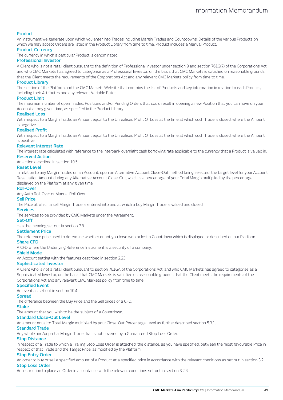# **Product**

An instrument we generate upon which you enter into Trades including Margin Trades and Countdowns. Details of the various Products on which we may accept Orders are listed in the Product Library from time to time. Product includes a Manual Product.

## **Product Currency**

The currency in which a particular Product is denominated.

# **Professional Investor**

A Client who is not a retail client pursuant to the definition of Professional Investor under section 9 and section 761G(7) of the Corporations Act, and who CMC Markets has agreed to categorise as a Professional Investor, on the basis that CMC Markets is satisfied on reasonable grounds that the Client meets the requirements of the Corporations Act and any relevant CMC Markets policy from time to time.

#### **Product Library**

The section of the Platform and the CMC Markets Website that contains the list of Products and key information in relation to each Product, including their Attributes and any relevant Variable Rates.

#### **Product Limit**

The maximum number of open Trades, Positions and/or Pending Orders that could result in opening a new Position that you can have on your Account at any given time, as specified in the Product Library.

#### **Realised Loss**

With respect to a Margin Trade, an Amount equal to the Unrealised Profit Or Loss at the time at which such Trade is closed, where the Amount is negative.

#### **Realised Profit**

With respect to a Margin Trade, an Amount equal to the Unrealised Profit Or Loss at the time at which such Trade is closed, where the Amount is positive.

#### **Relevant Interest Rate**

The interest rate calculated with reference to the interbank overnight cash borrowing rate applicable to the currency that a Product is valued in. **Reserved Action**

An action described in section [10.5.](#page-32-1)

## **Reset Level**

In relation to any Margin Trades on an Account, upon an Alternative Account Close-Out method being selected, the target level for your Account Revaluation Amount during any Alternative Account Close-Out, which is a percentage of your Total Margin multiplied by the percentage displayed on the Platform at any given time.

#### **Roll-Over**

Any Auto Roll-Over or Manual Roll-Over.

# **Sell Price**

The Price at which a sell Margin Trade is entered into and at which a buy Margin Trade is valued and closed.

#### **Services**

The services to be provided by CMC Markets under the Agreement.

## **Set-Off**

Has the meaning set out in sectio[n 7.8.](#page-23-0)

# **Settlement Price**

The reference price used to determine whether or not you have won or lost a Countdown which is displayed or described on our Platform. **Share CFD**

A CFD where the Underlying Reference Instrument is a security of a company.

## **Shield Mode**

An Account setting with the features described in sectio[n 2.23.](#page-8-1)

#### **Sophisticated Investor**

A Client who is not a retail client pursuant to section 761GA of the Corporations Act, and who CMC Markets has agreed to categorise as a Sophisticated Investor, on the basis that CMC Markets is satisfied on reasonable grounds that the Client meets the requirements of the Corporations Act and any relevant CMC Markets policy from time to time.

#### **Specified Event**

An event as set out in sectio[n 10.4.](#page-31-0)

# **Spread**

The difference between the Buy Price and the Sell prices of a CFD.

# **Stake**

The amount that you wish to be the subject of a Countdown.

# **Standard Close-Out Level**

An amount equal to Total Margin multiplied by your Close-Out Percentage Level as further described sectio[n 5.3.1.](#page-18-2)

# **Standard Trade**

Any whole and/or partial Margin Trade that is not covered by a Guaranteed Stop Loss Order.

# **Stop Distance**

In respect of a Trade to which a Trailing Stop Loss Order is attached, the distance, as you have specified, between the most favourable Price in respect of that Trade and the Target Price, as modified by the Platform.

# **Stop Entry Order**

An order to buy or sell a specified amount of a Product at a specified price in accordance with the relevant conditions as set out in sectio[n 3.2.](#page-9-0) **Stop Loss Order**

An instruction to place an Order in accordance with the relevant conditions set out in sectio[n 3.2.6.](#page-11-1)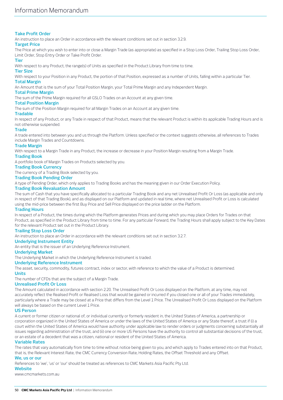# **Take Profit Order**

An instruction to place an Order in accordance with the relevant conditions set out in sectio[n 3.2.9.](#page-12-1)

# **Target Price**

The Price at which you wish to enter into or close a Margin Trade (as appropriate) as specified in a Stop Loss Order, Trailing Stop Loss Order, Limit Order, Stop Entry Order or Take Profit Order.

# **Tier**

With respect to any Product, the range(s) of Units as specified in the Product Library from time to time.

# **Tier Size**

With respect to your Position in any Product, the portion of that Position, expressed as a number of Units, falling within a particular Tier.

# **Total Margin**

An Amount that is the sum of your Total Position Margin, your Total Prime Margin and any Independent Margin.

# **Total Prime Margin**

The sum of the Prime Margin required for all GSLO Trades on an Account at any given time.

# **Total Position Margin**

The sum of the Position Margin required for all Margin Trades on an Account at any given time.

# **Tradable**

In respect of any Product, or any Trade in respect of that Product, means that the relevant Product is within its applicable Trading Hours and is not otherwise suspended.

# **Trade**

A trade entered into between you and us through the Platform. Unless specified or the context suggests otherwise, all references to Trades include Margin Trades and Countdowns.

# **Trade Margin**

With respect to a Margin Trade in any Product, the increase or decrease in your Position Margin resulting from a Margin Trade.

## **Trading Book**

A portfolio book of Margin Trades on Products selected by you.

# **Trading Book Currency**

The currency of a Trading Book selected by you.

# **Trading Book Pending Order**

A type of Pending Order, which only applies to Trading Books and has the meaning given in our Order Execution Policy.

# **Trading Book Revaluation Amount**

The sum of Cash that you have specifically allocated to a particular Trading Book and any net Unrealised Profit Or Loss (as applicable and only in respect of that Trading Book), and as displayed on our Platform and updated in real time, where net Unrealised Profit or Loss is calculated using the mid-price between the first Buy Price and Sell Price displayed on the price ladder on the Platform.

# **Trading Hours**

In respect of a Product, the times during which the Platform generates Prices and during which you may place Orders for Trades on that Product, as specified in the Product Library from time to time. For any particular Forward, the Trading Hours shall apply subject to the Key Dates for the relevant Product set out in the Product Library.

## **Trailing Stop Loss Order**

An instruction to place an Order in accordance with the relevant conditions set out in sectio[n 3.2.7.](#page-11-2)

# **Underlying Instrument Entity**

An entity that is the issuer of an Underlying Reference Instrument.

# **Underlying Market**

The Underlying Market in which the Underlying Reference Instrument is traded.

# **Underlying Reference Instrument**

The asset, security, commodity, futures contract, index or sector, with reference to which the value of a Product is determined.

# **Units**

The number of CFDs that are the subject of a Margin Trade.

## **Unrealised Profit Or Loss**

The Amount calculated in accordance with section [2.20.](#page-7-4) The Unrealised Profit Or Loss displayed on the Platform, at any time, may not accurately reflect the Realised Profit or Realised Loss that would be gained or incurred if you closed one or all of your Trades immediately, particularly where a Trade may be closed at a Price that differs from the Level 1 Price. The Unrealised Profit Or Loss displayed on the Platform will always be based on the current Level 1 Price.

## **US Person**

A current or former citizen or national of, or individual currently or formerly resident in, the United States of America, a partnership or corporation organized in the United States of America or under the laws of the United States of America or any State thereof, a trust if (i) a court within the United States of America would have authority under applicable law to render orders or judgments concerning substantially all issues regarding administration of the trust, and (ii) one or more US Persons have the authority to control all substantial decisions of the trust, or an estate of a decedent that was a citizen, national or resident of the United States of America.

## **Variable Rates**

The rates that vary automatically from time to time without notice being given to you, and which apply to Trades entered into on that Product, that is, the Relevant Interest Rate, the CMC Currency Conversion Rate, Holding Rates, the Offset Threshold and any Offset.

## **We, us or our**

References to 'we', 'us' or 'our' should be treated as references to CMC Markets Asia Pacific Pty Ltd.

## **Website**

www.cmcmarkets.com.au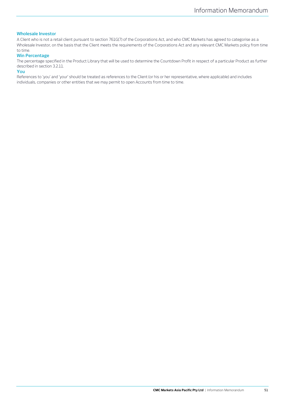# **Wholesale Investor**

A Client who is not a retail client pursuant to section 761G(7) of the Corporations Act, and who CMC Markets has agreed to categorise as a Wholesale Investor, on the basis that the Client meets the requirements of the Corporations Act and any relevant CMC Markets policy from time to time.

# **Win Percentage**

The percentage specified in the Product Library that will be used to determine the Countdown Profit in respect of a particular Product as further described in section [3.2.11.](#page-12-0)

# **You**

References to 'you' and 'your' should be treated as references to the Client (or his or her representative, where applicable) and includes individuals, companies or other entities that we may permit to open Accounts from time to time.